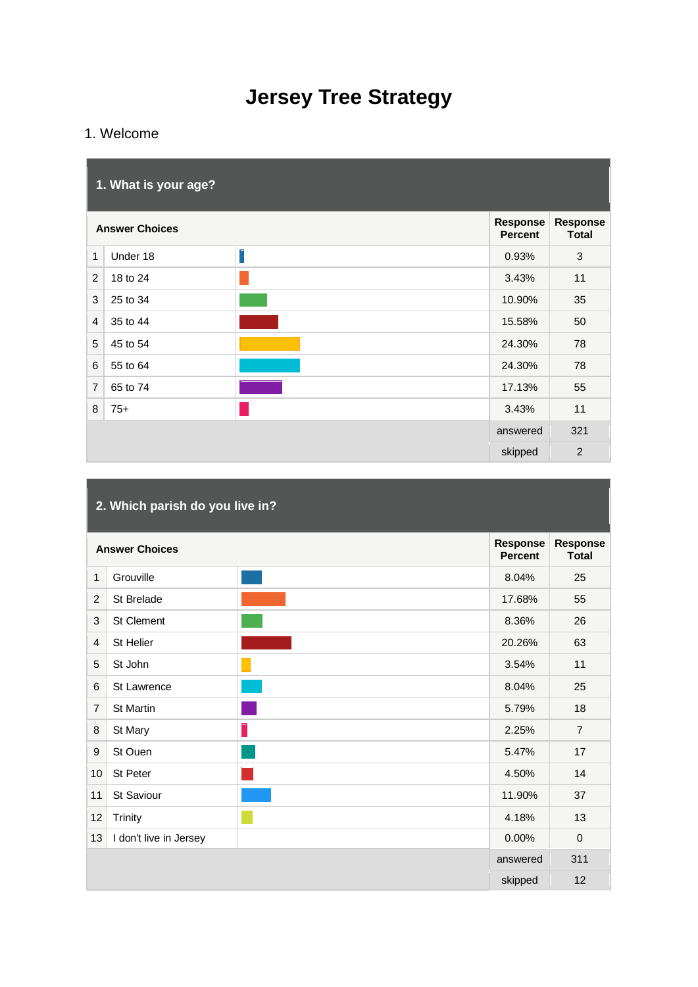# **Jersey Tree Strategy**

# 1. Welcome

|                | 1. What is your age?  |   |                            |                                 |
|----------------|-----------------------|---|----------------------------|---------------------------------|
|                | <b>Answer Choices</b> |   | Response<br><b>Percent</b> | <b>Response</b><br><b>Total</b> |
| $\mathbf{1}$   | Under 18              | Γ | 0.93%                      | 3                               |
| $\overline{2}$ | 18 to 24              |   | 3.43%                      | 11                              |
| 3              | 25 to 34              |   | 10.90%                     | 35                              |
| $\overline{4}$ | 35 to 44              |   | 15.58%                     | 50                              |
| 5              | 45 to 54              |   | 24.30%                     | 78                              |
| 6              | 55 to 64              |   | 24.30%                     | 78                              |
| $\overline{7}$ | 65 to 74              |   | 17.13%                     | 55                              |
| 8              | $75+$                 |   | 3.43%                      | 11                              |
|                |                       |   | answered                   | 321                             |
|                |                       |   | skipped                    | $\overline{2}$                  |

|                  | 2. Which parish do you live in? |  |                            |                                 |  |
|------------------|---------------------------------|--|----------------------------|---------------------------------|--|
|                  | <b>Answer Choices</b>           |  | Response<br><b>Percent</b> | <b>Response</b><br><b>Total</b> |  |
| 1                | Grouville                       |  | 8.04%                      | 25                              |  |
| 2                | St Brelade                      |  | 17.68%                     | 55                              |  |
| 3                | <b>St Clement</b>               |  | 8.36%                      | 26                              |  |
| $\overline{4}$   | St Helier                       |  | 20.26%                     | 63                              |  |
| 5                | St John                         |  | 3.54%                      | 11                              |  |
| 6                | St Lawrence                     |  | 8.04%                      | 25                              |  |
| $\overline{7}$   | <b>St Martin</b>                |  | 5.79%                      | 18                              |  |
| 8                | St Mary                         |  | 2.25%                      | $\overline{7}$                  |  |
| $\boldsymbol{9}$ | St Ouen                         |  | 5.47%                      | 17                              |  |
| 10               | St Peter                        |  | 4.50%                      | 14                              |  |
| 11               | St Saviour                      |  | 11.90%                     | 37                              |  |
| 12               | Trinity                         |  | 4.18%                      | 13                              |  |
| 13               | I don't live in Jersey          |  | 0.00%                      | $\mathbf 0$                     |  |
|                  |                                 |  | answered                   | 311                             |  |
|                  |                                 |  | skipped                    | 12                              |  |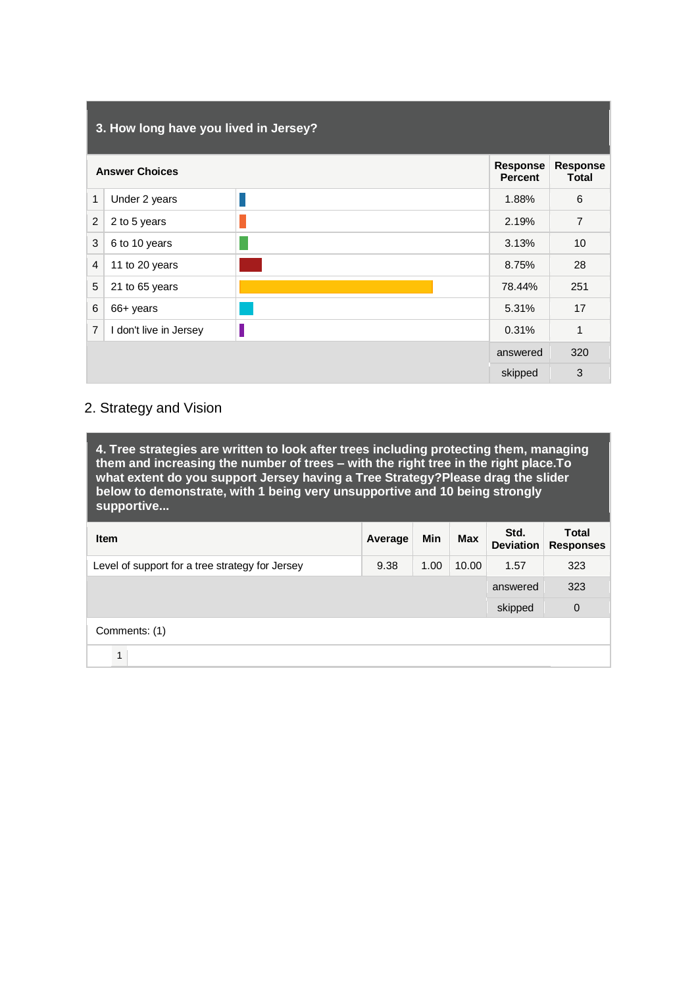|                | 3. How long have you lived in Jersey? |  |                            |                                 |  |
|----------------|---------------------------------------|--|----------------------------|---------------------------------|--|
|                | <b>Answer Choices</b>                 |  | Response<br><b>Percent</b> | <b>Response</b><br><b>Total</b> |  |
| 1              | Under 2 years                         |  | 1.88%                      | 6                               |  |
| $\overline{c}$ | 2 to 5 years                          |  | 2.19%                      | $\overline{7}$                  |  |
| 3              | 6 to 10 years                         |  | 3.13%                      | 10                              |  |
| $\overline{4}$ | 11 to 20 years                        |  | 8.75%                      | 28                              |  |
| 5              | 21 to 65 years                        |  | 78.44%                     | 251                             |  |
| 6              | 66+ years                             |  | 5.31%                      | 17                              |  |
| $\overline{7}$ | I don't live in Jersey                |  | 0.31%                      | 1                               |  |
|                |                                       |  | answered                   | 320                             |  |
|                |                                       |  | skipped                    | 3                               |  |

# 2. Strategy and Vision

**4. Tree strategies are written to look after trees including protecting them, managing them and increasing the number of trees – with the right tree in the right place.To what extent do you support Jersey having a Tree Strategy?Please drag the slider below to demonstrate, with 1 being very unsupportive and 10 being strongly supportive...** 

| <b>Item</b>                                     | Average | Min  | Max   | Std.<br><b>Deviation</b> | <b>Total</b><br><b>Responses</b> |
|-------------------------------------------------|---------|------|-------|--------------------------|----------------------------------|
| Level of support for a tree strategy for Jersey | 9.38    | 1.00 | 10.00 | 1.57                     | 323                              |
|                                                 |         |      |       | answered                 | 323                              |
|                                                 |         |      |       | skipped                  | 0                                |
| Comments: (1)                                   |         |      |       |                          |                                  |
| 1                                               |         |      |       |                          |                                  |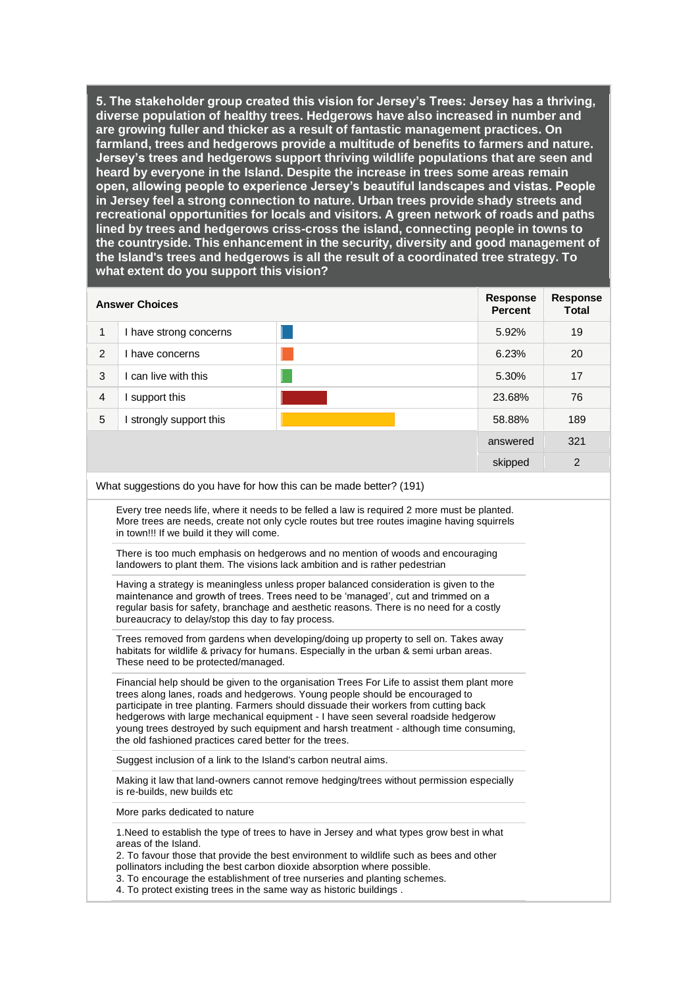| <b>Answer Choices</b>                  | <b>Response</b><br><b>Percent</b> | <b>Response</b><br>Total |
|----------------------------------------|-----------------------------------|--------------------------|
| $\mathbf{1}$<br>I have strong concerns | 5.92%                             | 19                       |
| 2<br>have concerns                     | 6.23%                             | 20                       |
| 3<br>can live with this                | 5.30%                             | 17                       |
| $\overline{4}$<br>support this         | 23.68%                            | 76                       |
| 5<br>strongly support this             | 58.88%                            | 189                      |
|                                        | answered                          | 321                      |
|                                        | skipped                           | 2                        |

What suggestions do you have for how this can be made better? (191)

Every tree needs life, where it needs to be felled a law is required 2 more must be planted. More trees are needs, create not only cycle routes but tree routes imagine having squirrels in town!!! If we build it they will come.

There is too much emphasis on hedgerows and no mention of woods and encouraging landowers to plant them. The visions lack ambition and is rather pedestrian

Having a strategy is meaningless unless proper balanced consideration is given to the maintenance and growth of trees. Trees need to be 'managed', cut and trimmed on a regular basis for safety, branchage and aesthetic reasons. There is no need for a costly bureaucracy to delay/stop this day to fay process.

Trees removed from gardens when developing/doing up property to sell on. Takes away habitats for wildlife & privacy for humans. Especially in the urban & semi urban areas. These need to be protected/managed.

Financial help should be given to the organisation Trees For Life to assist them plant more trees along lanes, roads and hedgerows. Young people should be encouraged to participate in tree planting. Farmers should dissuade their workers from cutting back hedgerows with large mechanical equipment - I have seen several roadside hedgerow young trees destroyed by such equipment and harsh treatment - although time consuming, the old fashioned practices cared better for the trees.

Suggest inclusion of a link to the Island's carbon neutral aims.

Making it law that land-owners cannot remove hedging/trees without permission especially is re-builds, new builds etc

More parks dedicated to nature

1.Need to establish the type of trees to have in Jersey and what types grow best in what areas of the Island.

2. To favour those that provide the best environment to wildlife such as bees and other pollinators including the best carbon dioxide absorption where possible.

3. To encourage the establishment of tree nurseries and planting schemes.

4. To protect existing trees in the same way as historic buildings .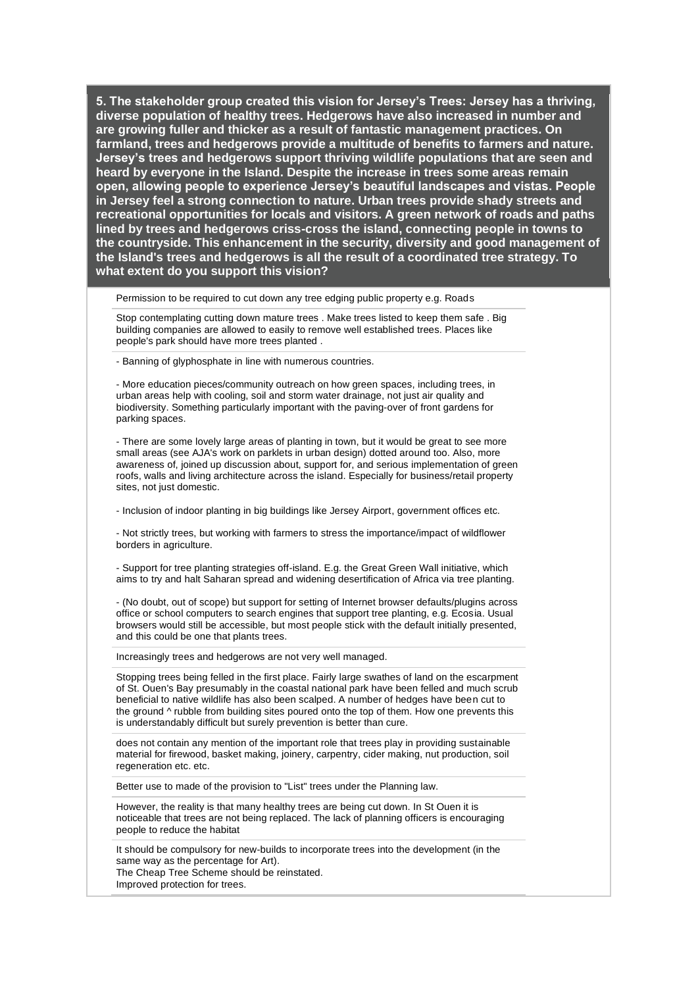Permission to be required to cut down any tree edging public property e.g. Roads

Stop contemplating cutting down mature trees . Make trees listed to keep them safe . Big building companies are allowed to easily to remove well established trees. Places like people's park should have more trees planted .

- Banning of glyphosphate in line with numerous countries.

- More education pieces/community outreach on how green spaces, including trees, in urban areas help with cooling, soil and storm water drainage, not just air quality and biodiversity. Something particularly important with the paving-over of front gardens for parking spaces.

- There are some lovely large areas of planting in town, but it would be great to see more small areas (see AJA's work on parklets in urban design) dotted around too. Also, more awareness of, joined up discussion about, support for, and serious implementation of green roofs, walls and living architecture across the island. Especially for business/retail property sites, not just domestic.

- Inclusion of indoor planting in big buildings like Jersey Airport, government offices etc.

- Not strictly trees, but working with farmers to stress the importance/impact of wildflower borders in agriculture.

- Support for tree planting strategies off-island. E.g. the Great Green Wall initiative, which aims to try and halt Saharan spread and widening desertification of Africa via tree planting.

- (No doubt, out of scope) but support for setting of Internet browser defaults/plugins across office or school computers to search engines that support tree planting, e.g. Ecosia. Usual browsers would still be accessible, but most people stick with the default initially presented, and this could be one that plants trees.

Increasingly trees and hedgerows are not very well managed.

Stopping trees being felled in the first place. Fairly large swathes of land on the escarpment of St. Ouen's Bay presumably in the coastal national park have been felled and much scrub beneficial to native wildlife has also been scalped. A number of hedges have been cut to the ground ^ rubble from building sites poured onto the top of them. How one prevents this is understandably difficult but surely prevention is better than cure.

does not contain any mention of the important role that trees play in providing sustainable material for firewood, basket making, joinery, carpentry, cider making, nut production, soil regeneration etc. etc.

Better use to made of the provision to "List" trees under the Planning law.

However, the reality is that many healthy trees are being cut down. In St Ouen it is noticeable that trees are not being replaced. The lack of planning officers is encouraging people to reduce the habitat

It should be compulsory for new-builds to incorporate trees into the development (in the same way as the percentage for Art).

The Cheap Tree Scheme should be reinstated.

Improved protection for trees.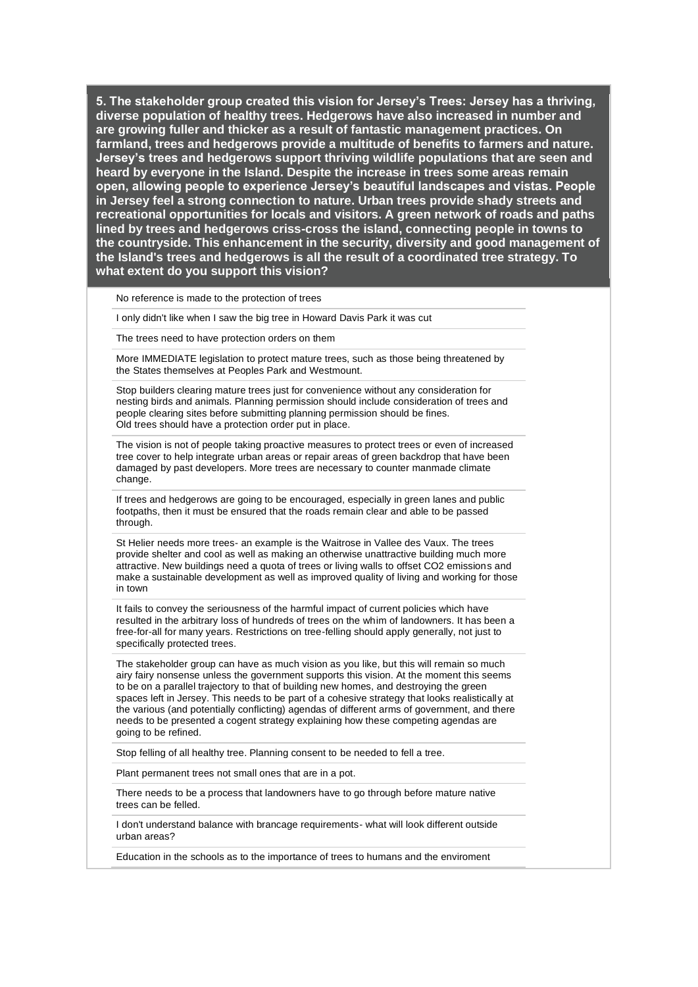No reference is made to the protection of trees

I only didn't like when I saw the big tree in Howard Davis Park it was cut

The trees need to have protection orders on them

More IMMEDIATE legislation to protect mature trees, such as those being threatened by the States themselves at Peoples Park and Westmount.

Stop builders clearing mature trees just for convenience without any consideration for nesting birds and animals. Planning permission should include consideration of trees and people clearing sites before submitting planning permission should be fines. Old trees should have a protection order put in place.

The vision is not of people taking proactive measures to protect trees or even of increased tree cover to help integrate urban areas or repair areas of green backdrop that have been damaged by past developers. More trees are necessary to counter manmade climate change.

If trees and hedgerows are going to be encouraged, especially in green lanes and public footpaths, then it must be ensured that the roads remain clear and able to be passed through.

St Helier needs more trees- an example is the Waitrose in Vallee des Vaux. The trees provide shelter and cool as well as making an otherwise unattractive building much more attractive. New buildings need a quota of trees or living walls to offset CO2 emissions and make a sustainable development as well as improved quality of living and working for those in town

It fails to convey the seriousness of the harmful impact of current policies which have resulted in the arbitrary loss of hundreds of trees on the whim of landowners. It has been a free-for-all for many years. Restrictions on tree-felling should apply generally, not just to specifically protected trees.

The stakeholder group can have as much vision as you like, but this will remain so much airy fairy nonsense unless the government supports this vision. At the moment this seems to be on a parallel trajectory to that of building new homes, and destroying the green spaces left in Jersey. This needs to be part of a cohesive strategy that looks realistically at the various (and potentially conflicting) agendas of different arms of government, and there needs to be presented a cogent strategy explaining how these competing agendas are going to be refined.

Stop felling of all healthy tree. Planning consent to be needed to fell a tree.

Plant permanent trees not small ones that are in a pot.

There needs to be a process that landowners have to go through before mature native trees can be felled.

I don't understand balance with brancage requirements- what will look different outside urban areas?

Education in the schools as to the importance of trees to humans and the enviroment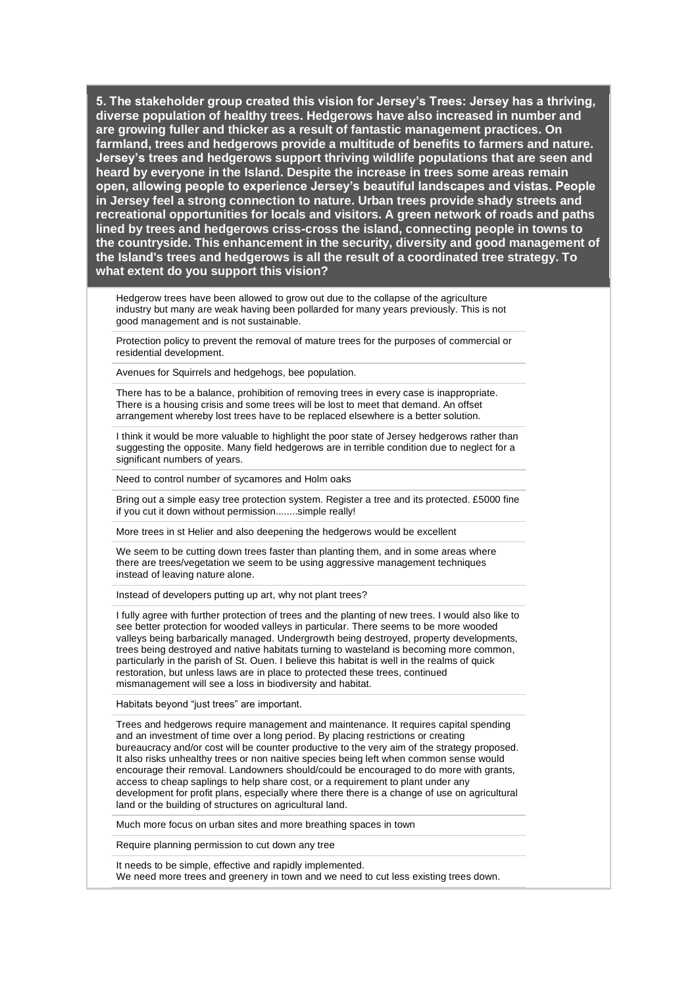Hedgerow trees have been allowed to grow out due to the collapse of the agriculture industry but many are weak having been pollarded for many years previously. This is not good management and is not sustainable.

Protection policy to prevent the removal of mature trees for the purposes of commercial or residential development.

Avenues for Squirrels and hedgehogs, bee population.

There has to be a balance, prohibition of removing trees in every case is inappropriate. There is a housing crisis and some trees will be lost to meet that demand. An offset arrangement whereby lost trees have to be replaced elsewhere is a better solution.

I think it would be more valuable to highlight the poor state of Jersey hedgerows rather than suggesting the opposite. Many field hedgerows are in terrible condition due to neglect for a significant numbers of years.

Need to control number of sycamores and Holm oaks

Bring out a simple easy tree protection system. Register a tree and its protected. £5000 fine if you cut it down without permission........simple really!

More trees in st Helier and also deepening the hedgerows would be excellent

We seem to be cutting down trees faster than planting them, and in some areas where there are trees/vegetation we seem to be using aggressive management techniques instead of leaving nature alone.

Instead of developers putting up art, why not plant trees?

I fully agree with further protection of trees and the planting of new trees. I would also like to see better protection for wooded valleys in particular. There seems to be more wooded valleys being barbarically managed. Undergrowth being destroyed, property developments, trees being destroyed and native habitats turning to wasteland is becoming more common, particularly in the parish of St. Ouen. I believe this habitat is well in the realms of quick restoration, but unless laws are in place to protected these trees, continued mismanagement will see a loss in biodiversity and habitat.

Habitats beyond "just trees" are important.

Trees and hedgerows require management and maintenance. It requires capital spending and an investment of time over a long period. By placing restrictions or creating bureaucracy and/or cost will be counter productive to the very aim of the strategy proposed. It also risks unhealthy trees or non naitive species being left when common sense would encourage their removal. Landowners should/could be encouraged to do more with grants, access to cheap saplings to help share cost, or a requirement to plant under any development for profit plans, especially where there there is a change of use on agricultural land or the building of structures on agricultural land.

Much more focus on urban sites and more breathing spaces in town

Require planning permission to cut down any tree

It needs to be simple, effective and rapidly implemented. We need more trees and greenery in town and we need to cut less existing trees down.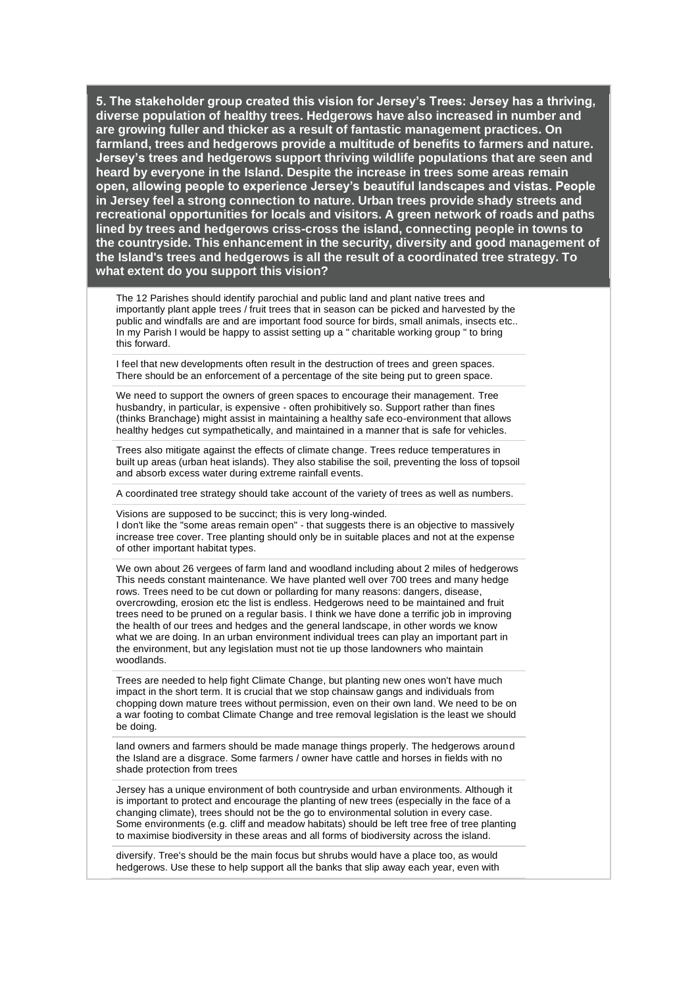The 12 Parishes should identify parochial and public land and plant native trees and importantly plant apple trees / fruit trees that in season can be picked and harvested by the public and windfalls are and are important food source for birds, small animals, insects etc.. In my Parish I would be happy to assist setting up a " charitable working group " to bring this forward.

I feel that new developments often result in the destruction of trees and green spaces. There should be an enforcement of a percentage of the site being put to green space.

We need to support the owners of green spaces to encourage their management. Tree husbandry, in particular, is expensive - often prohibitively so. Support rather than fines (thinks Branchage) might assist in maintaining a healthy safe eco-environment that allows healthy hedges cut sympathetically, and maintained in a manner that is safe for vehicles.

Trees also mitigate against the effects of climate change. Trees reduce temperatures in built up areas (urban heat islands). They also stabilise the soil, preventing the loss of topsoil and absorb excess water during extreme rainfall events.

A coordinated tree strategy should take account of the variety of trees as well as numbers.

Visions are supposed to be succinct; this is very long-winded. I don't like the "some areas remain open" - that suggests there is an objective to massively increase tree cover. Tree planting should only be in suitable places and not at the expense of other important habitat types.

We own about 26 vergees of farm land and woodland including about 2 miles of hedgerows This needs constant maintenance. We have planted well over 700 trees and many hedge rows. Trees need to be cut down or pollarding for many reasons: dangers, disease, overcrowding, erosion etc the list is endless. Hedgerows need to be maintained and fruit trees need to be pruned on a regular basis. I think we have done a terrific job in improving the health of our trees and hedges and the general landscape, in other words we know what we are doing. In an urban environment individual trees can play an important part in the environment, but any legislation must not tie up those landowners who maintain woodlands.

Trees are needed to help fight Climate Change, but planting new ones won't have much impact in the short term. It is crucial that we stop chainsaw gangs and individuals from chopping down mature trees without permission, even on their own land. We need to be on a war footing to combat Climate Change and tree removal legislation is the least we should be doing.

land owners and farmers should be made manage things properly. The hedgerows around the Island are a disgrace. Some farmers / owner have cattle and horses in fields with no shade protection from trees

Jersey has a unique environment of both countryside and urban environments. Although it is important to protect and encourage the planting of new trees (especially in the face of a changing climate), trees should not be the go to environmental solution in every case. Some environments (e.g. cliff and meadow habitats) should be left tree free of tree planting to maximise biodiversity in these areas and all forms of biodiversity across the island.

diversify. Tree's should be the main focus but shrubs would have a place too, as would hedgerows. Use these to help support all the banks that slip away each year, even with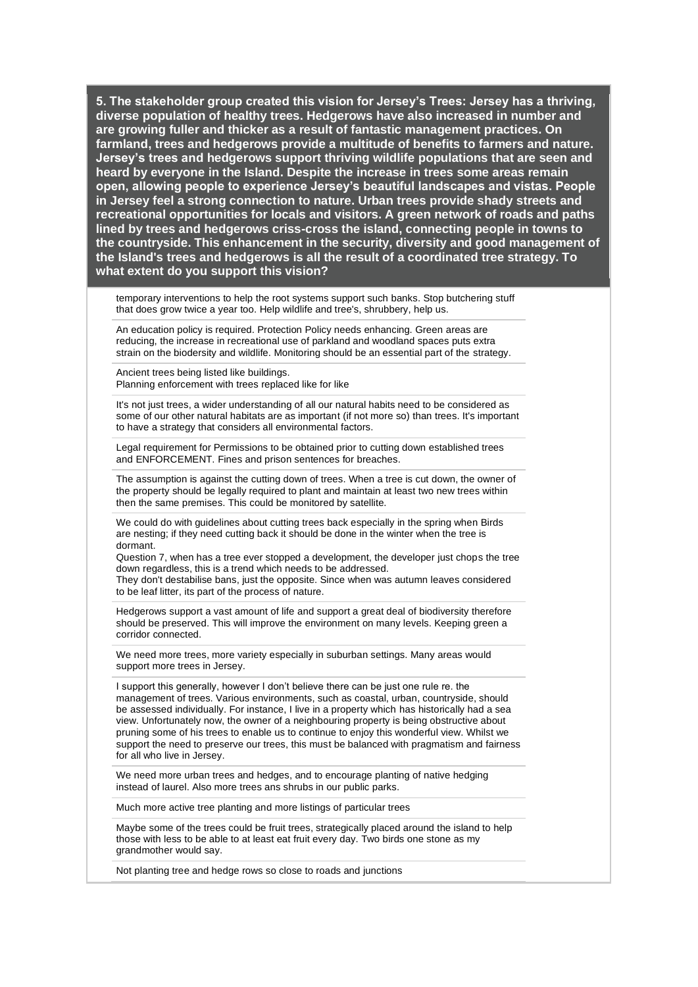temporary interventions to help the root systems support such banks. Stop butchering stuff that does grow twice a year too. Help wildlife and tree's, shrubbery, help us.

An education policy is required. Protection Policy needs enhancing. Green areas are reducing, the increase in recreational use of parkland and woodland spaces puts extra strain on the biodersity and wildlife. Monitoring should be an essential part of the strategy.

Ancient trees being listed like buildings. Planning enforcement with trees replaced like for like

It's not just trees, a wider understanding of all our natural habits need to be considered as some of our other natural habitats are as important (if not more so) than trees. It's important to have a strategy that considers all environmental factors.

Legal requirement for Permissions to be obtained prior to cutting down established trees and ENFORCEMENT. Fines and prison sentences for breaches.

The assumption is against the cutting down of trees. When a tree is cut down, the owner of the property should be legally required to plant and maintain at least two new trees within then the same premises. This could be monitored by satellite.

We could do with guidelines about cutting trees back especially in the spring when Birds are nesting; if they need cutting back it should be done in the winter when the tree is dormant.

Question 7, when has a tree ever stopped a development, the developer just chops the tree down regardless, this is a trend which needs to be addressed. They don't destabilise bans, just the opposite. Since when was autumn leaves considered to be leaf litter, its part of the process of nature.

Hedgerows support a vast amount of life and support a great deal of biodiversity therefore should be preserved. This will improve the environment on many levels. Keeping green a corridor connected.

We need more trees, more variety especially in suburban settings. Many areas would support more trees in Jersey.

I support this generally, however I don't believe there can be just one rule re. the management of trees. Various environments, such as coastal, urban, countryside, should be assessed individually. For instance, I live in a property which has historically had a sea view. Unfortunately now, the owner of a neighbouring property is being obstructive about pruning some of his trees to enable us to continue to enjoy this wonderful view. Whilst we support the need to preserve our trees, this must be balanced with pragmatism and fairness for all who live in Jersey.

We need more urban trees and hedges, and to encourage planting of native hedging instead of laurel. Also more trees ans shrubs in our public parks.

Much more active tree planting and more listings of particular trees

Maybe some of the trees could be fruit trees, strategically placed around the island to help those with less to be able to at least eat fruit every day. Two birds one stone as my grandmother would say.

Not planting tree and hedge rows so close to roads and junctions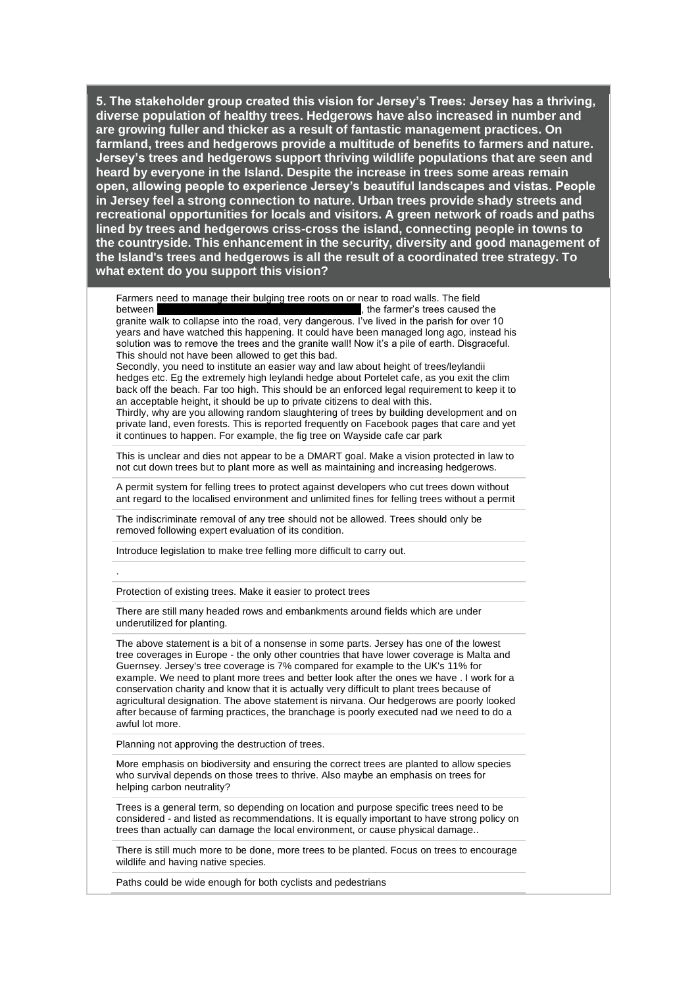Farmers need to manage their bulging tree roots on or near to road walls. The field between **EXEC 2008** method is the farmer's trees caused the granite walk to collapse into the road, very dangerous. I've lived in the parish for over 10 years and have watched this happening. It could have been managed long ago, instead his solution was to remove the trees and the granite wall! Now it's a pile of earth. Disgraceful. This should not have been allowed to get this bad.

Secondly, you need to institute an easier way and law about height of trees/leylandii hedges etc. Eg the extremely high leylandi hedge about Portelet cafe, as you exit the clim back off the beach. Far too high. This should be an enforced legal requirement to keep it to an acceptable height, it should be up to private citizens to deal with this. Thirdly, why are you allowing random slaughtering of trees by building development and on private land, even forests. This is reported frequently on Facebook pages that care and yet it continues to happen. For example, the fig tree on Wayside cafe car park

This is unclear and dies not appear to be a DMART goal. Make a vision protected in law to not cut down trees but to plant more as well as maintaining and increasing hedgerows.

A permit system for felling trees to protect against developers who cut trees down without ant regard to the localised environment and unlimited fines for felling trees without a permit

The indiscriminate removal of any tree should not be allowed. Trees should only be removed following expert evaluation of its condition.

Introduce legislation to make tree felling more difficult to carry out.

Protection of existing trees. Make it easier to protect trees

.

There are still many headed rows and embankments around fields which are under underutilized for planting.

The above statement is a bit of a nonsense in some parts. Jersey has one of the lowest tree coverages in Europe - the only other countries that have lower coverage is Malta and Guernsey. Jersey's tree coverage is 7% compared for example to the UK's 11% for example. We need to plant more trees and better look after the ones we have . I work for a conservation charity and know that it is actually very difficult to plant trees because of agricultural designation. The above statement is nirvana. Our hedgerows are poorly looked after because of farming practices, the branchage is poorly executed nad we need to do a awful lot more.

Planning not approving the destruction of trees.

More emphasis on biodiversity and ensuring the correct trees are planted to allow species who survival depends on those trees to thrive. Also maybe an emphasis on trees for helping carbon neutrality?

Trees is a general term, so depending on location and purpose specific trees need to be considered - and listed as recommendations. It is equally important to have strong policy on trees than actually can damage the local environment, or cause physical damage..

There is still much more to be done, more trees to be planted. Focus on trees to encourage wildlife and having native species.

Paths could be wide enough for both cyclists and pedestrians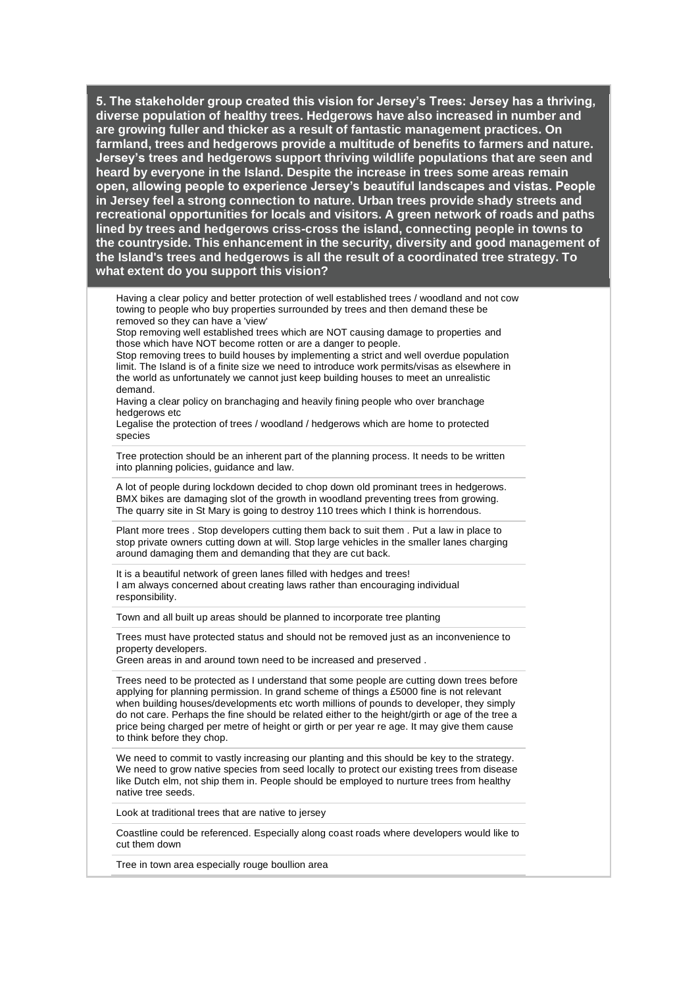Having a clear policy and better protection of well established trees / woodland and not cow towing to people who buy properties surrounded by trees and then demand these be removed so they can have a 'view'

Stop removing well established trees which are NOT causing damage to properties and those which have NOT become rotten or are a danger to people.

Stop removing trees to build houses by implementing a strict and well overdue population limit. The Island is of a finite size we need to introduce work permits/visas as elsewhere in the world as unfortunately we cannot just keep building houses to meet an unrealistic demand.

Having a clear policy on branchaging and heavily fining people who over branchage hedgerows etc

Legalise the protection of trees / woodland / hedgerows which are home to protected species

Tree protection should be an inherent part of the planning process. It needs to be written into planning policies, guidance and law.

A lot of people during lockdown decided to chop down old prominant trees in hedgerows. BMX bikes are damaging slot of the growth in woodland preventing trees from growing. The quarry site in St Mary is going to destroy 110 trees which I think is horrendous.

Plant more trees . Stop developers cutting them back to suit them . Put a law in place to stop private owners cutting down at will. Stop large vehicles in the smaller lanes charging around damaging them and demanding that they are cut back.

It is a beautiful network of green lanes filled with hedges and trees! I am always concerned about creating laws rather than encouraging individual responsibility.

Town and all built up areas should be planned to incorporate tree planting

Trees must have protected status and should not be removed just as an inconvenience to property developers.

Green areas in and around town need to be increased and preserved .

Trees need to be protected as I understand that some people are cutting down trees before applying for planning permission. In grand scheme of things a £5000 fine is not relevant when building houses/developments etc worth millions of pounds to developer, they simply do not care. Perhaps the fine should be related either to the height/girth or age of the tree a price being charged per metre of height or girth or per year re age. It may give them cause to think before they chop.

We need to commit to vastly increasing our planting and this should be key to the strategy. We need to grow native species from seed locally to protect our existing trees from disease like Dutch elm, not ship them in. People should be employed to nurture trees from healthy native tree seeds.

Look at traditional trees that are native to jersey

Coastline could be referenced. Especially along coast roads where developers would like to cut them down

Tree in town area especially rouge boullion area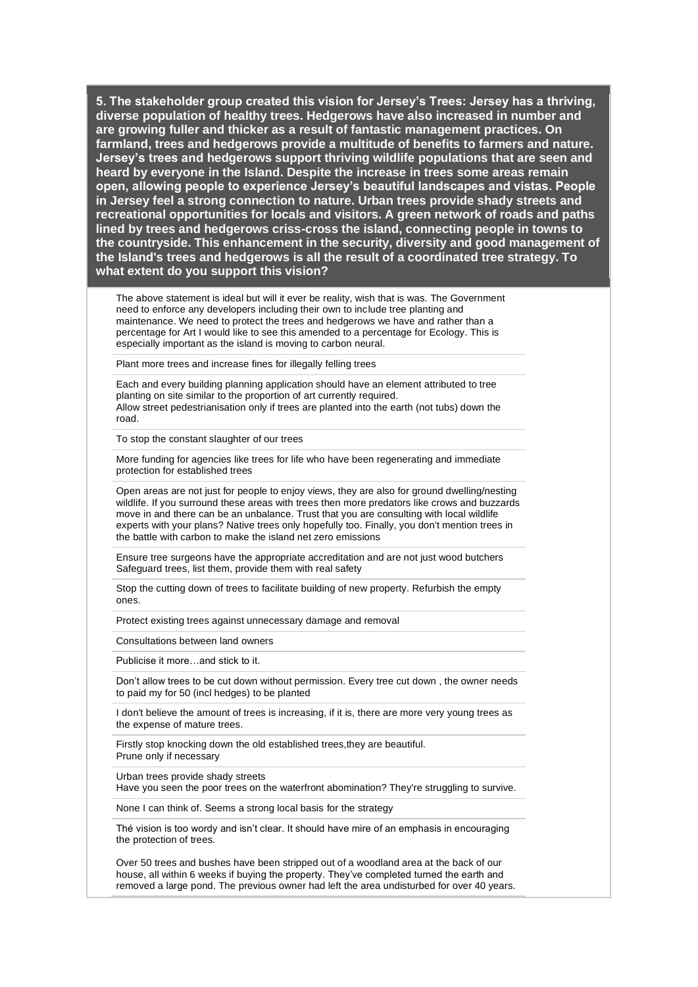The above statement is ideal but will it ever be reality, wish that is was. The Government need to enforce any developers including their own to include tree planting and maintenance. We need to protect the trees and hedgerows we have and rather than a percentage for Art I would like to see this amended to a percentage for Ecology. This is especially important as the island is moving to carbon neural.

Plant more trees and increase fines for illegally felling trees

Each and every building planning application should have an element attributed to tree planting on site similar to the proportion of art currently required. Allow street pedestrianisation only if trees are planted into the earth (not tubs) down the road.

To stop the constant slaughter of our trees

More funding for agencies like trees for life who have been regenerating and immediate protection for established trees

Open areas are not just for people to enjoy views, they are also for ground dwelling/nesting wildlife. If you surround these areas with trees then more predators like crows and buzzards move in and there can be an unbalance. Trust that you are consulting with local wildlife experts with your plans? Native trees only hopefully too. Finally, you don't mention trees in the battle with carbon to make the island net zero emissions

Ensure tree surgeons have the appropriate accreditation and are not just wood butchers Safeguard trees, list them, provide them with real safety

Stop the cutting down of trees to facilitate building of new property. Refurbish the empty ones.

Protect existing trees against unnecessary damage and removal

Consultations between land owners

Publicise it more…and stick to it.

Don't allow trees to be cut down without permission. Every tree cut down , the owner needs to paid my for 50 (incl hedges) to be planted

I don't believe the amount of trees is increasing, if it is, there are more very young trees as the expense of mature trees.

Firstly stop knocking down the old established trees,they are beautiful. Prune only if necessary

Urban trees provide shady streets Have you seen the poor trees on the waterfront abomination? They're struggling to survive.

None I can think of. Seems a strong local basis for the strategy

Thé vision is too wordy and isn't clear. It should have mire of an emphasis in encouraging the protection of trees.

Over 50 trees and bushes have been stripped out of a woodland area at the back of our house, all within 6 weeks if buying the property. They've completed turned the earth and removed a large pond. The previous owner had left the area undisturbed for over 40 years.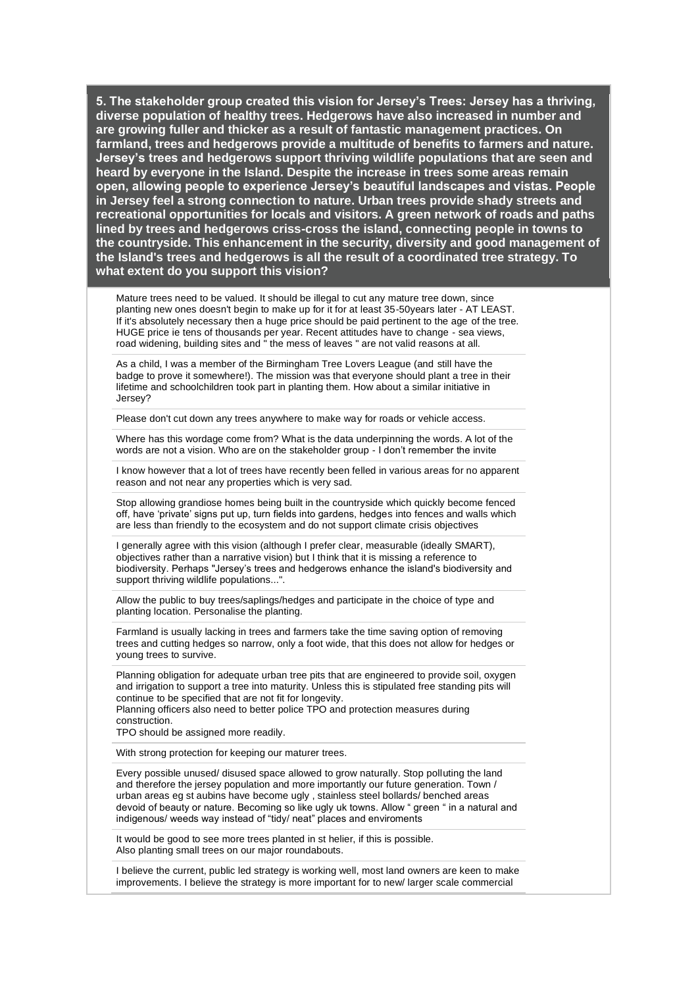Mature trees need to be valued. It should be illegal to cut any mature tree down, since planting new ones doesn't begin to make up for it for at least 35-50years later - AT LEAST. If it's absolutely necessary then a huge price should be paid pertinent to the age of the tree. HUGE price ie tens of thousands per year. Recent attitudes have to change - sea views, road widening, building sites and " the mess of leaves " are not valid reasons at all.

As a child, I was a member of the Birmingham Tree Lovers League (and still have the badge to prove it somewhere!). The mission was that everyone should plant a tree in their lifetime and schoolchildren took part in planting them. How about a similar initiative in Jersey?

Please don't cut down any trees anywhere to make way for roads or vehicle access.

Where has this wordage come from? What is the data underpinning the words. A lot of the words are not a vision. Who are on the stakeholder group - I don't remember the invite

I know however that a lot of trees have recently been felled in various areas for no apparent reason and not near any properties which is very sad.

Stop allowing grandiose homes being built in the countryside which quickly become fenced off, have 'private' signs put up, turn fields into gardens, hedges into fences and walls which are less than friendly to the ecosystem and do not support climate crisis objectives

I generally agree with this vision (although I prefer clear, measurable (ideally SMART), objectives rather than a narrative vision) but I think that it is missing a reference to biodiversity. Perhaps "Jersey's trees and hedgerows enhance the island's biodiversity and support thriving wildlife populations...".

Allow the public to buy trees/saplings/hedges and participate in the choice of type and planting location. Personalise the planting.

Farmland is usually lacking in trees and farmers take the time saving option of removing trees and cutting hedges so narrow, only a foot wide, that this does not allow for hedges or young trees to survive.

Planning obligation for adequate urban tree pits that are engineered to provide soil, oxygen and irrigation to support a tree into maturity. Unless this is stipulated free standing pits will continue to be specified that are not fit for longevity.

Planning officers also need to better police TPO and protection measures during construction.

TPO should be assigned more readily.

With strong protection for keeping our maturer trees.

Every possible unused/ disused space allowed to grow naturally. Stop polluting the land and therefore the jersey population and more importantly our future generation. Town / urban areas eg st aubins have become ugly , stainless steel bollards/ benched areas devoid of beauty or nature. Becoming so like ugly uk towns. Allow " green " in a natural and indigenous/ weeds way instead of "tidy/ neat" places and enviroments

It would be good to see more trees planted in st helier, if this is possible. Also planting small trees on our major roundabouts.

I believe the current, public led strategy is working well, most land owners are keen to make improvements. I believe the strategy is more important for to new/ larger scale commercial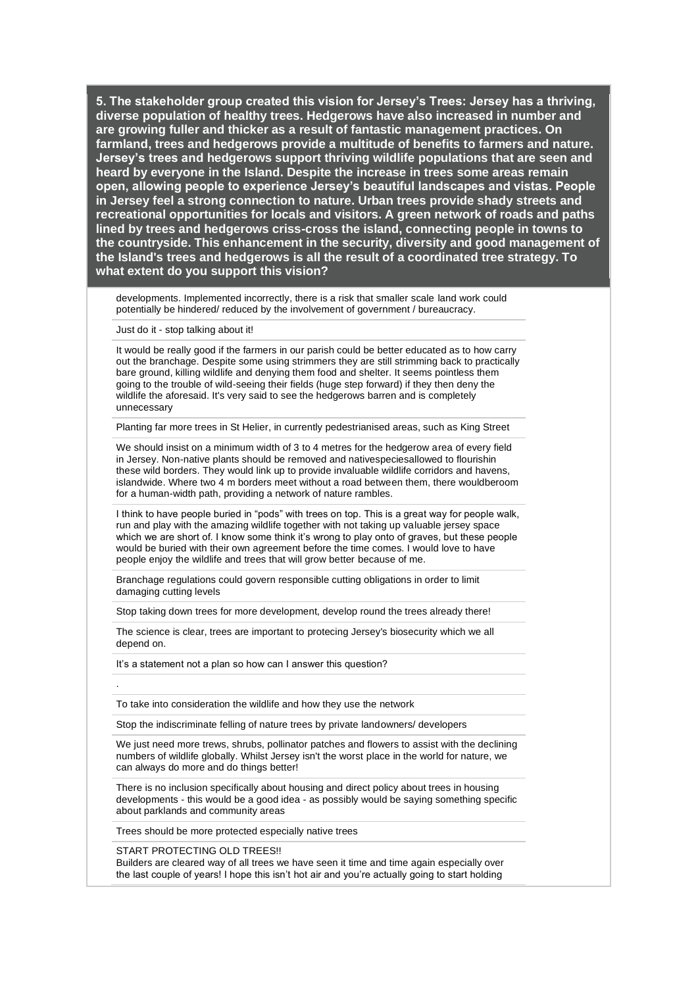developments. Implemented incorrectly, there is a risk that smaller scale land work could potentially be hindered/ reduced by the involvement of government / bureaucracy.

Just do it - stop talking about it!

It would be really good if the farmers in our parish could be better educated as to how carry out the branchage. Despite some using strimmers they are still strimming back to practically bare ground, killing wildlife and denying them food and shelter. It seems pointless them going to the trouble of wild-seeing their fields (huge step forward) if they then deny the wildlife the aforesaid. It's very said to see the hedgerows barren and is completely unnecessary

Planting far more trees in St Helier, in currently pedestrianised areas, such as King Street

We should insist on a minimum width of 3 to 4 metres for the hedgerow area of every field in Jersey. Non-native plants should be removed and nativespeciesallowed to flourishin these wild borders. They would link up to provide invaluable wildlife corridors and havens, islandwide. Where two 4 m borders meet without a road between them, there wouldberoom for a human-width path, providing a network of nature rambles.

I think to have people buried in "pods" with trees on top. This is a great way for people walk, run and play with the amazing wildlife together with not taking up valuable jersey space which we are short of. I know some think it's wrong to play onto of graves, but these people would be buried with their own agreement before the time comes. I would love to have people enjoy the wildlife and trees that will grow better because of me.

Branchage regulations could govern responsible cutting obligations in order to limit damaging cutting levels

Stop taking down trees for more development, develop round the trees already there!

The science is clear, trees are important to protecing Jersey's biosecurity which we all depend on.

It's a statement not a plan so how can I answer this question?

To take into consideration the wildlife and how they use the network

Stop the indiscriminate felling of nature trees by private landowners/ developers

We just need more trews, shrubs, pollinator patches and flowers to assist with the declining numbers of wildlife globally. Whilst Jersey isn't the worst place in the world for nature, we can always do more and do things better!

There is no inclusion specifically about housing and direct policy about trees in housing developments - this would be a good idea - as possibly would be saying something specific about parklands and community areas

Trees should be more protected especially native trees

#### START PROTECTING OLD TREES!!

.

Builders are cleared way of all trees we have seen it time and time again especially over the last couple of years! I hope this isn't hot air and you're actually going to start holding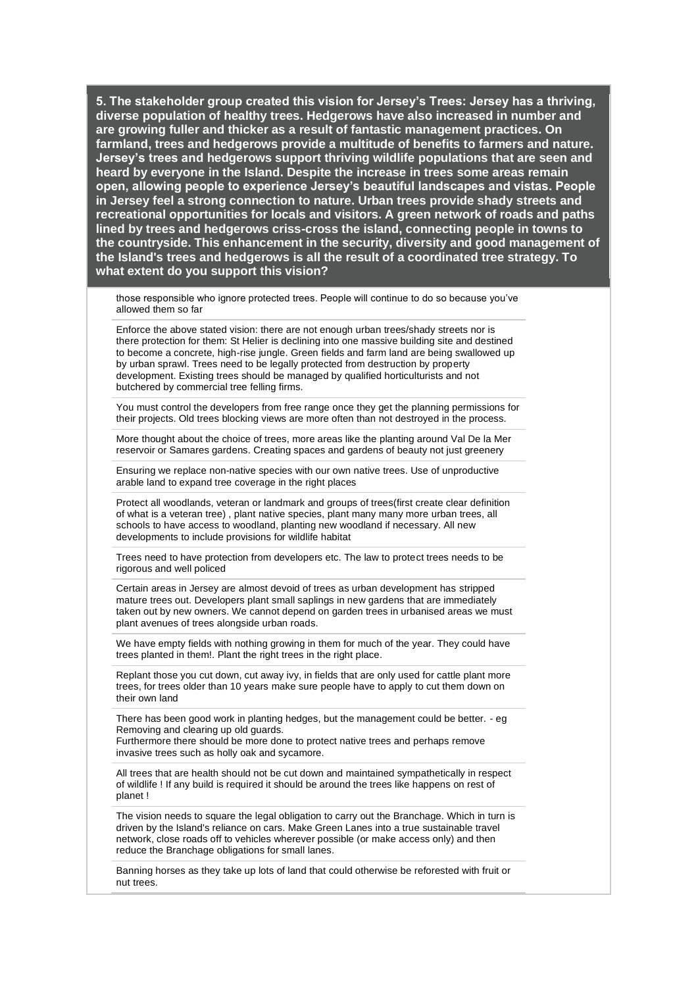those responsible who ignore protected trees. People will continue to do so because you've allowed them so far

Enforce the above stated vision: there are not enough urban trees/shady streets nor is there protection for them: St Helier is declining into one massive building site and destined to become a concrete, high-rise jungle. Green fields and farm land are being swallowed up by urban sprawl. Trees need to be legally protected from destruction by property development. Existing trees should be managed by qualified horticulturists and not butchered by commercial tree felling firms.

You must control the developers from free range once they get the planning permissions for their projects. Old trees blocking views are more often than not destroyed in the process.

More thought about the choice of trees, more areas like the planting around Val De la Mer reservoir or Samares gardens. Creating spaces and gardens of beauty not just greenery

Ensuring we replace non-native species with our own native trees. Use of unproductive arable land to expand tree coverage in the right places

Protect all woodlands, veteran or landmark and groups of trees(first create clear definition of what is a veteran tree) , plant native species, plant many many more urban trees, all schools to have access to woodland, planting new woodland if necessary. All new developments to include provisions for wildlife habitat

Trees need to have protection from developers etc. The law to protect trees needs to be rigorous and well policed

Certain areas in Jersey are almost devoid of trees as urban development has stripped mature trees out. Developers plant small saplings in new gardens that are immediately taken out by new owners. We cannot depend on garden trees in urbanised areas we must plant avenues of trees alongside urban roads.

We have empty fields with nothing growing in them for much of the year. They could have trees planted in them!. Plant the right trees in the right place.

Replant those you cut down, cut away ivy, in fields that are only used for cattle plant more trees, for trees older than 10 years make sure people have to apply to cut them down on their own land

There has been good work in planting hedges, but the management could be better. - eg Removing and clearing up old guards.

Furthermore there should be more done to protect native trees and perhaps remove invasive trees such as holly oak and sycamore.

All trees that are health should not be cut down and maintained sympathetically in respect of wildlife ! If any build is required it should be around the trees like happens on rest of planet !

The vision needs to square the legal obligation to carry out the Branchage. Which in turn is driven by the Island's reliance on cars. Make Green Lanes into a true sustainable travel network, close roads off to vehicles wherever possible (or make access only) and then reduce the Branchage obligations for small lanes.

Banning horses as they take up lots of land that could otherwise be reforested with fruit or nut trees.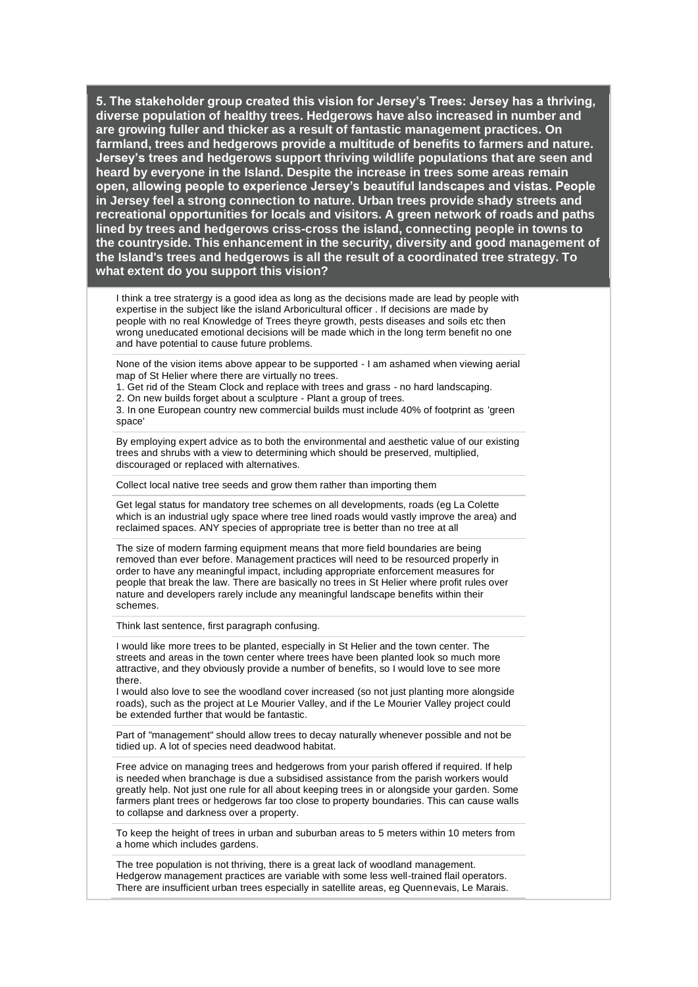I think a tree stratergy is a good idea as long as the decisions made are lead by people with expertise in the subject like the island Arboricultural officer . If decisions are made by people with no real Knowledge of Trees theyre growth, pests diseases and soils etc then wrong uneducated emotional decisions will be made which in the long term benefit no one and have potential to cause future problems.

None of the vision items above appear to be supported - I am ashamed when viewing aerial map of St Helier where there are virtually no trees.

1. Get rid of the Steam Clock and replace with trees and grass - no hard landscaping.

2. On new builds forget about a sculpture - Plant a group of trees.

3. In one European country new commercial builds must include 40% of footprint as 'green space'

By employing expert advice as to both the environmental and aesthetic value of our existing trees and shrubs with a view to determining which should be preserved, multiplied, discouraged or replaced with alternatives.

Collect local native tree seeds and grow them rather than importing them

Get legal status for mandatory tree schemes on all developments, roads (eg La Colette which is an industrial ugly space where tree lined roads would vastly improve the area) and reclaimed spaces. ANY species of appropriate tree is better than no tree at all

The size of modern farming equipment means that more field boundaries are being removed than ever before. Management practices will need to be resourced properly in order to have any meaningful impact, including appropriate enforcement measures for people that break the law. There are basically no trees in St Helier where profit rules over nature and developers rarely include any meaningful landscape benefits within their schemes.

Think last sentence, first paragraph confusing.

I would like more trees to be planted, especially in St Helier and the town center. The streets and areas in the town center where trees have been planted look so much more attractive, and they obviously provide a number of benefits, so I would love to see more there.

I would also love to see the woodland cover increased (so not just planting more alongside roads), such as the project at Le Mourier Valley, and if the Le Mourier Valley project could be extended further that would be fantastic.

Part of "management" should allow trees to decay naturally whenever possible and not be tidied up. A lot of species need deadwood habitat.

Free advice on managing trees and hedgerows from your parish offered if required. If help is needed when branchage is due a subsidised assistance from the parish workers would greatly help. Not just one rule for all about keeping trees in or alongside your garden. Some farmers plant trees or hedgerows far too close to property boundaries. This can cause walls to collapse and darkness over a property.

To keep the height of trees in urban and suburban areas to 5 meters within 10 meters from a home which includes gardens.

The tree population is not thriving, there is a great lack of woodland management. Hedgerow management practices are variable with some less well-trained flail operators. There are insufficient urban trees especially in satellite areas, eg Quennevais, Le Marais.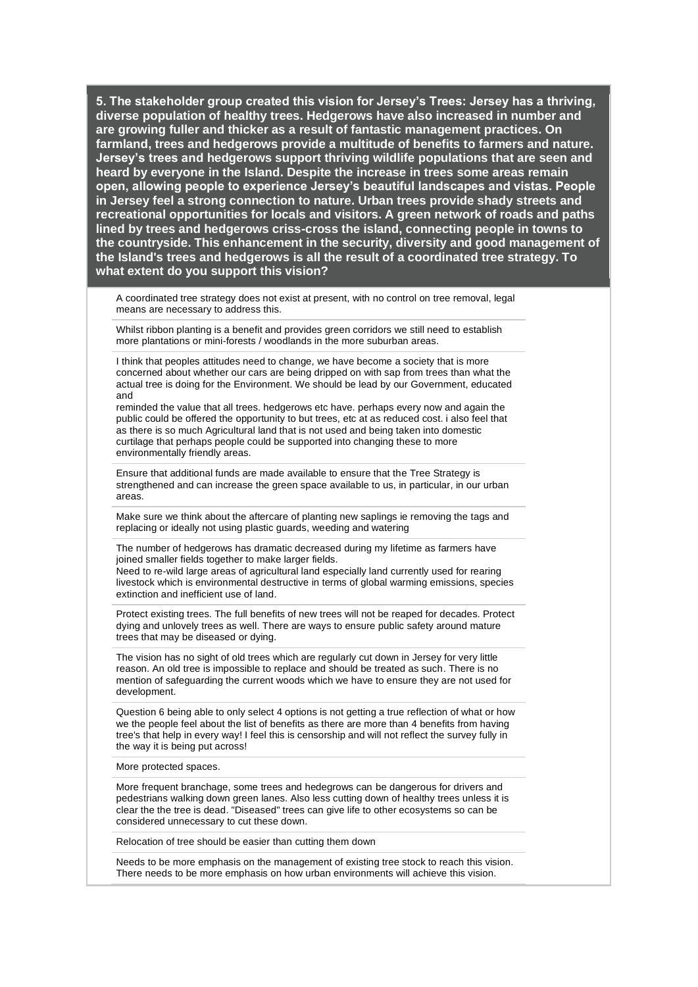A coordinated tree strategy does not exist at present, with no control on tree removal, legal means are necessary to address this.

Whilst ribbon planting is a benefit and provides green corridors we still need to establish more plantations or mini-forests / woodlands in the more suburban areas.

I think that peoples attitudes need to change, we have become a society that is more concerned about whether our cars are being dripped on with sap from trees than what the actual tree is doing for the Environment. We should be lead by our Government, educated and

reminded the value that all trees. hedgerows etc have. perhaps every now and again the public could be offered the opportunity to but trees, etc at as reduced cost. i also feel that as there is so much Agricultural land that is not used and being taken into domestic curtilage that perhaps people could be supported into changing these to more environmentally friendly areas.

Ensure that additional funds are made available to ensure that the Tree Strategy is strengthened and can increase the green space available to us, in particular, in our urban areas.

Make sure we think about the aftercare of planting new saplings ie removing the tags and replacing or ideally not using plastic guards, weeding and watering

The number of hedgerows has dramatic decreased during my lifetime as farmers have joined smaller fields together to make larger fields.

Need to re-wild large areas of agricultural land especially land currently used for rearing livestock which is environmental destructive in terms of global warming emissions, species extinction and inefficient use of land.

Protect existing trees. The full benefits of new trees will not be reaped for decades. Protect dying and unlovely trees as well. There are ways to ensure public safety around mature trees that may be diseased or dying.

The vision has no sight of old trees which are regularly cut down in Jersey for very little reason. An old tree is impossible to replace and should be treated as such. There is no mention of safeguarding the current woods which we have to ensure they are not used for development.

Question 6 being able to only select 4 options is not getting a true reflection of what or how we the people feel about the list of benefits as there are more than 4 benefits from having tree's that help in every way! I feel this is censorship and will not reflect the survey fully in the way it is being put across!

#### More protected spaces.

More frequent branchage, some trees and hedegrows can be dangerous for drivers and pedestrians walking down green lanes. Also less cutting down of healthy trees unless it is clear the the tree is dead. "Diseased" trees can give life to other ecosystems so can be considered unnecessary to cut these down.

Relocation of tree should be easier than cutting them down

Needs to be more emphasis on the management of existing tree stock to reach this vision. There needs to be more emphasis on how urban environments will achieve this vision.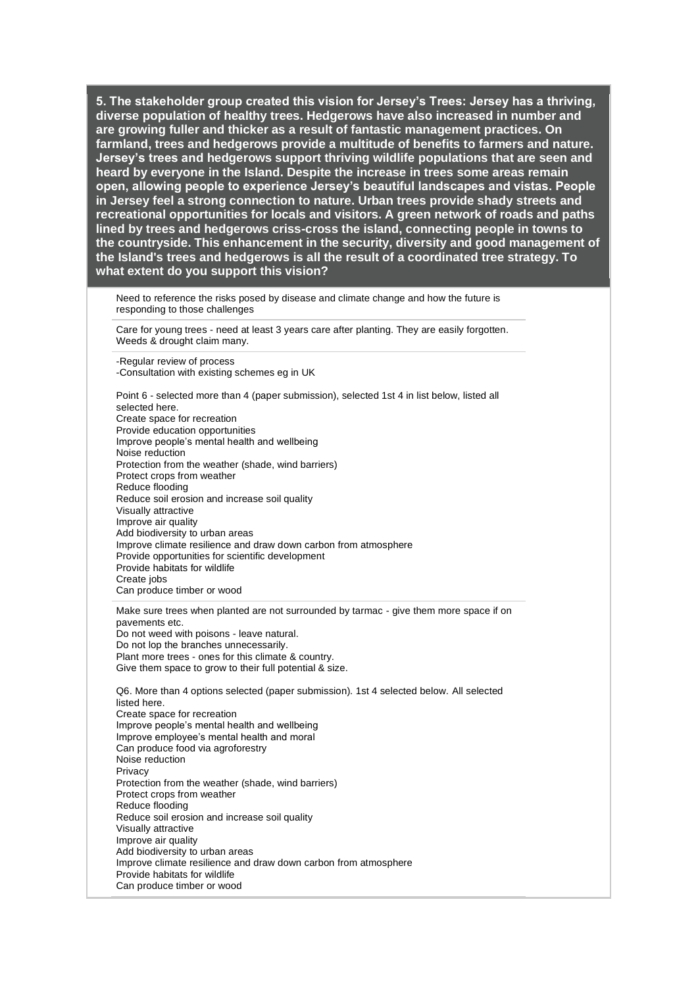Need to reference the risks posed by disease and climate change and how the future is responding to those challenges

Care for young trees - need at least 3 years care after planting. They are easily forgotten. Weeds & drought claim many.

-Regular review of process -Consultation with existing schemes eg in UK

Point 6 - selected more than 4 (paper submission), selected 1st 4 in list below, listed all selected here. Create space for recreation Provide education opportunities Improve people's mental health and wellbeing Noise reduction Protection from the weather (shade, wind barriers) Protect crops from weather Reduce flooding Reduce soil erosion and increase soil quality Visually attractive Improve air quality Add biodiversity to urban areas Improve climate resilience and draw down carbon from atmosphere Provide opportunities for scientific development Provide habitats for wildlife Create jobs Can produce timber or wood

Make sure trees when planted are not surrounded by tarmac - give them more space if on pavements etc. Do not weed with poisons - leave natural. Do not lop the branches unnecessarily. Plant more trees - ones for this climate & country. Give them space to grow to their full potential & size.

Q6. More than 4 options selected (paper submission). 1st 4 selected below. All selected listed here. Create space for recreation Improve people's mental health and wellbeing Improve employee's mental health and moral Can produce food via agroforestry Noise reduction **Privacy** Protection from the weather (shade, wind barriers) Protect crops from weather Reduce flooding Reduce soil erosion and increase soil quality Visually attractive Improve air quality Add biodiversity to urban areas Improve climate resilience and draw down carbon from atmosphere Provide habitats for wildlife Can produce timber or wood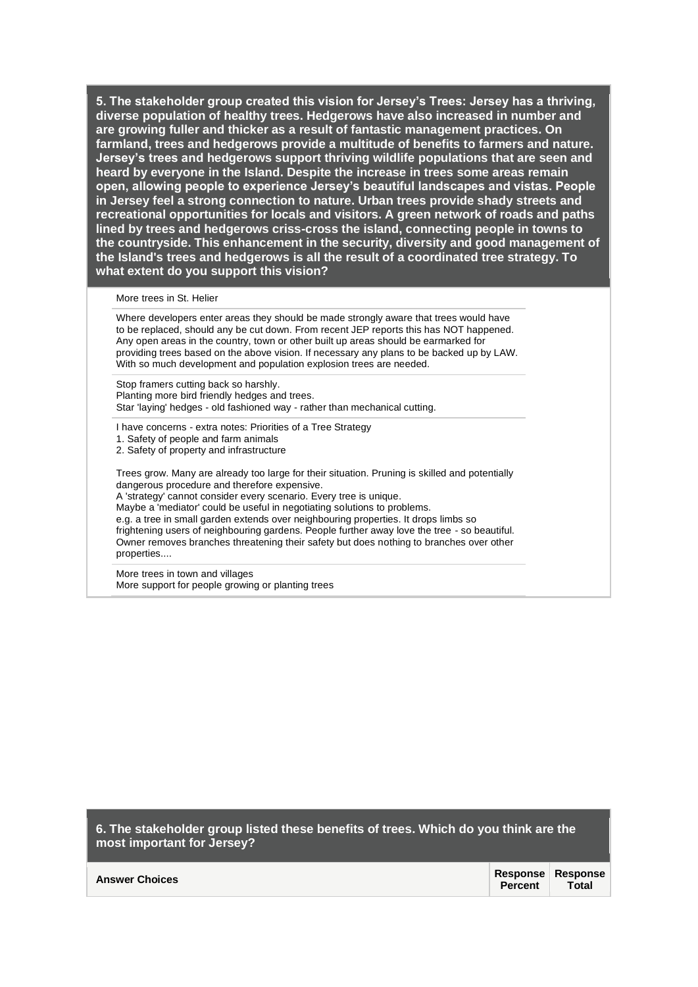#### More trees in St. Helier

Where developers enter areas they should be made strongly aware that trees would have to be replaced, should any be cut down. From recent JEP reports this has NOT happened. Any open areas in the country, town or other built up areas should be earmarked for providing trees based on the above vision. If necessary any plans to be backed up by LAW. With so much development and population explosion trees are needed.

Stop framers cutting back so harshly. Planting more bird friendly hedges and trees. Star 'laying' hedges - old fashioned way - rather than mechanical cutting.

I have concerns - extra notes: Priorities of a Tree Strategy 1. Safety of people and farm animals 2. Safety of property and infrastructure

Trees grow. Many are already too large for their situation. Pruning is skilled and potentially dangerous procedure and therefore expensive.

A 'strategy' cannot consider every scenario. Every tree is unique.

Maybe a 'mediator' could be useful in negotiating solutions to problems.

e.g. a tree in small garden extends over neighbouring properties. It drops limbs so frightening users of neighbouring gardens. People further away love the tree - so beautiful. Owner removes branches threatening their safety but does nothing to branches over other properties....

More trees in town and villages More support for people growing or planting trees

**6. The stakeholder group listed these benefits of trees. Which do you think are the most important for Jersey?** 

|                       | <b>Response Response</b> |       |
|-----------------------|--------------------------|-------|
| <b>Answer Choices</b> | Percent L                | Total |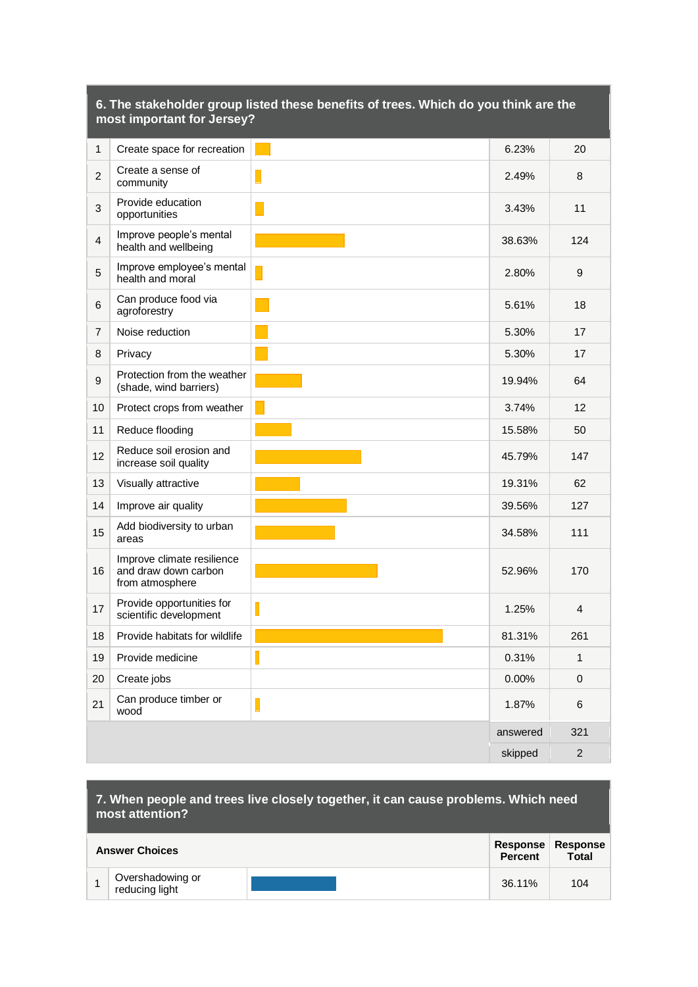|                | most important for Jersey?                                            |   |          |                |
|----------------|-----------------------------------------------------------------------|---|----------|----------------|
| $\mathbf{1}$   | Create space for recreation                                           |   | 6.23%    | 20             |
| $\overline{2}$ | Create a sense of<br>community                                        |   | 2.49%    | 8              |
| $\mathbf{3}$   | Provide education<br>opportunities                                    |   | 3.43%    | 11             |
| $\overline{4}$ | Improve people's mental<br>health and wellbeing                       |   | 38.63%   | 124            |
| $\overline{5}$ | Improve employee's mental<br>health and moral                         |   | 2.80%    | 9              |
| 6              | Can produce food via<br>agroforestry                                  |   | 5.61%    | 18             |
| $\overline{7}$ | Noise reduction                                                       |   | 5.30%    | 17             |
| 8              | Privacy                                                               |   | 5.30%    | 17             |
| 9              | Protection from the weather<br>(shade, wind barriers)                 |   | 19.94%   | 64             |
| 10             | Protect crops from weather                                            |   | 3.74%    | 12             |
| 11             | Reduce flooding                                                       |   | 15.58%   | 50             |
| 12             | Reduce soil erosion and<br>increase soil quality                      |   | 45.79%   | 147            |
| 13             | Visually attractive                                                   |   | 19.31%   | 62             |
| 14             | Improve air quality                                                   |   | 39.56%   | 127            |
| 15             | Add biodiversity to urban<br>areas                                    |   | 34.58%   | 111            |
| 16             | Improve climate resilience<br>and draw down carbon<br>from atmosphere |   | 52.96%   | 170            |
| 17             | Provide opportunities for<br>scientific development                   | Γ | 1.25%    | 4              |
| 18             | Provide habitats for wildlife                                         |   | 81.31%   | 261            |
| 19             | Provide medicine                                                      | Π | 0.31%    | $\mathbf{1}$   |
| 20             | Create jobs                                                           |   | 0.00%    | 0              |
| 21             | Can produce timber or<br>wood                                         | L | 1.87%    | 6              |
|                |                                                                       |   | answered | 321            |
|                |                                                                       |   | skipped  | $\overline{2}$ |

# **6. The stakeholder group listed these benefits of trees. Which do you think are the**

| 7. When people and trees live closely together, it can cause problems. Which need |  |  |
|-----------------------------------------------------------------------------------|--|--|
| most attention?                                                                   |  |  |

| <b>Answer Choices</b> |                                    | Percent | Response Response<br><b>Total</b> |     |
|-----------------------|------------------------------------|---------|-----------------------------------|-----|
|                       | Overshadowing or<br>reducing light |         | 36.11%                            | 104 |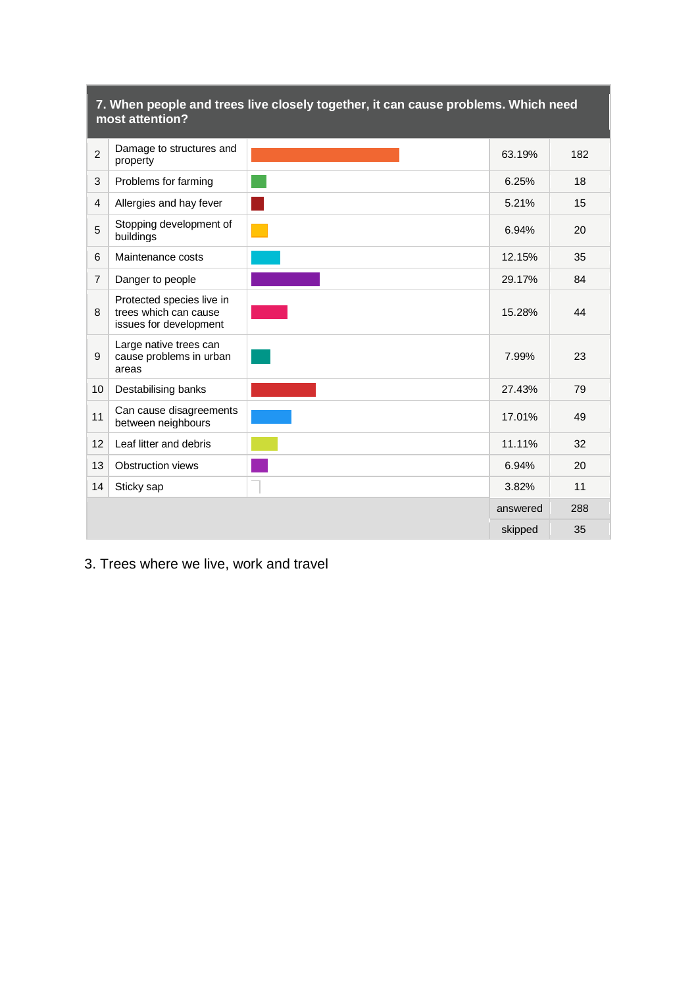|                | most attention?                                                              | 7. When people and trees live closely together, it can cause problems. Which need |          |     |
|----------------|------------------------------------------------------------------------------|-----------------------------------------------------------------------------------|----------|-----|
| $\overline{2}$ | Damage to structures and<br>property                                         |                                                                                   | 63.19%   | 182 |
| 3              | Problems for farming                                                         |                                                                                   | 6.25%    | 18  |
| $\overline{4}$ | Allergies and hay fever                                                      |                                                                                   | 5.21%    | 15  |
| 5              | Stopping development of<br>buildings                                         |                                                                                   | 6.94%    | 20  |
| 6              | Maintenance costs                                                            |                                                                                   | 12.15%   | 35  |
| $\overline{7}$ | Danger to people                                                             |                                                                                   | 29.17%   | 84  |
| 8              | Protected species live in<br>trees which can cause<br>issues for development |                                                                                   | 15.28%   | 44  |
| 9              | Large native trees can<br>cause problems in urban<br>areas                   |                                                                                   | 7.99%    | 23  |
| 10             | Destabilising banks                                                          |                                                                                   | 27.43%   | 79  |
| 11             | Can cause disagreements<br>between neighbours                                |                                                                                   | 17.01%   | 49  |
| 12             | Leaf litter and debris                                                       |                                                                                   | 11.11%   | 32  |
| 13             | Obstruction views                                                            |                                                                                   | 6.94%    | 20  |
| 14             | Sticky sap                                                                   |                                                                                   | 3.82%    | 11  |
|                |                                                                              |                                                                                   | answered | 288 |
|                |                                                                              |                                                                                   | skipped  | 35  |

# **7. When people and trees live closely together, it can cause problems. Which need**

# 3. Trees where we live, work and travel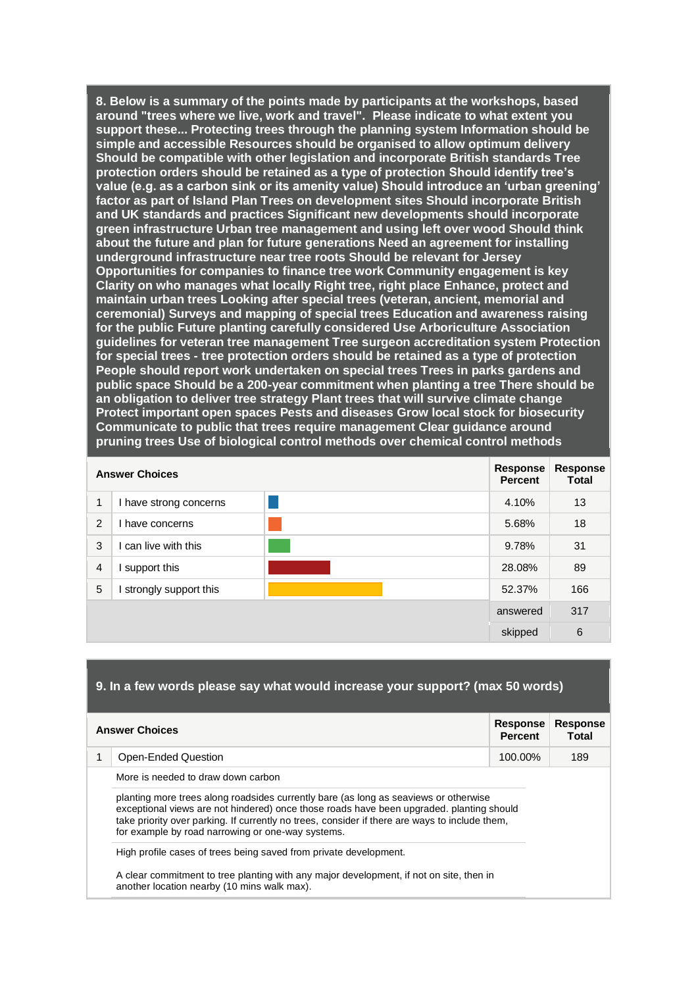**8. Below is a summary of the points made by participants at the workshops, based around "trees where we live, work and travel". Please indicate to what extent you support these... Protecting trees through the planning system Information should be simple and accessible Resources should be organised to allow optimum delivery Should be compatible with other legislation and incorporate British standards Tree protection orders should be retained as a type of protection Should identify tree's value (e.g. as a carbon sink or its amenity value) Should introduce an 'urban greening' factor as part of Island Plan Trees on development sites Should incorporate British and UK standards and practices Significant new developments should incorporate green infrastructure Urban tree management and using left over wood Should think about the future and plan for future generations Need an agreement for installing underground infrastructure near tree roots Should be relevant for Jersey Opportunities for companies to finance tree work Community engagement is key Clarity on who manages what locally Right tree, right place Enhance, protect and maintain urban trees Looking after special trees (veteran, ancient, memorial and ceremonial) Surveys and mapping of special trees Education and awareness raising for the public Future planting carefully considered Use Arboriculture Association guidelines for veteran tree management Tree surgeon accreditation system Protection for special trees - tree protection orders should be retained as a type of protection People should report work undertaken on special trees Trees in parks gardens and public space Should be a 200-year commitment when planting a tree There should be an obligation to deliver tree strategy Plant trees that will survive climate change Protect important open spaces Pests and diseases Grow local stock for biosecurity Communicate to public that trees require management Clear guidance around pruning trees Use of biological control methods over chemical control methods** 

|                | <b>Answer Choices</b>  | Response<br><b>Percent</b> | <b>Response</b><br><b>Total</b> |
|----------------|------------------------|----------------------------|---------------------------------|
| 1              | I have strong concerns | 4.10%                      | 13                              |
| $\mathcal{P}$  | have concerns          | 5.68%                      | 18                              |
| 3              | can live with this     | 9.78%                      | 31                              |
| $\overline{4}$ | support this           | 28.08%                     | 89                              |
| 5              | strongly support this  | 52.37%                     | 166                             |
|                |                        | answered                   | 317                             |
|                |                        | skipped                    | $6\phantom{1}6$                 |

## **9. In a few words please say what would increase your support? (max 50 words)**

|   | <b>Answer Choices</b>                                                                                                                                                                                                                                                                                                                   | <b>Response</b><br><b>Percent</b> | <b>Response</b><br>Total |
|---|-----------------------------------------------------------------------------------------------------------------------------------------------------------------------------------------------------------------------------------------------------------------------------------------------------------------------------------------|-----------------------------------|--------------------------|
| 1 | Open-Ended Question                                                                                                                                                                                                                                                                                                                     | 100.00%                           | 189                      |
|   | More is needed to draw down carbon                                                                                                                                                                                                                                                                                                      |                                   |                          |
|   | planting more trees along roadsides currently bare (as long as seaviews or otherwise<br>exceptional views are not hindered) once those roads have been upgraded, planting should<br>take priority over parking. If currently no trees, consider if there are ways to include them,<br>for example by road narrowing or one-way systems. |                                   |                          |
|   | High profile cases of trees being saved from private development.                                                                                                                                                                                                                                                                       |                                   |                          |
|   | A clear commitment to tree planting with any major development, if not on site, then in<br>another location nearby (10 mins walk max).                                                                                                                                                                                                  |                                   |                          |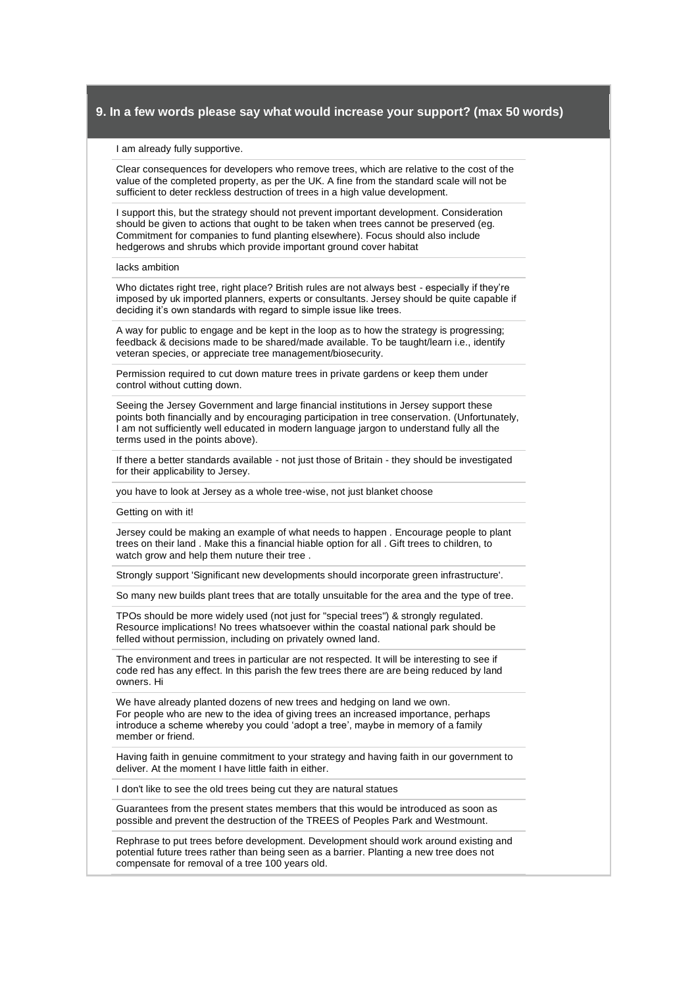#### I am already fully supportive.

Clear consequences for developers who remove trees, which are relative to the cost of the value of the completed property, as per the UK. A fine from the standard scale will not be sufficient to deter reckless destruction of trees in a high value development.

I support this, but the strategy should not prevent important development. Consideration should be given to actions that ought to be taken when trees cannot be preserved (eg. Commitment for companies to fund planting elsewhere). Focus should also include hedgerows and shrubs which provide important ground cover habitat

#### lacks ambition

Who dictates right tree, right place? British rules are not always best - especially if they're imposed by uk imported planners, experts or consultants. Jersey should be quite capable if deciding it's own standards with regard to simple issue like trees.

A way for public to engage and be kept in the loop as to how the strategy is progressing; feedback & decisions made to be shared/made available. To be taught/learn i.e., identify veteran species, or appreciate tree management/biosecurity.

Permission required to cut down mature trees in private gardens or keep them under control without cutting down.

Seeing the Jersey Government and large financial institutions in Jersey support these points both financially and by encouraging participation in tree conservation. (Unfortunately, I am not sufficiently well educated in modern language jargon to understand fully all the terms used in the points above).

If there a better standards available - not just those of Britain - they should be investigated for their applicability to Jersey.

you have to look at Jersey as a whole tree-wise, not just blanket choose

Getting on with it!

Jersey could be making an example of what needs to happen . Encourage people to plant trees on their land . Make this a financial hiable option for all . Gift trees to children, to watch grow and help them nuture their tree .

Strongly support 'Significant new developments should incorporate green infrastructure'.

So many new builds plant trees that are totally unsuitable for the area and the type of tree.

TPOs should be more widely used (not just for "special trees") & strongly regulated. Resource implications! No trees whatsoever within the coastal national park should be felled without permission, including on privately owned land.

The environment and trees in particular are not respected. It will be interesting to see if code red has any effect. In this parish the few trees there are are being reduced by land owners. Hi

We have already planted dozens of new trees and hedging on land we own. For people who are new to the idea of giving trees an increased importance, perhaps introduce a scheme whereby you could 'adopt a tree', maybe in memory of a family member or friend.

Having faith in genuine commitment to your strategy and having faith in our government to deliver. At the moment I have little faith in either.

I don't like to see the old trees being cut they are natural statues

Guarantees from the present states members that this would be introduced as soon as possible and prevent the destruction of the TREES of Peoples Park and Westmount.

Rephrase to put trees before development. Development should work around existing and potential future trees rather than being seen as a barrier. Planting a new tree does not compensate for removal of a tree 100 years old.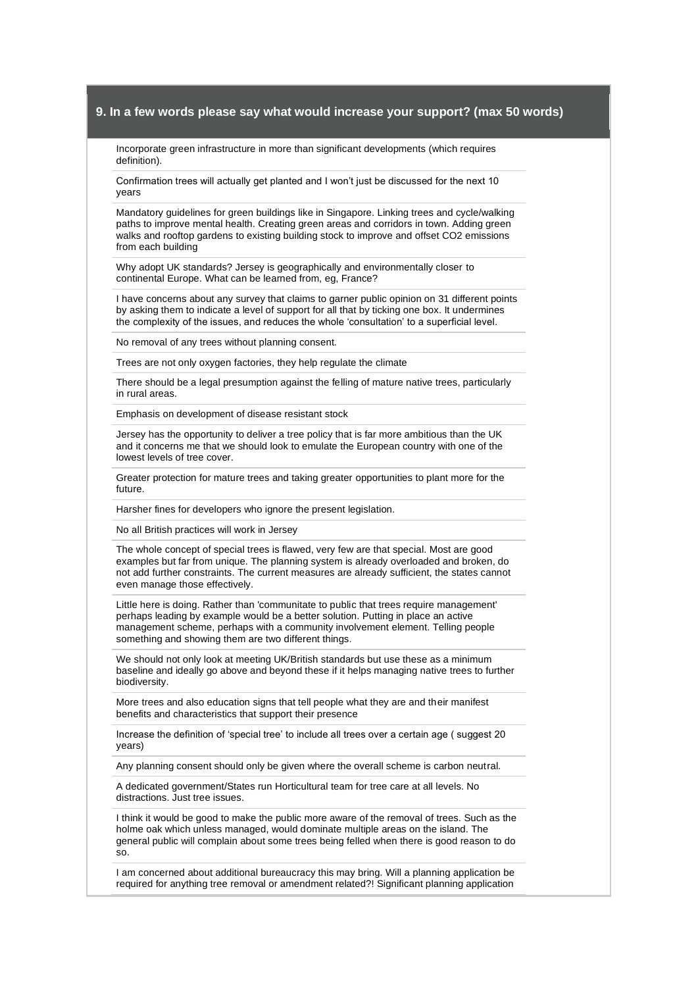Incorporate green infrastructure in more than significant developments (which requires definition).

Confirmation trees will actually get planted and I won't just be discussed for the next 10 years

Mandatory guidelines for green buildings like in Singapore. Linking trees and cycle/walking paths to improve mental health. Creating green areas and corridors in town. Adding green walks and rooftop gardens to existing building stock to improve and offset CO2 emissions from each building

Why adopt UK standards? Jersey is geographically and environmentally closer to continental Europe. What can be learned from, eg, France?

I have concerns about any survey that claims to garner public opinion on 31 different points by asking them to indicate a level of support for all that by ticking one box. It undermines the complexity of the issues, and reduces the whole 'consultation' to a superficial level.

No removal of any trees without planning consent.

Trees are not only oxygen factories, they help regulate the climate

There should be a legal presumption against the felling of mature native trees, particularly in rural areas.

Emphasis on development of disease resistant stock

Jersey has the opportunity to deliver a tree policy that is far more ambitious than the UK and it concerns me that we should look to emulate the European country with one of the lowest levels of tree cover.

Greater protection for mature trees and taking greater opportunities to plant more for the future.

Harsher fines for developers who ignore the present legislation.

No all British practices will work in Jersey

The whole concept of special trees is flawed, very few are that special. Most are good examples but far from unique. The planning system is already overloaded and broken, do not add further constraints. The current measures are already sufficient, the states cannot even manage those effectively.

Little here is doing. Rather than 'communitate to public that trees require management' perhaps leading by example would be a better solution. Putting in place an active management scheme, perhaps with a community involvement element. Telling people something and showing them are two different things.

We should not only look at meeting UK/British standards but use these as a minimum baseline and ideally go above and beyond these if it helps managing native trees to further biodiversity.

More trees and also education signs that tell people what they are and their manifest benefits and characteristics that support their presence

Increase the definition of 'special tree' to include all trees over a certain age ( suggest 20 years)

Any planning consent should only be given where the overall scheme is carbon neutral.

A dedicated government/States run Horticultural team for tree care at all levels. No distractions. Just tree issues.

I think it would be good to make the public more aware of the removal of trees. Such as the holme oak which unless managed, would dominate multiple areas on the island. The general public will complain about some trees being felled when there is good reason to do so.

I am concerned about additional bureaucracy this may bring. Will a planning application be required for anything tree removal or amendment related?! Significant planning application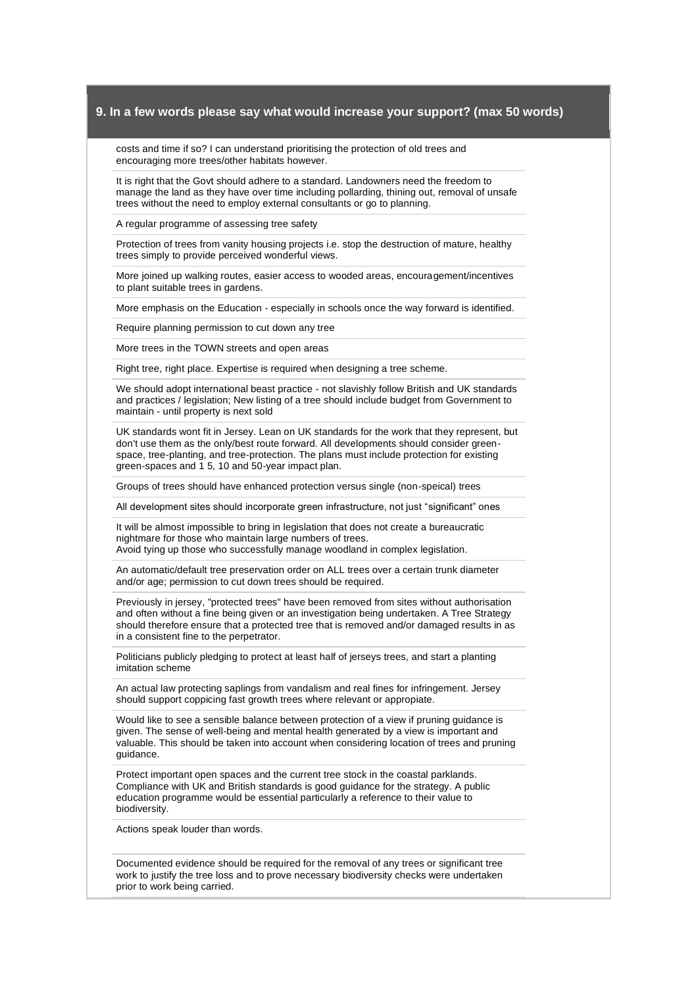costs and time if so? I can understand prioritising the protection of old trees and encouraging more trees/other habitats however.

It is right that the Govt should adhere to a standard. Landowners need the freedom to manage the land as they have over time including pollarding, thining out, removal of unsafe trees without the need to employ external consultants or go to planning.

A regular programme of assessing tree safety

Protection of trees from vanity housing projects i.e. stop the destruction of mature, healthy trees simply to provide perceived wonderful views.

More joined up walking routes, easier access to wooded areas, encouragement/incentives to plant suitable trees in gardens.

More emphasis on the Education - especially in schools once the way forward is identified.

Require planning permission to cut down any tree

More trees in the TOWN streets and open areas

Right tree, right place. Expertise is required when designing a tree scheme.

We should adopt international beast practice - not slavishly follow British and UK standards and practices / legislation; New listing of a tree should include budget from Government to maintain - until property is next sold

UK standards wont fit in Jersey. Lean on UK standards for the work that they represent, but don't use them as the only/best route forward. All developments should consider greenspace, tree-planting, and tree-protection. The plans must include protection for existing green-spaces and 1 5, 10 and 50-year impact plan.

Groups of trees should have enhanced protection versus single (non-speical) trees

All development sites should incorporate green infrastructure, not just "significant" ones

It will be almost impossible to bring in legislation that does not create a bureaucratic nightmare for those who maintain large numbers of trees. Avoid tying up those who successfully manage woodland in complex legislation.

An automatic/default tree preservation order on ALL trees over a certain trunk diameter and/or age; permission to cut down trees should be required.

Previously in jersey, "protected trees" have been removed from sites without authorisation and often without a fine being given or an investigation being undertaken. A Tree Strategy should therefore ensure that a protected tree that is removed and/or damaged results in as in a consistent fine to the perpetrator.

Politicians publicly pledging to protect at least half of jerseys trees, and start a planting imitation scheme

An actual law protecting saplings from vandalism and real fines for infringement. Jersey should support coppicing fast growth trees where relevant or appropiate.

Would like to see a sensible balance between protection of a view if pruning guidance is given. The sense of well-being and mental health generated by a view is important and valuable. This should be taken into account when considering location of trees and pruning guidance.

Protect important open spaces and the current tree stock in the coastal parklands. Compliance with UK and British standards is good guidance for the strategy. A public education programme would be essential particularly a reference to their value to biodiversity.

Actions speak louder than words.

Documented evidence should be required for the removal of any trees or significant tree work to justify the tree loss and to prove necessary biodiversity checks were undertaken prior to work being carried.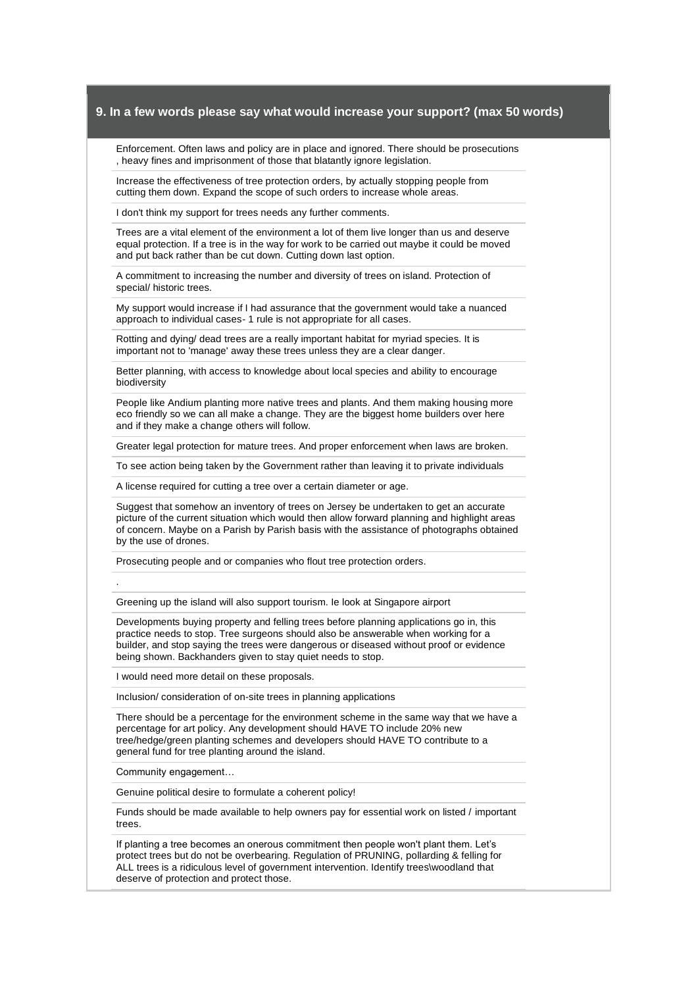Enforcement. Often laws and policy are in place and ignored. There should be prosecutions , heavy fines and imprisonment of those that blatantly ignore legislation.

Increase the effectiveness of tree protection orders, by actually stopping people from cutting them down. Expand the scope of such orders to increase whole areas.

I don't think my support for trees needs any further comments.

Trees are a vital element of the environment a lot of them live longer than us and deserve equal protection. If a tree is in the way for work to be carried out maybe it could be moved and put back rather than be cut down. Cutting down last option.

A commitment to increasing the number and diversity of trees on island. Protection of special/ historic trees.

My support would increase if I had assurance that the government would take a nuanced approach to individual cases- 1 rule is not appropriate for all cases.

Rotting and dying/ dead trees are a really important habitat for myriad species. It is important not to 'manage' away these trees unless they are a clear danger.

Better planning, with access to knowledge about local species and ability to encourage biodiversity

People like Andium planting more native trees and plants. And them making housing more eco friendly so we can all make a change. They are the biggest home builders over here and if they make a change others will follow.

Greater legal protection for mature trees. And proper enforcement when laws are broken.

To see action being taken by the Government rather than leaving it to private individuals

A license required for cutting a tree over a certain diameter or age.

Suggest that somehow an inventory of trees on Jersey be undertaken to get an accurate picture of the current situation which would then allow forward planning and highlight areas of concern. Maybe on a Parish by Parish basis with the assistance of photographs obtained by the use of drones.

Prosecuting people and or companies who flout tree protection orders.

Greening up the island will also support tourism. Ie look at Singapore airport

Developments buying property and felling trees before planning applications go in, this practice needs to stop. Tree surgeons should also be answerable when working for a builder, and stop saying the trees were dangerous or diseased without proof or evidence being shown. Backhanders given to stay quiet needs to stop.

I would need more detail on these proposals.

Inclusion/ consideration of on-site trees in planning applications

There should be a percentage for the environment scheme in the same way that we have a percentage for art policy. Any development should HAVE TO include 20% new tree/hedge/green planting schemes and developers should HAVE TO contribute to a general fund for tree planting around the island.

Community engagement…

.

Genuine political desire to formulate a coherent policy!

Funds should be made available to help owners pay for essential work on listed / important trees.

If planting a tree becomes an onerous commitment then people won't plant them. Let's protect trees but do not be overbearing. Regulation of PRUNING, pollarding & felling for ALL trees is a ridiculous level of government intervention. Identify trees\woodland that deserve of protection and protect those.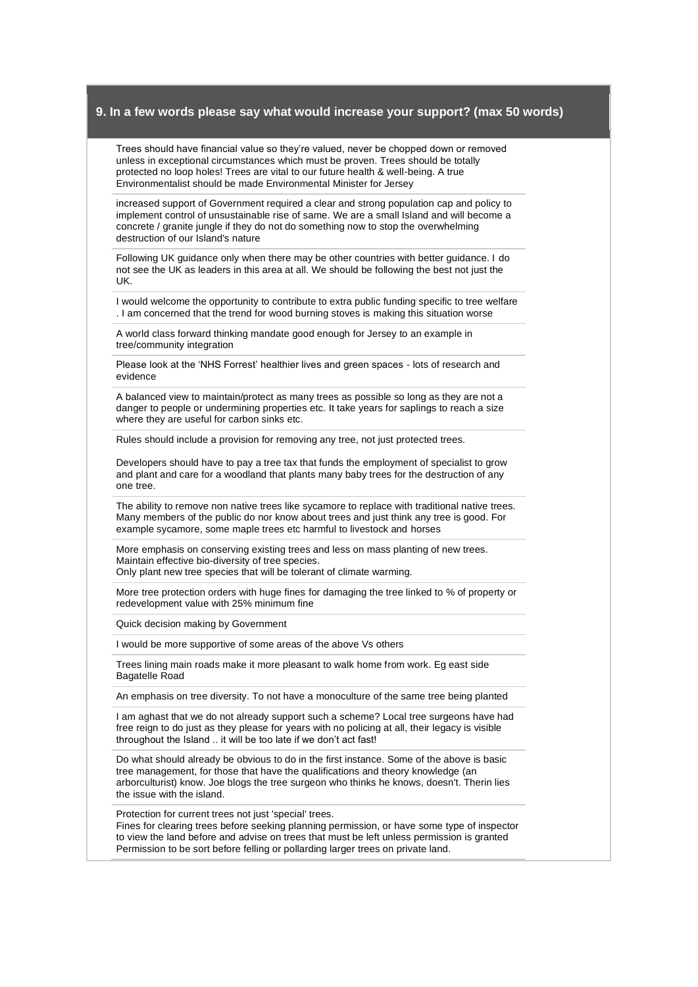Trees should have financial value so they're valued, never be chopped down or removed unless in exceptional circumstances which must be proven. Trees should be totally protected no loop holes! Trees are vital to our future health & well-being. A true Environmentalist should be made Environmental Minister for Jersey

increased support of Government required a clear and strong population cap and policy to implement control of unsustainable rise of same. We are a small Island and will become a concrete / granite jungle if they do not do something now to stop the overwhelming destruction of our Island's nature

Following UK guidance only when there may be other countries with better guidance. I do not see the UK as leaders in this area at all. We should be following the best not just the UK.

I would welcome the opportunity to contribute to extra public funding specific to tree welfare . I am concerned that the trend for wood burning stoves is making this situation worse

A world class forward thinking mandate good enough for Jersey to an example in tree/community integration

Please look at the 'NHS Forrest' healthier lives and green spaces - lots of research and evidence

A balanced view to maintain/protect as many trees as possible so long as they are not a danger to people or undermining properties etc. It take years for saplings to reach a size where they are useful for carbon sinks etc.

Rules should include a provision for removing any tree, not just protected trees.

Developers should have to pay a tree tax that funds the employment of specialist to grow and plant and care for a woodland that plants many baby trees for the destruction of any one tree.

The ability to remove non native trees like sycamore to replace with traditional native trees. Many members of the public do nor know about trees and just think any tree is good. For example sycamore, some maple trees etc harmful to livestock and horses

More emphasis on conserving existing trees and less on mass planting of new trees. Maintain effective bio-diversity of tree species.

Only plant new tree species that will be tolerant of climate warming.

More tree protection orders with huge fines for damaging the tree linked to % of property or redevelopment value with 25% minimum fine

Quick decision making by Government

I would be more supportive of some areas of the above Vs others

Trees lining main roads make it more pleasant to walk home from work. Eg east side Bagatelle Road

An emphasis on tree diversity. To not have a monoculture of the same tree being planted

I am aghast that we do not already support such a scheme? Local tree surgeons have had free reign to do just as they please for years with no policing at all, their legacy is visible throughout the Island .. it will be too late if we don't act fast!

Do what should already be obvious to do in the first instance. Some of the above is basic tree management, for those that have the qualifications and theory knowledge (an arborculturist) know. Joe blogs the tree surgeon who thinks he knows, doesn't. Therin lies the issue with the island.

Protection for current trees not just 'special' trees.

Fines for clearing trees before seeking planning permission, or have some type of inspector to view the land before and advise on trees that must be left unless permission is granted Permission to be sort before felling or pollarding larger trees on private land.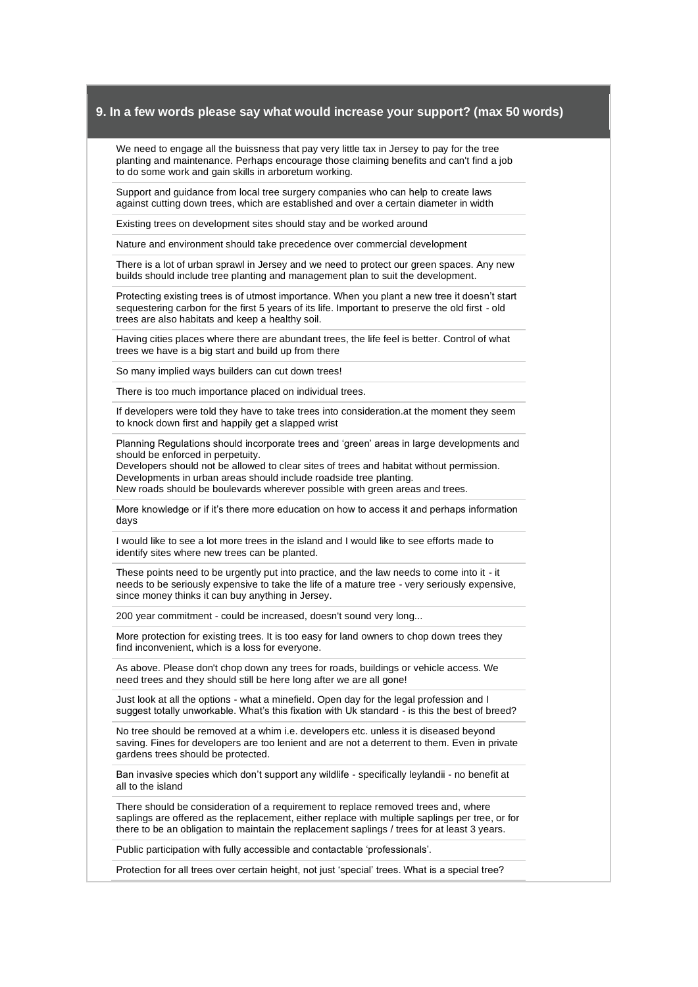We need to engage all the buissness that pay very little tax in Jersey to pay for the tree planting and maintenance. Perhaps encourage those claiming benefits and can't find a job to do some work and gain skills in arboretum working.

Support and guidance from local tree surgery companies who can help to create laws against cutting down trees, which are established and over a certain diameter in width

Existing trees on development sites should stay and be worked around

Nature and environment should take precedence over commercial development

There is a lot of urban sprawl in Jersey and we need to protect our green spaces. Any new builds should include tree planting and management plan to suit the development.

Protecting existing trees is of utmost importance. When you plant a new tree it doesn't start sequestering carbon for the first 5 years of its life. Important to preserve the old first - old trees are also habitats and keep a healthy soil.

Having cities places where there are abundant trees, the life feel is better. Control of what trees we have is a big start and build up from there

So many implied ways builders can cut down trees!

There is too much importance placed on individual trees.

If developers were told they have to take trees into consideration.at the moment they seem to knock down first and happily get a slapped wrist

Planning Regulations should incorporate trees and 'green' areas in large developments and should be enforced in perpetuity.

Developers should not be allowed to clear sites of trees and habitat without permission. Developments in urban areas should include roadside tree planting. New roads should be boulevards wherever possible with green areas and trees.

More knowledge or if it's there more education on how to access it and perhaps information days

I would like to see a lot more trees in the island and I would like to see efforts made to identify sites where new trees can be planted.

These points need to be urgently put into practice, and the law needs to come into it - it needs to be seriously expensive to take the life of a mature tree - very seriously expensive, since money thinks it can buy anything in Jersey.

200 year commitment - could be increased, doesn't sound very long...

More protection for existing trees. It is too easy for land owners to chop down trees they find inconvenient, which is a loss for everyone.

As above. Please don't chop down any trees for roads, buildings or vehicle access. We need trees and they should still be here long after we are all gone!

Just look at all the options - what a minefield. Open day for the legal profession and I suggest totally unworkable. What's this fixation with Uk standard - is this the best of breed?

No tree should be removed at a whim i.e. developers etc. unless it is diseased beyond saving. Fines for developers are too lenient and are not a deterrent to them. Even in private gardens trees should be protected.

Ban invasive species which don't support any wildlife - specifically leylandii - no benefit at all to the island

There should be consideration of a requirement to replace removed trees and, where saplings are offered as the replacement, either replace with multiple saplings per tree, or for there to be an obligation to maintain the replacement saplings / trees for at least 3 years.

Public participation with fully accessible and contactable 'professionals'.

Protection for all trees over certain height, not just 'special' trees. What is a special tree?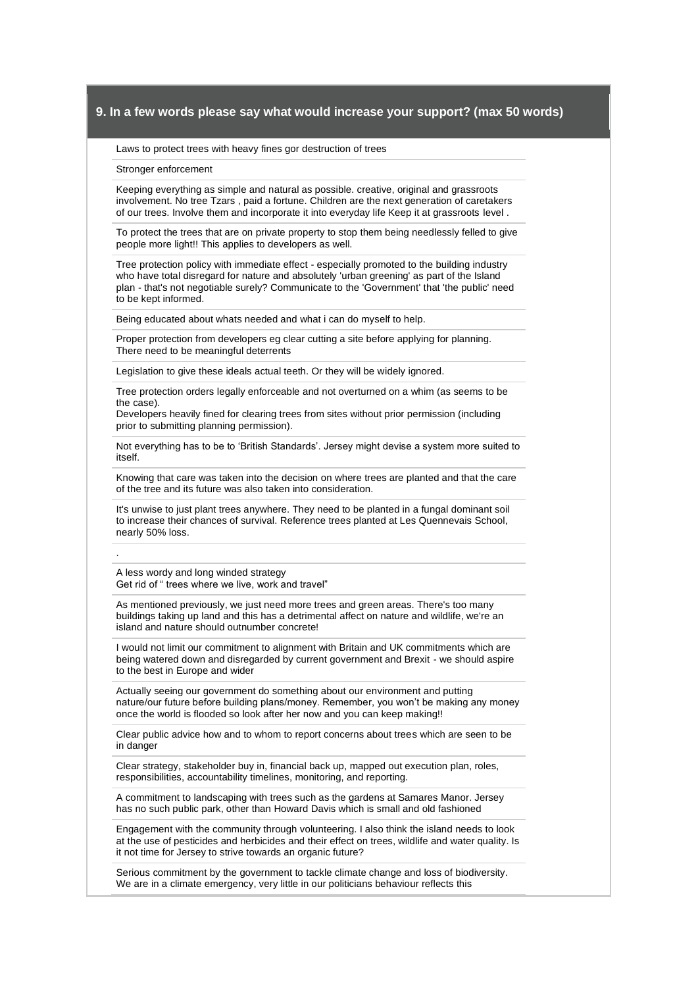Laws to protect trees with heavy fines gor destruction of trees

Stronger enforcement

Keeping everything as simple and natural as possible. creative, original and grassroots involvement. No tree Tzars , paid a fortune. Children are the next generation of caretakers of our trees. Involve them and incorporate it into everyday life Keep it at grassroots level .

To protect the trees that are on private property to stop them being needlessly felled to give people more light!! This applies to developers as well.

Tree protection policy with immediate effect - especially promoted to the building industry who have total disregard for nature and absolutely 'urban greening' as part of the Island plan - that's not negotiable surely? Communicate to the 'Government' that 'the public' need to be kept informed.

Being educated about whats needed and what i can do myself to help.

Proper protection from developers eg clear cutting a site before applying for planning. There need to be meaningful deterrents

Legislation to give these ideals actual teeth. Or they will be widely ignored.

Tree protection orders legally enforceable and not overturned on a whim (as seems to be the case).

Developers heavily fined for clearing trees from sites without prior permission (including prior to submitting planning permission).

Not everything has to be to 'British Standards'. Jersey might devise a system more suited to itself.

Knowing that care was taken into the decision on where trees are planted and that the care of the tree and its future was also taken into consideration.

It's unwise to just plant trees anywhere. They need to be planted in a fungal dominant soil to increase their chances of survival. Reference trees planted at Les Quennevais School, nearly 50% loss.

A less wordy and long winded strategy Get rid of " trees where we live, work and travel"

.

As mentioned previously, we just need more trees and green areas. There's too many buildings taking up land and this has a detrimental affect on nature and wildlife, we're an island and nature should outnumber concrete!

I would not limit our commitment to alignment with Britain and UK commitments which are being watered down and disregarded by current government and Brexit - we should aspire to the best in Europe and wider

Actually seeing our government do something about our environment and putting nature/our future before building plans/money. Remember, you won't be making any money once the world is flooded so look after her now and you can keep making!!

Clear public advice how and to whom to report concerns about trees which are seen to be in danger

Clear strategy, stakeholder buy in, financial back up, mapped out execution plan, roles, responsibilities, accountability timelines, monitoring, and reporting.

A commitment to landscaping with trees such as the gardens at Samares Manor. Jersey has no such public park, other than Howard Davis which is small and old fashioned

Engagement with the community through volunteering. I also think the island needs to look at the use of pesticides and herbicides and their effect on trees, wildlife and water quality. Is it not time for Jersey to strive towards an organic future?

Serious commitment by the government to tackle climate change and loss of biodiversity. We are in a climate emergency, very little in our politicians behaviour reflects this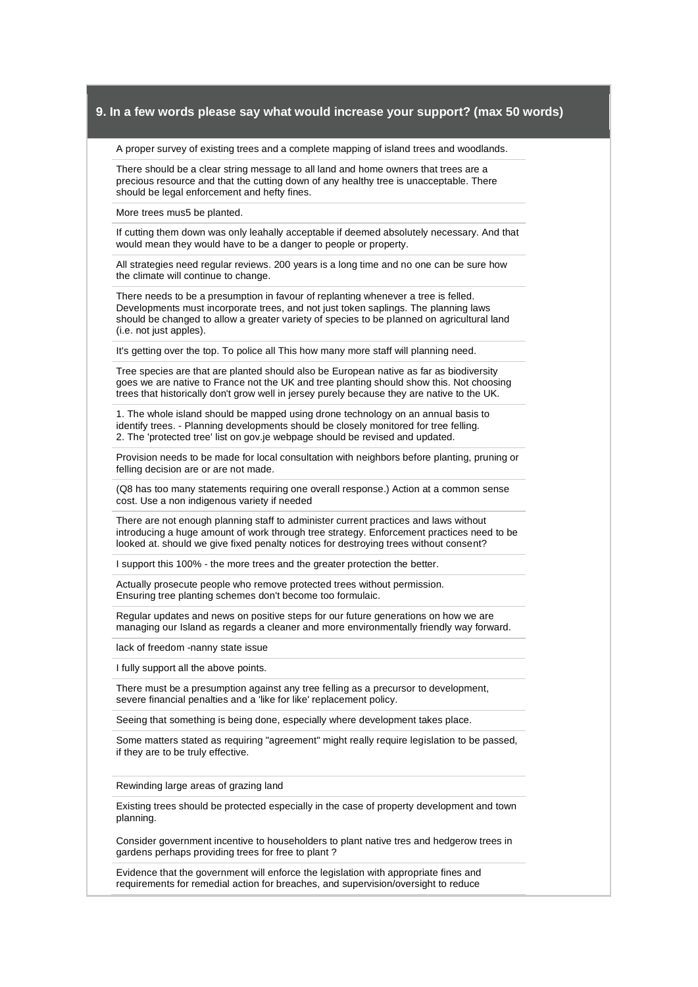A proper survey of existing trees and a complete mapping of island trees and woodlands.

There should be a clear string message to all land and home owners that trees are a precious resource and that the cutting down of any healthy tree is unacceptable. There should be legal enforcement and hefty fines.

More trees mus5 be planted.

If cutting them down was only leahally acceptable if deemed absolutely necessary. And that would mean they would have to be a danger to people or property.

All strategies need regular reviews. 200 years is a long time and no one can be sure how the climate will continue to change.

There needs to be a presumption in favour of replanting whenever a tree is felled. Developments must incorporate trees, and not just token saplings. The planning laws should be changed to allow a greater variety of species to be planned on agricultural land (i.e. not just apples).

It's getting over the top. To police all This how many more staff will planning need.

Tree species are that are planted should also be European native as far as biodiversity goes we are native to France not the UK and tree planting should show this. Not choosing trees that historically don't grow well in jersey purely because they are native to the UK.

1. The whole island should be mapped using drone technology on an annual basis to identify trees. - Planning developments should be closely monitored for tree felling. 2. The 'protected tree' list on gov.je webpage should be revised and updated.

Provision needs to be made for local consultation with neighbors before planting, pruning or felling decision are or are not made.

(Q8 has too many statements requiring one overall response.) Action at a common sense cost. Use a non indigenous variety if needed

There are not enough planning staff to administer current practices and laws without introducing a huge amount of work through tree strategy. Enforcement practices need to be looked at. should we give fixed penalty notices for destroying trees without consent?

I support this 100% - the more trees and the greater protection the better.

Actually prosecute people who remove protected trees without permission. Ensuring tree planting schemes don't become too formulaic.

Regular updates and news on positive steps for our future generations on how we are managing our Island as regards a cleaner and more environmentally friendly way forward.

lack of freedom -nanny state issue

I fully support all the above points.

There must be a presumption against any tree felling as a precursor to development, severe financial penalties and a 'like for like' replacement policy.

Seeing that something is being done, especially where development takes place.

Some matters stated as requiring "agreement" might really require legislation to be passed, if they are to be truly effective.

Rewinding large areas of grazing land

Existing trees should be protected especially in the case of property development and town planning.

Consider government incentive to householders to plant native tres and hedgerow trees in gardens perhaps providing trees for free to plant ?

Evidence that the government will enforce the legislation with appropriate fines and requirements for remedial action for breaches, and supervision/oversight to reduce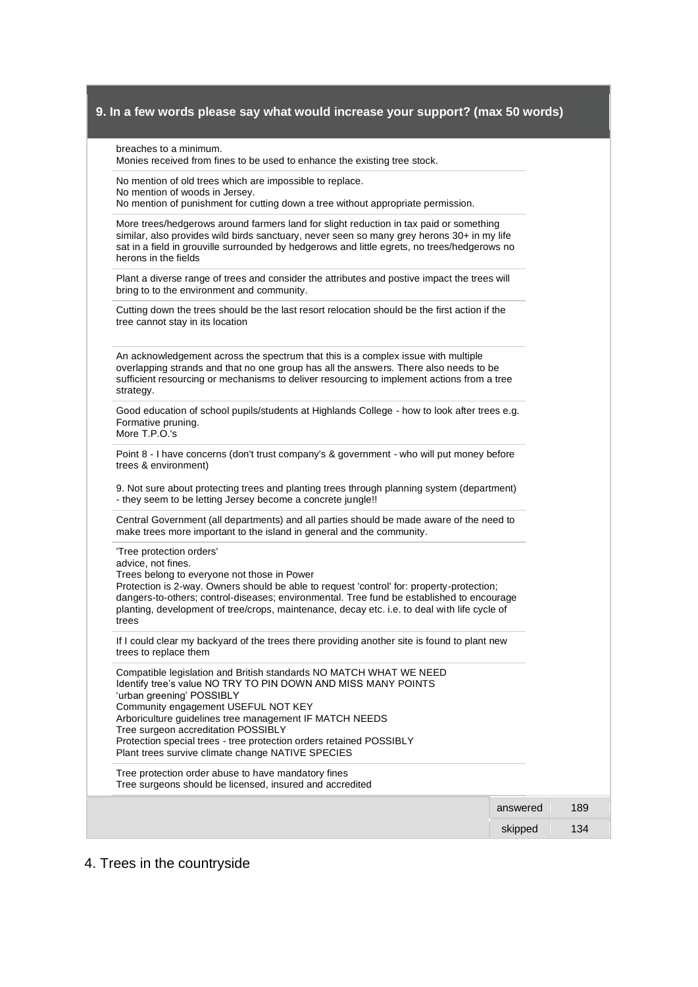| Monies received from fines to be used to enhance the existing tree stock.                                                                                                                                                                                                                                                                                                                                                             |          |     |
|---------------------------------------------------------------------------------------------------------------------------------------------------------------------------------------------------------------------------------------------------------------------------------------------------------------------------------------------------------------------------------------------------------------------------------------|----------|-----|
| No mention of old trees which are impossible to replace.<br>No mention of woods in Jersey.                                                                                                                                                                                                                                                                                                                                            |          |     |
| No mention of punishment for cutting down a tree without appropriate permission.                                                                                                                                                                                                                                                                                                                                                      |          |     |
| More trees/hedgerows around farmers land for slight reduction in tax paid or something<br>similar, also provides wild birds sanctuary, never seen so many grey herons 30+ in my life<br>sat in a field in grouville surrounded by hedgerows and little egrets, no trees/hedgerows no<br>herons in the fields                                                                                                                          |          |     |
| Plant a diverse range of trees and consider the attributes and postive impact the trees will<br>bring to to the environment and community.                                                                                                                                                                                                                                                                                            |          |     |
| Cutting down the trees should be the last resort relocation should be the first action if the<br>tree cannot stay in its location                                                                                                                                                                                                                                                                                                     |          |     |
| An acknowledgement across the spectrum that this is a complex issue with multiple<br>overlapping strands and that no one group has all the answers. There also needs to be<br>sufficient resourcing or mechanisms to deliver resourcing to implement actions from a tree<br>strategy.                                                                                                                                                 |          |     |
| Good education of school pupils/students at Highlands College - how to look after trees e.g.<br>Formative pruning.<br>More T.P.O.'s                                                                                                                                                                                                                                                                                                   |          |     |
| Point 8 - I have concerns (don't trust company's & government - who will put money before<br>trees & environment)                                                                                                                                                                                                                                                                                                                     |          |     |
| 9. Not sure about protecting trees and planting trees through planning system (department)<br>- they seem to be letting Jersey become a concrete jungle!!                                                                                                                                                                                                                                                                             |          |     |
| Central Government (all departments) and all parties should be made aware of the need to<br>make trees more important to the island in general and the community.                                                                                                                                                                                                                                                                     |          |     |
| 'Tree protection orders'<br>advice, not fines.<br>Trees belong to everyone not those in Power<br>Protection is 2-way. Owners should be able to request 'control' for: property-protection;<br>dangers-to-others; control-diseases; environmental. Tree fund be established to encourage<br>planting, development of tree/crops, maintenance, decay etc. i.e. to deal with life cycle of<br>trees                                      |          |     |
| If I could clear my backyard of the trees there providing another site is found to plant new<br>trees to replace them                                                                                                                                                                                                                                                                                                                 |          |     |
| Compatible legislation and British standards NO MATCH WHAT WE NEED<br>Identify tree's value NO TRY TO PIN DOWN AND MISS MANY POINTS<br>'urban greening' POSSIBLY<br>Community engagement USEFUL NOT KEY<br>Arboriculture guidelines tree management IF MATCH NEEDS<br>Tree surgeon accreditation POSSIBLY<br>Protection special trees - tree protection orders retained POSSIBLY<br>Plant trees survive climate change NATIVE SPECIES |          |     |
| Tree protection order abuse to have mandatory fines<br>Tree surgeons should be licensed, insured and accredited                                                                                                                                                                                                                                                                                                                       |          |     |
|                                                                                                                                                                                                                                                                                                                                                                                                                                       |          |     |
|                                                                                                                                                                                                                                                                                                                                                                                                                                       | answered | 189 |

# 4. Trees in the countryside

breaches to a minimum.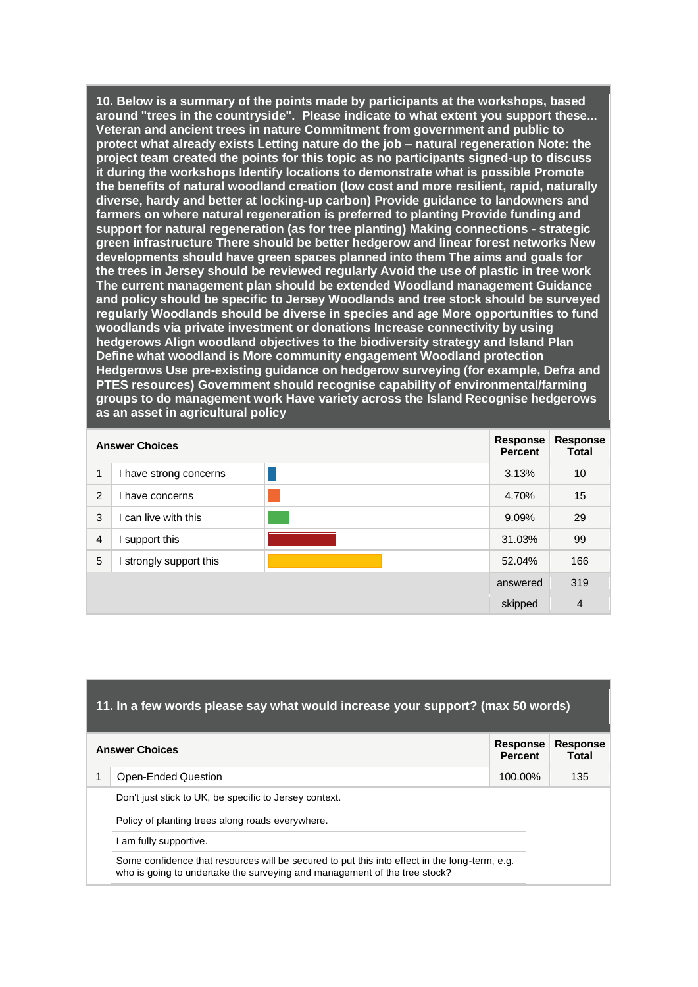**10. Below is a summary of the points made by participants at the workshops, based around "trees in the countryside". Please indicate to what extent you support these... Veteran and ancient trees in nature Commitment from government and public to protect what already exists Letting nature do the job – natural regeneration Note: the project team created the points for this topic as no participants signed-up to discuss it during the workshops Identify locations to demonstrate what is possible Promote the benefits of natural woodland creation (low cost and more resilient, rapid, naturally diverse, hardy and better at locking-up carbon) Provide guidance to landowners and farmers on where natural regeneration is preferred to planting Provide funding and support for natural regeneration (as for tree planting) Making connections - strategic green infrastructure There should be better hedgerow and linear forest networks New developments should have green spaces planned into them The aims and goals for the trees in Jersey should be reviewed regularly Avoid the use of plastic in tree work The current management plan should be extended Woodland management Guidance and policy should be specific to Jersey Woodlands and tree stock should be surveyed regularly Woodlands should be diverse in species and age More opportunities to fund woodlands via private investment or donations Increase connectivity by using hedgerows Align woodland objectives to the biodiversity strategy and Island Plan Define what woodland is More community engagement Woodland protection Hedgerows Use pre-existing guidance on hedgerow surveying (for example, Defra and PTES resources) Government should recognise capability of environmental/farming groups to do management work Have variety across the Island Recognise hedgerows as an asset in agricultural policy** 

|                | <b>Answer Choices</b>  |          | Response<br><b>Percent</b> | <b>Response</b><br><b>Total</b> |
|----------------|------------------------|----------|----------------------------|---------------------------------|
| 1              | I have strong concerns |          | 3.13%                      | 10                              |
| $\mathcal{P}$  | have concerns          |          | 4.70%                      | 15                              |
| 3              | can live with this     |          | 9.09%                      | 29                              |
| $\overline{4}$ | support this           |          | 31.03%                     | 99                              |
| 5              | strongly support this  |          | 52.04%                     | 166                             |
|                |                        | answered | 319                        |                                 |
|                |                        |          | skipped                    | $\overline{4}$                  |

#### **11. In a few words please say what would increase your support? (max 50 words)**

| <b>Answer Choices</b> |                                                                                                                                                                                                                                                        | <b>Response</b><br><b>Percent</b> | <b>Response</b><br>Total |
|-----------------------|--------------------------------------------------------------------------------------------------------------------------------------------------------------------------------------------------------------------------------------------------------|-----------------------------------|--------------------------|
|                       | Open-Ended Question                                                                                                                                                                                                                                    | 100.00%                           | 135                      |
|                       | Don't just stick to UK, be specific to Jersey context.                                                                                                                                                                                                 |                                   |                          |
|                       | Policy of planting trees along roads everywhere.<br>am fully supportive.<br>Some confidence that resources will be secured to put this into effect in the long-term, e.g.<br>who is going to undertake the surveying and management of the tree stock? |                                   |                          |
|                       |                                                                                                                                                                                                                                                        |                                   |                          |
|                       |                                                                                                                                                                                                                                                        |                                   |                          |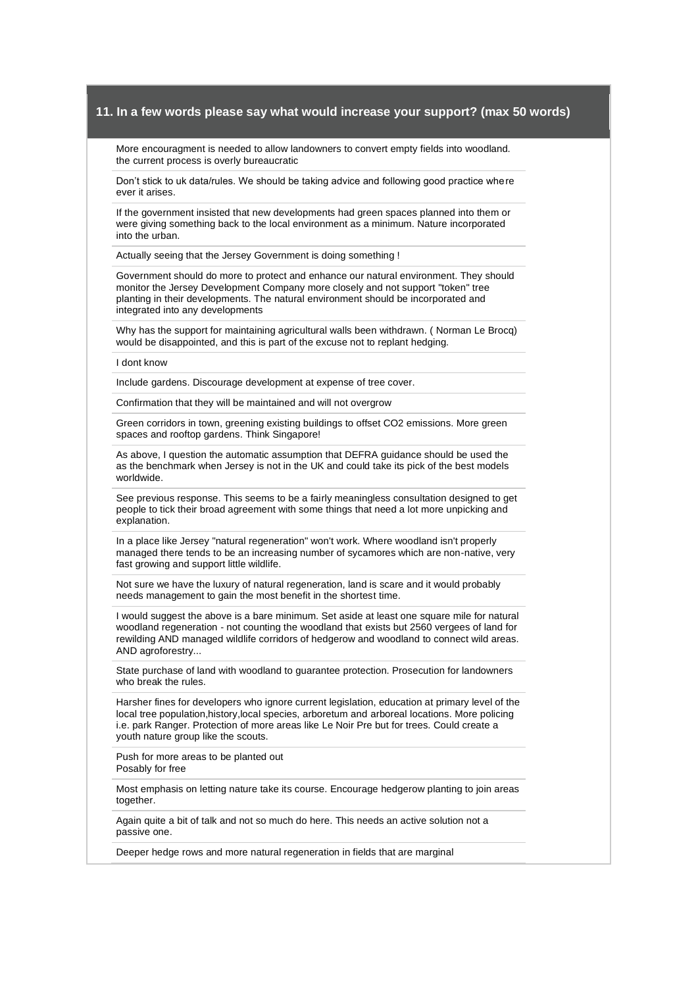More encouragment is needed to allow landowners to convert empty fields into woodland. the current process is overly bureaucratic

Don't stick to uk data/rules. We should be taking advice and following good practice where ever it arises.

If the government insisted that new developments had green spaces planned into them or were giving something back to the local environment as a minimum. Nature incorporated into the urban.

Actually seeing that the Jersey Government is doing something !

Government should do more to protect and enhance our natural environment. They should monitor the Jersey Development Company more closely and not support "token" tree planting in their developments. The natural environment should be incorporated and integrated into any developments

Why has the support for maintaining agricultural walls been withdrawn. ( Norman Le Brocq) would be disappointed, and this is part of the excuse not to replant hedging.

I dont know

Include gardens. Discourage development at expense of tree cover.

Confirmation that they will be maintained and will not overgrow

Green corridors in town, greening existing buildings to offset CO2 emissions. More green spaces and rooftop gardens. Think Singapore!

As above, I question the automatic assumption that DEFRA guidance should be used the as the benchmark when Jersey is not in the UK and could take its pick of the best models worldwide.

See previous response. This seems to be a fairly meaningless consultation designed to get people to tick their broad agreement with some things that need a lot more unpicking and explanation.

In a place like Jersey "natural regeneration" won't work. Where woodland isn't properly managed there tends to be an increasing number of sycamores which are non-native, very fast growing and support little wildlife.

Not sure we have the luxury of natural regeneration, land is scare and it would probably needs management to gain the most benefit in the shortest time.

I would suggest the above is a bare minimum. Set aside at least one square mile for natural woodland regeneration - not counting the woodland that exists but 2560 vergees of land for rewilding AND managed wildlife corridors of hedgerow and woodland to connect wild areas. AND agroforestry...

State purchase of land with woodland to guarantee protection. Prosecution for landowners who break the rules.

Harsher fines for developers who ignore current legislation, education at primary level of the local tree population,history,local species, arboretum and arboreal locations. More policing i.e. park Ranger. Protection of more areas like Le Noir Pre but for trees. Could create a youth nature group like the scouts.

Push for more areas to be planted out Posably for free

Most emphasis on letting nature take its course. Encourage hedgerow planting to join areas together.

Again quite a bit of talk and not so much do here. This needs an active solution not a passive one.

Deeper hedge rows and more natural regeneration in fields that are marginal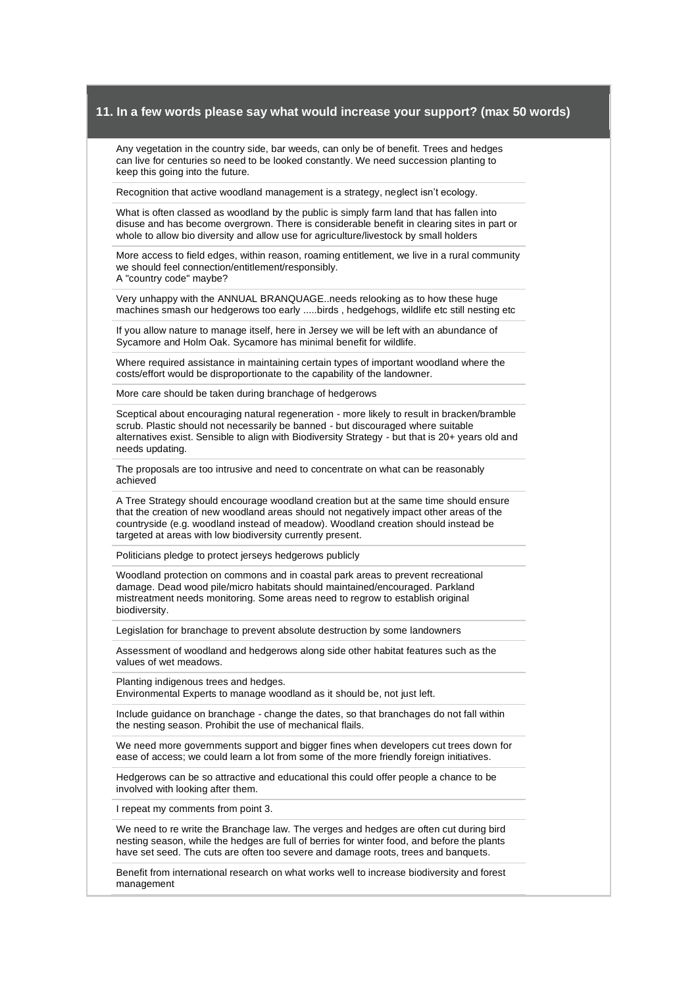Any vegetation in the country side, bar weeds, can only be of benefit. Trees and hedges can live for centuries so need to be looked constantly. We need succession planting to keep this going into the future.

Recognition that active woodland management is a strategy, neglect isn't ecology.

What is often classed as woodland by the public is simply farm land that has fallen into disuse and has become overgrown. There is considerable benefit in clearing sites in part or whole to allow bio diversity and allow use for agriculture/livestock by small holders

More access to field edges, within reason, roaming entitlement, we live in a rural community we should feel connection/entitlement/responsibly. A "country code" maybe?

Very unhappy with the ANNUAL BRANQUAGE..needs relooking as to how these huge machines smash our hedgerows too early .....birds , hedgehogs, wildlife etc still nesting etc

If you allow nature to manage itself, here in Jersey we will be left with an abundance of Sycamore and Holm Oak. Sycamore has minimal benefit for wildlife.

Where required assistance in maintaining certain types of important woodland where the costs/effort would be disproportionate to the capability of the landowner.

More care should be taken during branchage of hedgerows

Sceptical about encouraging natural regeneration - more likely to result in bracken/bramble scrub. Plastic should not necessarily be banned - but discouraged where suitable alternatives exist. Sensible to align with Biodiversity Strategy - but that is 20+ years old and needs updating.

The proposals are too intrusive and need to concentrate on what can be reasonably achieved

A Tree Strategy should encourage woodland creation but at the same time should ensure that the creation of new woodland areas should not negatively impact other areas of the countryside (e.g. woodland instead of meadow). Woodland creation should instead be targeted at areas with low biodiversity currently present.

Politicians pledge to protect jerseys hedgerows publicly

Woodland protection on commons and in coastal park areas to prevent recreational damage. Dead wood pile/micro habitats should maintained/encouraged. Parkland mistreatment needs monitoring. Some areas need to regrow to establish original biodiversity.

Legislation for branchage to prevent absolute destruction by some landowners

Assessment of woodland and hedgerows along side other habitat features such as the values of wet meadows.

Planting indigenous trees and hedges. Environmental Experts to manage woodland as it should be, not just left.

Include guidance on branchage - change the dates, so that branchages do not fall within the nesting season. Prohibit the use of mechanical flails.

We need more governments support and bigger fines when developers cut trees down for ease of access; we could learn a lot from some of the more friendly foreign initiatives.

Hedgerows can be so attractive and educational this could offer people a chance to be involved with looking after them.

I repeat my comments from point 3.

We need to re write the Branchage law. The verges and hedges are often cut during bird nesting season, while the hedges are full of berries for winter food, and before the plants have set seed. The cuts are often too severe and damage roots, trees and banquets.

Benefit from international research on what works well to increase biodiversity and forest management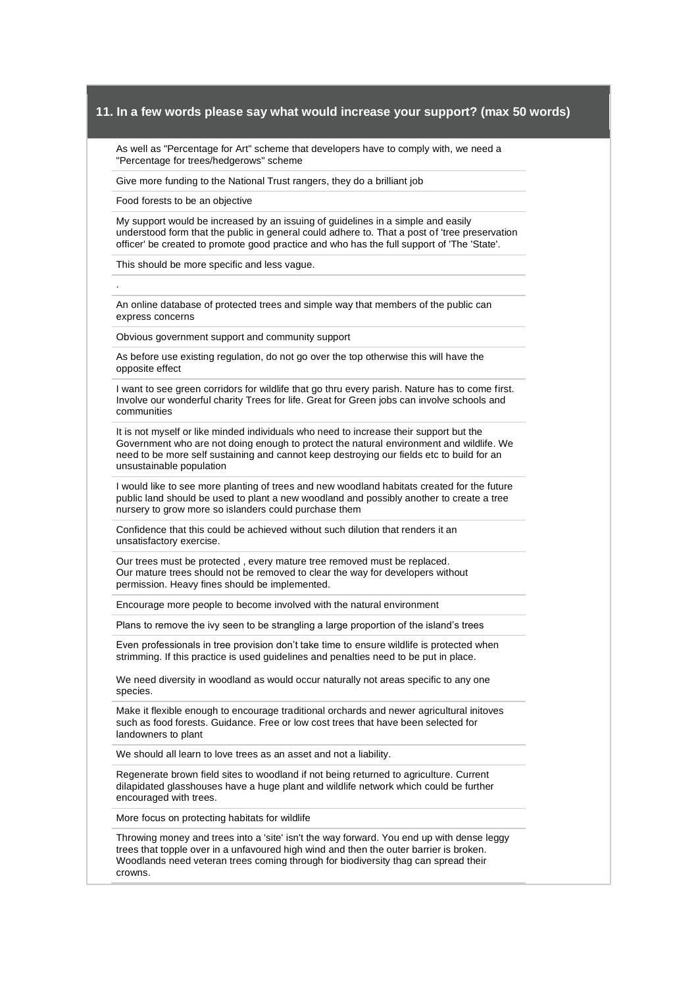As well as "Percentage for Art" scheme that developers have to comply with, we need a "Percentage for trees/hedgerows" scheme

Give more funding to the National Trust rangers, they do a brilliant job

Food forests to be an objective

.

My support would be increased by an issuing of guidelines in a simple and easily understood form that the public in general could adhere to. That a post of 'tree preservation officer' be created to promote good practice and who has the full support of 'The 'State'.

This should be more specific and less vague.

An online database of protected trees and simple way that members of the public can express concerns

Obvious government support and community support

As before use existing regulation, do not go over the top otherwise this will have the opposite effect

I want to see green corridors for wildlife that go thru every parish. Nature has to come first. Involve our wonderful charity Trees for life. Great for Green jobs can involve schools and communities

It is not myself or like minded individuals who need to increase their support but the Government who are not doing enough to protect the natural environment and wildlife. We need to be more self sustaining and cannot keep destroying our fields etc to build for an unsustainable population

I would like to see more planting of trees and new woodland habitats created for the future public land should be used to plant a new woodland and possibly another to create a tree nursery to grow more so islanders could purchase them

Confidence that this could be achieved without such dilution that renders it an unsatisfactory exercise.

Our trees must be protected , every mature tree removed must be replaced. Our mature trees should not be removed to clear the way for developers without permission. Heavy fines should be implemented.

Encourage more people to become involved with the natural environment

Plans to remove the ivy seen to be strangling a large proportion of the island's trees

Even professionals in tree provision don't take time to ensure wildlife is protected when strimming. If this practice is used guidelines and penalties need to be put in place.

We need diversity in woodland as would occur naturally not areas specific to any one species.

Make it flexible enough to encourage traditional orchards and newer agricultural initoves such as food forests. Guidance. Free or low cost trees that have been selected for landowners to plant

We should all learn to love trees as an asset and not a liability.

Regenerate brown field sites to woodland if not being returned to agriculture. Current dilapidated glasshouses have a huge plant and wildlife network which could be further encouraged with trees.

More focus on protecting habitats for wildlife

Throwing money and trees into a 'site' isn't the way forward. You end up with dense leggy trees that topple over in a unfavoured high wind and then the outer barrier is broken. Woodlands need veteran trees coming through for biodiversity thag can spread their crowns.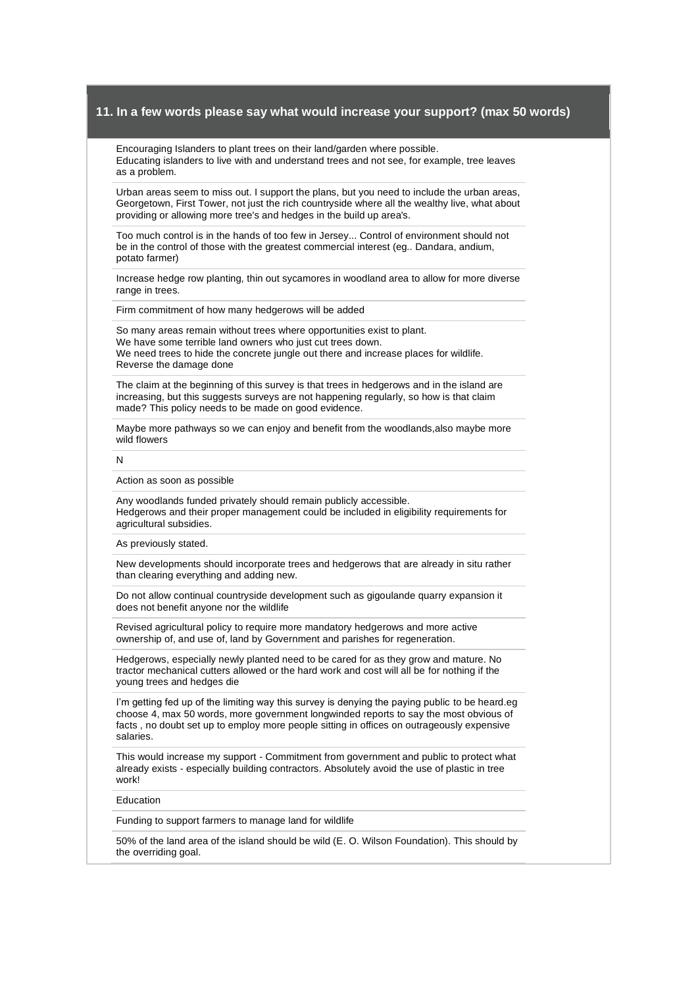Encouraging Islanders to plant trees on their land/garden where possible. Educating islanders to live with and understand trees and not see, for example, tree leaves as a problem.

Urban areas seem to miss out. I support the plans, but you need to include the urban areas, Georgetown, First Tower, not just the rich countryside where all the wealthy live, what about providing or allowing more tree's and hedges in the build up area's.

Too much control is in the hands of too few in Jersey... Control of environment should not be in the control of those with the greatest commercial interest (eg.. Dandara, andium, potato farmer)

Increase hedge row planting, thin out sycamores in woodland area to allow for more diverse range in trees.

Firm commitment of how many hedgerows will be added

So many areas remain without trees where opportunities exist to plant. We have some terrible land owners who just cut trees down. We need trees to hide the concrete jungle out there and increase places for wildlife. Reverse the damage done

The claim at the beginning of this survey is that trees in hedgerows and in the island are increasing, but this suggests surveys are not happening regularly, so how is that claim made? This policy needs to be made on good evidence.

Maybe more pathways so we can enjoy and benefit from the woodlands,also maybe more wild flowers

N

#### Action as soon as possible

Any woodlands funded privately should remain publicly accessible. Hedgerows and their proper management could be included in eligibility requirements for agricultural subsidies.

#### As previously stated.

New developments should incorporate trees and hedgerows that are already in situ rather than clearing everything and adding new.

Do not allow continual countryside development such as gigoulande quarry expansion it does not benefit anyone nor the wildlife

Revised agricultural policy to require more mandatory hedgerows and more active ownership of, and use of, land by Government and parishes for regeneration.

Hedgerows, especially newly planted need to be cared for as they grow and mature. No tractor mechanical cutters allowed or the hard work and cost will all be for nothing if the young trees and hedges die

I'm getting fed up of the limiting way this survey is denying the paying public to be heard.eg choose 4, max 50 words, more government longwinded reports to say the most obvious of facts , no doubt set up to employ more people sitting in offices on outrageously expensive salaries.

This would increase my support - Commitment from government and public to protect what already exists - especially building contractors. Absolutely avoid the use of plastic in tree work!

#### Education

Funding to support farmers to manage land for wildlife

50% of the land area of the island should be wild (E. O. Wilson Foundation). This should by the overriding goal.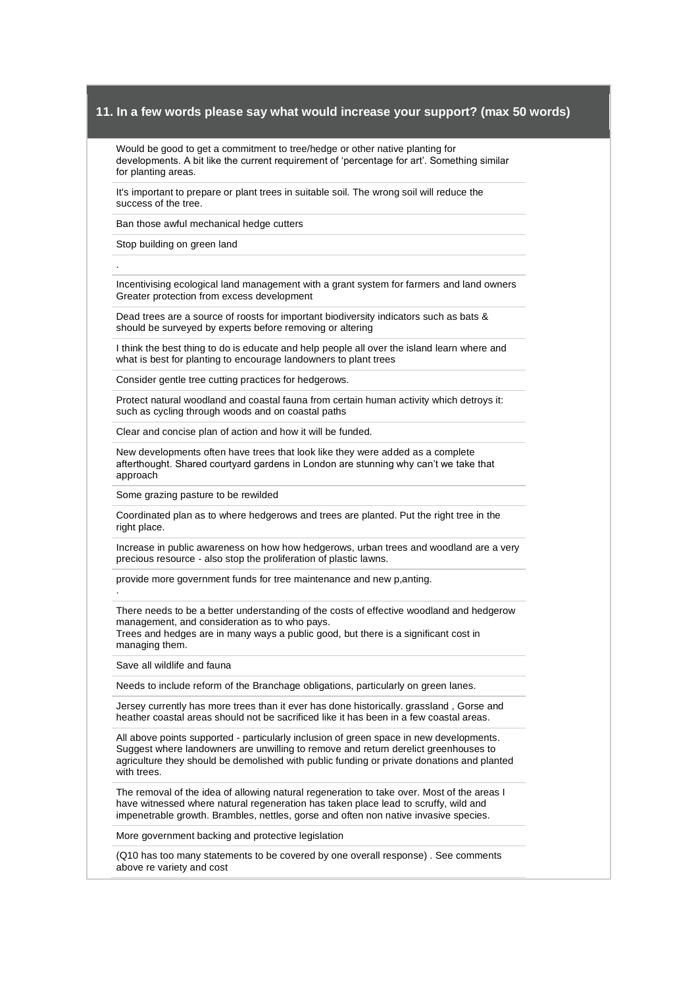Would be good to get a commitment to tree/hedge or other native planting for developments. A bit like the current requirement of 'percentage for art'. Something similar for planting areas.

It's important to prepare or plant trees in suitable soil. The wrong soil will reduce the success of the tree.

Ban those awful mechanical hedge cutters

Stop building on green land

.

.

Incentivising ecological land management with a grant system for farmers and land owners Greater protection from excess development

Dead trees are a source of roosts for important biodiversity indicators such as bats & should be surveyed by experts before removing or altering

I think the best thing to do is educate and help people all over the island learn where and what is best for planting to encourage landowners to plant trees

Consider gentle tree cutting practices for hedgerows.

Protect natural woodland and coastal fauna from certain human activity which detroys it: such as cycling through woods and on coastal paths

Clear and concise plan of action and how it will be funded.

New developments often have trees that look like they were added as a complete afterthought. Shared courtyard gardens in London are stunning why can't we take that approach

Some grazing pasture to be rewilded

Coordinated plan as to where hedgerows and trees are planted. Put the right tree in the right place.

Increase in public awareness on how how hedgerows, urban trees and woodland are a very precious resource - also stop the proliferation of plastic lawns.

provide more government funds for tree maintenance and new p,anting.

There needs to be a better understanding of the costs of effective woodland and hedgerow management, and consideration as to who pays.

Trees and hedges are in many ways a public good, but there is a significant cost in managing them.

Save all wildlife and fauna

Needs to include reform of the Branchage obligations, particularly on green lanes.

Jersey currently has more trees than it ever has done historically. grassland , Gorse and heather coastal areas should not be sacrificed like it has been in a few coastal areas.

All above points supported - particularly inclusion of green space in new developments. Suggest where landowners are unwilling to remove and return derelict greenhouses to agriculture they should be demolished with public funding or private donations and planted with trees.

The removal of the idea of allowing natural regeneration to take over. Most of the areas I have witnessed where natural regeneration has taken place lead to scruffy, wild and impenetrable growth. Brambles, nettles, gorse and often non native invasive species.

More government backing and protective legislation

(Q10 has too many statements to be covered by one overall response) . See comments above re variety and cost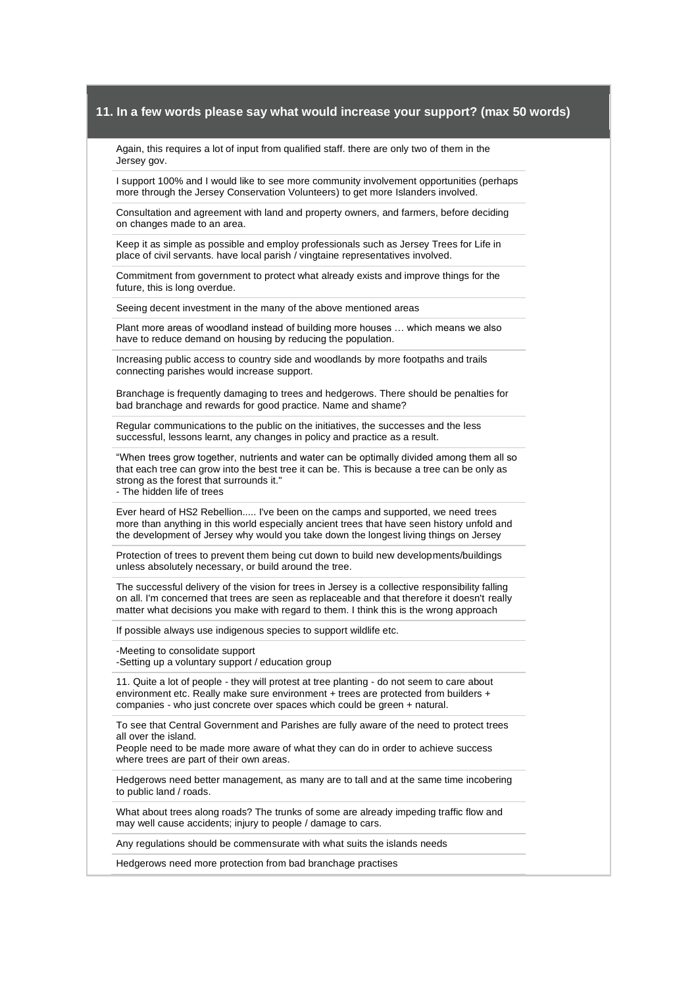Again, this requires a lot of input from qualified staff. there are only two of them in the Jersey gov.

I support 100% and I would like to see more community involvement opportunities (perhaps more through the Jersey Conservation Volunteers) to get more Islanders involved.

Consultation and agreement with land and property owners, and farmers, before deciding on changes made to an area.

Keep it as simple as possible and employ professionals such as Jersey Trees for Life in place of civil servants. have local parish / vingtaine representatives involved.

Commitment from government to protect what already exists and improve things for the future, this is long overdue.

Seeing decent investment in the many of the above mentioned areas

Plant more areas of woodland instead of building more houses … which means we also have to reduce demand on housing by reducing the population.

Increasing public access to country side and woodlands by more footpaths and trails connecting parishes would increase support.

Branchage is frequently damaging to trees and hedgerows. There should be penalties for bad branchage and rewards for good practice. Name and shame?

Regular communications to the public on the initiatives, the successes and the less successful, lessons learnt, any changes in policy and practice as a result.

"When trees grow together, nutrients and water can be optimally divided among them all so that each tree can grow into the best tree it can be. This is because a tree can be only as strong as the forest that surrounds it."

- The hidden life of trees

Ever heard of HS2 Rebellion..... I've been on the camps and supported, we need trees more than anything in this world especially ancient trees that have seen history unfold and the development of Jersey why would you take down the longest living things on Jersey

Protection of trees to prevent them being cut down to build new developments/buildings unless absolutely necessary, or build around the tree.

The successful delivery of the vision for trees in Jersey is a collective responsibility falling on all. I'm concerned that trees are seen as replaceable and that therefore it doesn't really matter what decisions you make with regard to them. I think this is the wrong approach

If possible always use indigenous species to support wildlife etc.

-Meeting to consolidate support

-Setting up a voluntary support / education group

11. Quite a lot of people - they will protest at tree planting - do not seem to care about environment etc. Really make sure environment + trees are protected from builders + companies - who just concrete over spaces which could be green + natural.

To see that Central Government and Parishes are fully aware of the need to protect trees all over the island.

People need to be made more aware of what they can do in order to achieve success where trees are part of their own areas.

Hedgerows need better management, as many are to tall and at the same time incobering to public land / roads.

What about trees along roads? The trunks of some are already impeding traffic flow and may well cause accidents; injury to people / damage to cars.

Any regulations should be commensurate with what suits the islands needs

Hedgerows need more protection from bad branchage practises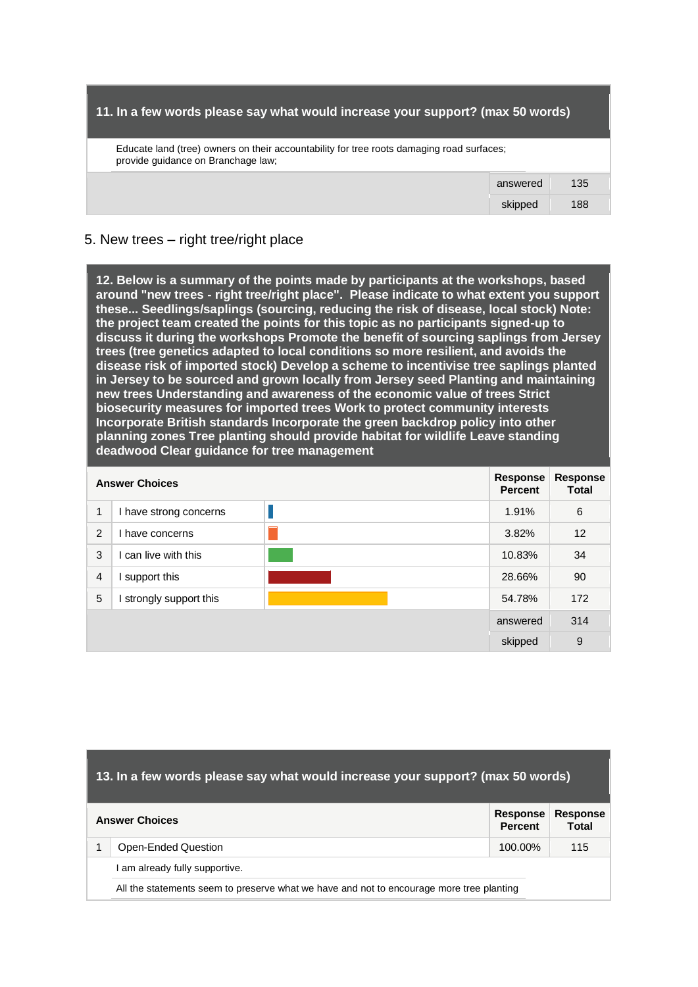| 11. In a few words please say what would increase your support? (max 50 words)                                                  |
|---------------------------------------------------------------------------------------------------------------------------------|
| Educate land (tree) owners on their accountability for tree roots damaging road surfaces;<br>provide quidance on Branchage law; |

answered 135 skipped 188

# 5. New trees – right tree/right place

**12. Below is a summary of the points made by participants at the workshops, based around "new trees - right tree/right place". Please indicate to what extent you support these... Seedlings/saplings (sourcing, reducing the risk of disease, local stock) Note: the project team created the points for this topic as no participants signed-up to discuss it during the workshops Promote the benefit of sourcing saplings from Jersey trees (tree genetics adapted to local conditions so more resilient, and avoids the disease risk of imported stock) Develop a scheme to incentivise tree saplings planted in Jersey to be sourced and grown locally from Jersey seed Planting and maintaining new trees Understanding and awareness of the economic value of trees Strict biosecurity measures for imported trees Work to protect community interests Incorporate British standards Incorporate the green backdrop policy into other planning zones Tree planting should provide habitat for wildlife Leave standing deadwood Clear guidance for tree management** 

| <b>Answer Choices</b> |                        | Response<br><b>Percent</b> | <b>Response</b><br><b>Total</b> |     |
|-----------------------|------------------------|----------------------------|---------------------------------|-----|
| 1                     | I have strong concerns |                            | 1.91%                           | 6   |
| 2                     | have concerns          |                            | 3.82%                           | 12  |
| 3                     | can live with this     |                            | 10.83%                          | 34  |
| $\overline{4}$        | support this           |                            | 28.66%                          | 90  |
| 5                     | strongly support this  |                            | 54.78%                          | 172 |
|                       |                        | answered                   | 314                             |     |
|                       |                        |                            | skipped                         | 9   |

| 13. In a few words please say what would increase your support? (max 50 words)  |                                                                                          |         |     |  |
|---------------------------------------------------------------------------------|------------------------------------------------------------------------------------------|---------|-----|--|
| Response<br><b>Response</b><br><b>Answer Choices</b><br><b>Percent</b><br>Total |                                                                                          |         |     |  |
|                                                                                 | Open-Ended Question                                                                      | 100.00% | 115 |  |
|                                                                                 | am already fully supportive.                                                             |         |     |  |
|                                                                                 | All the statements seem to preserve what we have and not to encourage more tree planting |         |     |  |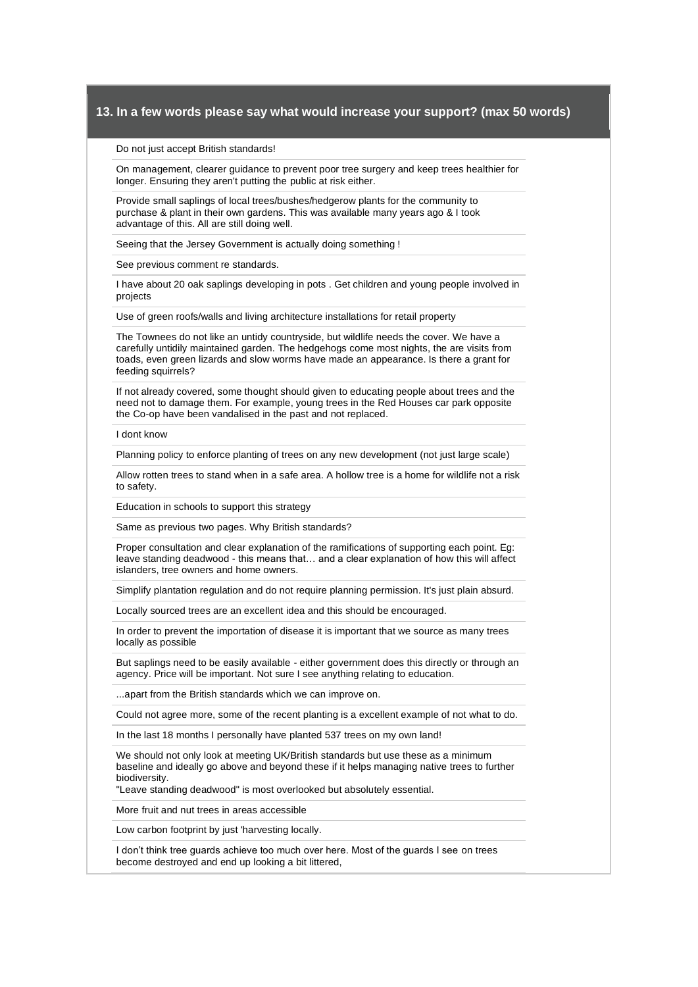#### Do not just accept British standards!

On management, clearer guidance to prevent poor tree surgery and keep trees healthier for longer. Ensuring they aren't putting the public at risk either.

Provide small saplings of local trees/bushes/hedgerow plants for the community to purchase & plant in their own gardens. This was available many years ago & I took advantage of this. All are still doing well.

Seeing that the Jersey Government is actually doing something !

See previous comment re standards.

I have about 20 oak saplings developing in pots . Get children and young people involved in projects

Use of green roofs/walls and living architecture installations for retail property

The Townees do not like an untidy countryside, but wildlife needs the cover. We have a carefully untidily maintained garden. The hedgehogs come most nights, the are visits from toads, even green lizards and slow worms have made an appearance. Is there a grant for feeding squirrels?

If not already covered, some thought should given to educating people about trees and the need not to damage them. For example, young trees in the Red Houses car park opposite the Co-op have been vandalised in the past and not replaced.

I dont know

Planning policy to enforce planting of trees on any new development (not just large scale)

Allow rotten trees to stand when in a safe area. A hollow tree is a home for wildlife not a risk to safety.

Education in schools to support this strategy

Same as previous two pages. Why British standards?

Proper consultation and clear explanation of the ramifications of supporting each point. Eg: leave standing deadwood - this means that… and a clear explanation of how this will affect islanders, tree owners and home owners.

Simplify plantation regulation and do not require planning permission. It's just plain absurd.

Locally sourced trees are an excellent idea and this should be encouraged.

In order to prevent the importation of disease it is important that we source as many trees locally as possible

But saplings need to be easily available - either government does this directly or through an agency. Price will be important. Not sure I see anything relating to education.

...apart from the British standards which we can improve on.

Could not agree more, some of the recent planting is a excellent example of not what to do.

In the last 18 months I personally have planted 537 trees on my own land!

We should not only look at meeting UK/British standards but use these as a minimum baseline and ideally go above and beyond these if it helps managing native trees to further biodiversity.

"Leave standing deadwood" is most overlooked but absolutely essential.

More fruit and nut trees in areas accessible

Low carbon footprint by just 'harvesting locally.

I don't think tree guards achieve too much over here. Most of the guards I see on trees become destroyed and end up looking a bit littered,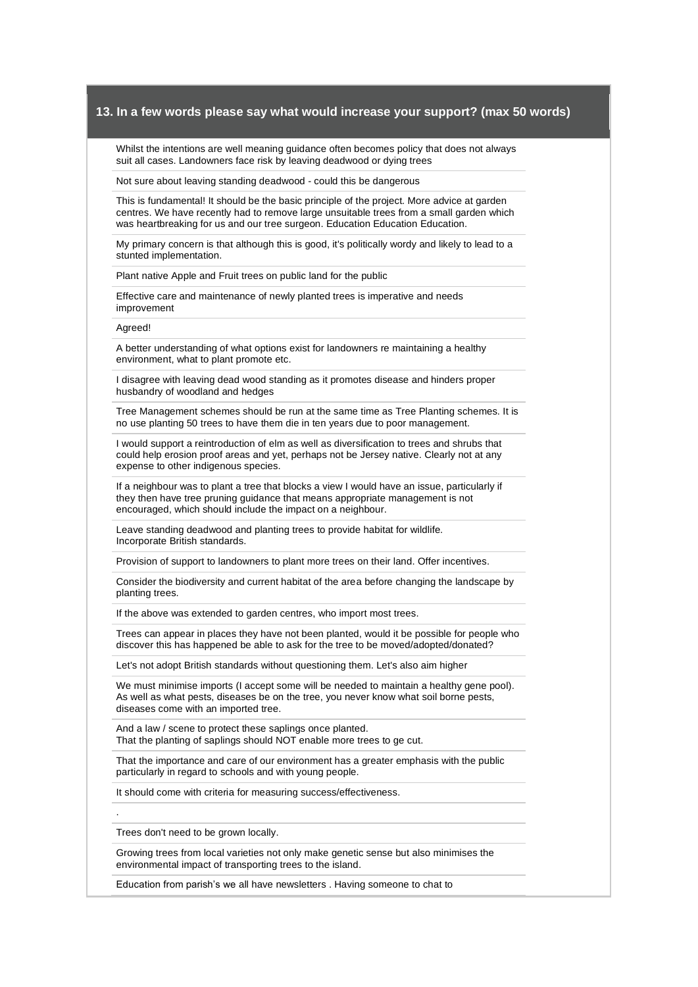Whilst the intentions are well meaning guidance often becomes policy that does not always suit all cases. Landowners face risk by leaving deadwood or dying trees

Not sure about leaving standing deadwood - could this be dangerous

This is fundamental! It should be the basic principle of the project. More advice at garden centres. We have recently had to remove large unsuitable trees from a small garden which was heartbreaking for us and our tree surgeon. Education Education Education.

My primary concern is that although this is good, it's politically wordy and likely to lead to a stunted implementation.

Plant native Apple and Fruit trees on public land for the public

Effective care and maintenance of newly planted trees is imperative and needs improvement

Agreed!

A better understanding of what options exist for landowners re maintaining a healthy environment, what to plant promote etc.

I disagree with leaving dead wood standing as it promotes disease and hinders proper husbandry of woodland and hedges

Tree Management schemes should be run at the same time as Tree Planting schemes. It is no use planting 50 trees to have them die in ten years due to poor management.

I would support a reintroduction of elm as well as diversification to trees and shrubs that could help erosion proof areas and yet, perhaps not be Jersey native. Clearly not at any expense to other indigenous species.

If a neighbour was to plant a tree that blocks a view I would have an issue, particularly if they then have tree pruning guidance that means appropriate management is not encouraged, which should include the impact on a neighbour.

Leave standing deadwood and planting trees to provide habitat for wildlife. Incorporate British standards.

Provision of support to landowners to plant more trees on their land. Offer incentives.

Consider the biodiversity and current habitat of the area before changing the landscape by planting trees.

If the above was extended to garden centres, who import most trees.

Trees can appear in places they have not been planted, would it be possible for people who discover this has happened be able to ask for the tree to be moved/adopted/donated?

Let's not adopt British standards without questioning them. Let's also aim higher

We must minimise imports (I accept some will be needed to maintain a healthy gene pool). As well as what pests, diseases be on the tree, you never know what soil borne pests, diseases come with an imported tree.

And a law / scene to protect these saplings once planted. That the planting of saplings should NOT enable more trees to ge cut.

That the importance and care of our environment has a greater emphasis with the public particularly in regard to schools and with young people.

It should come with criteria for measuring success/effectiveness.

Trees don't need to be grown locally.

.

Growing trees from local varieties not only make genetic sense but also minimises the environmental impact of transporting trees to the island.

Education from parish's we all have newsletters . Having someone to chat to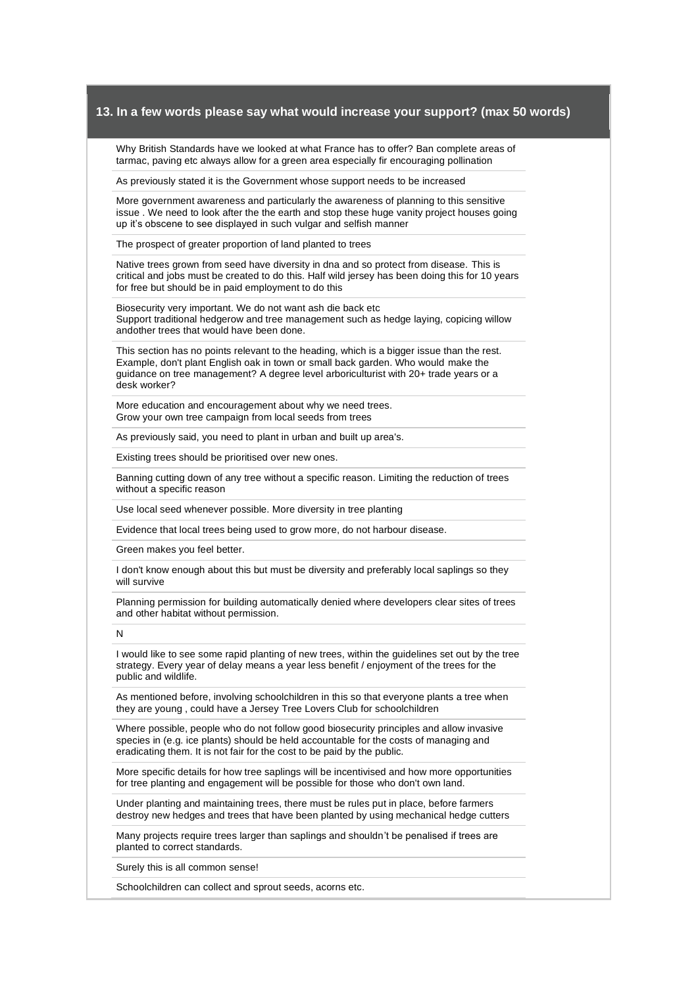Why British Standards have we looked at what France has to offer? Ban complete areas of tarmac, paving etc always allow for a green area especially fir encouraging pollination

As previously stated it is the Government whose support needs to be increased

More government awareness and particularly the awareness of planning to this sensitive issue . We need to look after the the earth and stop these huge vanity project houses going up it's obscene to see displayed in such vulgar and selfish manner

The prospect of greater proportion of land planted to trees

Native trees grown from seed have diversity in dna and so protect from disease. This is critical and jobs must be created to do this. Half wild jersey has been doing this for 10 years for free but should be in paid employment to do this

Biosecurity very important. We do not want ash die back etc Support traditional hedgerow and tree management such as hedge laying, copicing willow andother trees that would have been done.

This section has no points relevant to the heading, which is a bigger issue than the rest. Example, don't plant English oak in town or small back garden. Who would make the guidance on tree management? A degree level arboriculturist with 20+ trade years or a desk worker?

More education and encouragement about why we need trees. Grow your own tree campaign from local seeds from trees

As previously said, you need to plant in urban and built up area's.

Existing trees should be prioritised over new ones.

Banning cutting down of any tree without a specific reason. Limiting the reduction of trees without a specific reason

Use local seed whenever possible. More diversity in tree planting

Evidence that local trees being used to grow more, do not harbour disease.

Green makes you feel better.

I don't know enough about this but must be diversity and preferably local saplings so they will survive

Planning permission for building automatically denied where developers clear sites of trees and other habitat without permission.

N

I would like to see some rapid planting of new trees, within the guidelines set out by the tree strategy. Every year of delay means a year less benefit / enjoyment of the trees for the public and wildlife.

As mentioned before, involving schoolchildren in this so that everyone plants a tree when they are young , could have a Jersey Tree Lovers Club for schoolchildren

Where possible, people who do not follow good biosecurity principles and allow invasive species in (e.g. ice plants) should be held accountable for the costs of managing and eradicating them. It is not fair for the cost to be paid by the public.

More specific details for how tree saplings will be incentivised and how more opportunities for tree planting and engagement will be possible for those who don't own land.

Under planting and maintaining trees, there must be rules put in place, before farmers destroy new hedges and trees that have been planted by using mechanical hedge cutters

Many projects require trees larger than saplings and shouldn't be penalised if trees are planted to correct standards.

Surely this is all common sense!

Schoolchildren can collect and sprout seeds, acorns etc.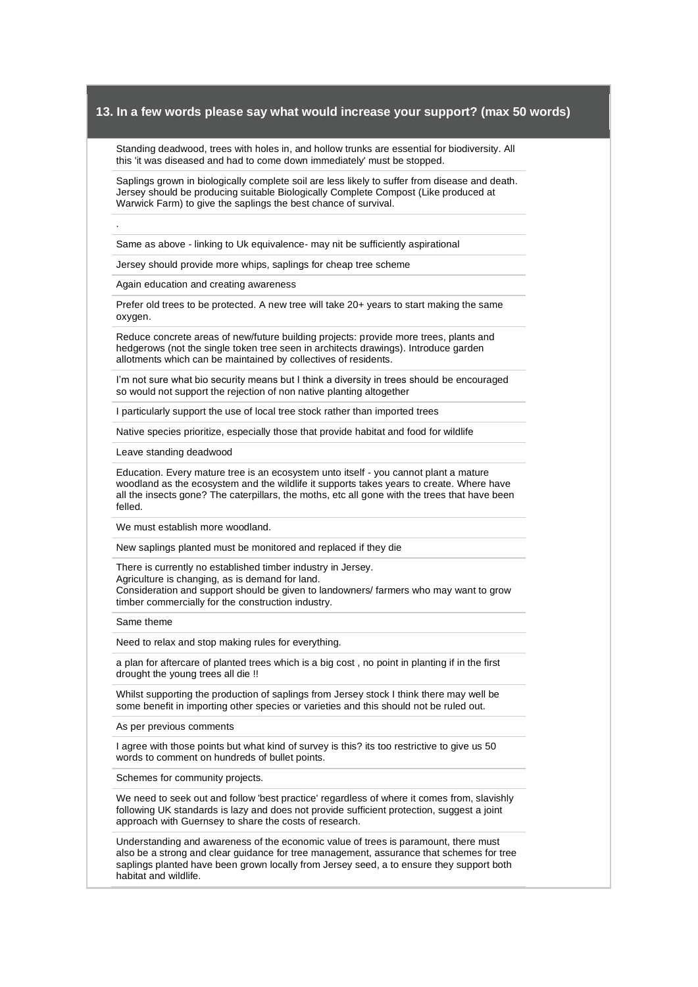Standing deadwood, trees with holes in, and hollow trunks are essential for biodiversity. All this 'it was diseased and had to come down immediately' must be stopped.

Saplings grown in biologically complete soil are less likely to suffer from disease and death. Jersey should be producing suitable Biologically Complete Compost (Like produced at Warwick Farm) to give the saplings the best chance of survival.

Same as above - linking to Uk equivalence- may nit be sufficiently aspirational

Jersey should provide more whips, saplings for cheap tree scheme

Again education and creating awareness

.

Prefer old trees to be protected. A new tree will take 20+ years to start making the same oxygen.

Reduce concrete areas of new/future building projects: provide more trees, plants and hedgerows (not the single token tree seen in architects drawings). Introduce garden allotments which can be maintained by collectives of residents.

I'm not sure what bio security means but I think a diversity in trees should be encouraged so would not support the rejection of non native planting altogether

I particularly support the use of local tree stock rather than imported trees

Native species prioritize, especially those that provide habitat and food for wildlife

Leave standing deadwood

Education. Every mature tree is an ecosystem unto itself - you cannot plant a mature woodland as the ecosystem and the wildlife it supports takes years to create. Where have all the insects gone? The caterpillars, the moths, etc all gone with the trees that have been felled.

We must establish more woodland.

New saplings planted must be monitored and replaced if they die

There is currently no established timber industry in Jersey. Agriculture is changing, as is demand for land. Consideration and support should be given to landowners/ farmers who may want to grow timber commercially for the construction industry.

Same theme

Need to relax and stop making rules for everything.

a plan for aftercare of planted trees which is a big cost , no point in planting if in the first drought the young trees all die !!

Whilst supporting the production of saplings from Jersey stock I think there may well be some benefit in importing other species or varieties and this should not be ruled out.

As per previous comments

I agree with those points but what kind of survey is this? its too restrictive to give us 50 words to comment on hundreds of bullet points.

Schemes for community projects.

We need to seek out and follow 'best practice' regardless of where it comes from, slavishly following UK standards is lazy and does not provide sufficient protection, suggest a joint approach with Guernsey to share the costs of research.

Understanding and awareness of the economic value of trees is paramount, there must also be a strong and clear guidance for tree management, assurance that schemes for tree saplings planted have been grown locally from Jersey seed, a to ensure they support both habitat and wildlife.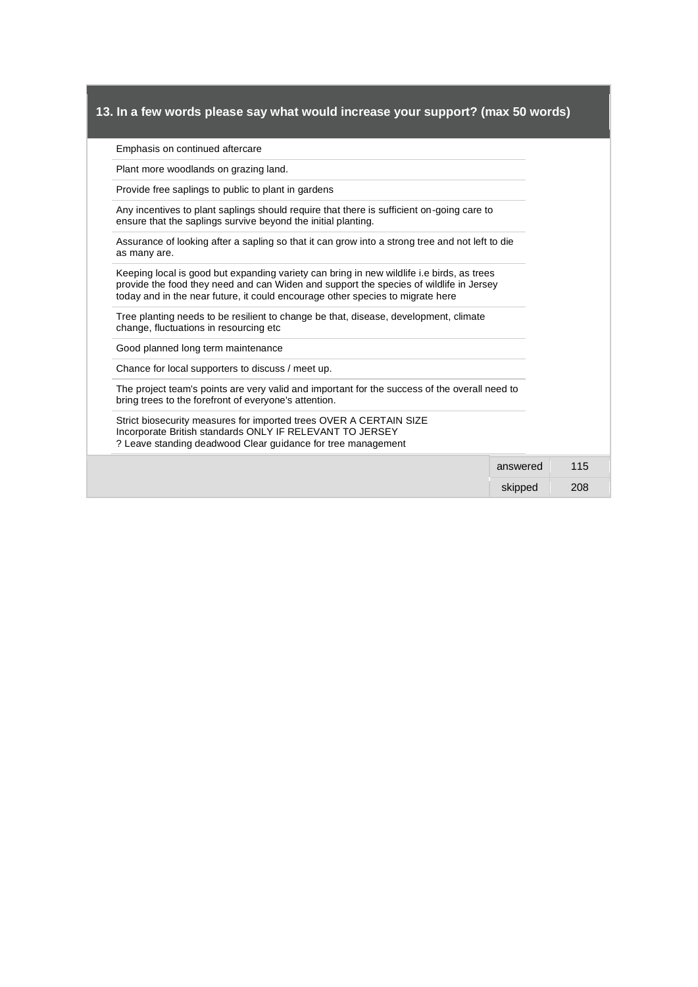#### Emphasis on continued aftercare

Plant more woodlands on grazing land.

Provide free saplings to public to plant in gardens

Any incentives to plant saplings should require that there is sufficient on-going care to ensure that the saplings survive beyond the initial planting.

Assurance of looking after a sapling so that it can grow into a strong tree and not left to die as many are.

Keeping local is good but expanding variety can bring in new wildlife i.e birds, as trees provide the food they need and can Widen and support the species of wildlife in Jersey today and in the near future, it could encourage other species to migrate here

Tree planting needs to be resilient to change be that, disease, development, climate change, fluctuations in resourcing etc

Good planned long term maintenance

Chance for local supporters to discuss / meet up.

The project team's points are very valid and important for the success of the overall need to bring trees to the forefront of everyone's attention.

Strict biosecurity measures for imported trees OVER A CERTAIN SIZE Incorporate British standards ONLY IF RELEVANT TO JERSEY ? Leave standing deadwood Clear guidance for tree management

> answered 115 skipped 208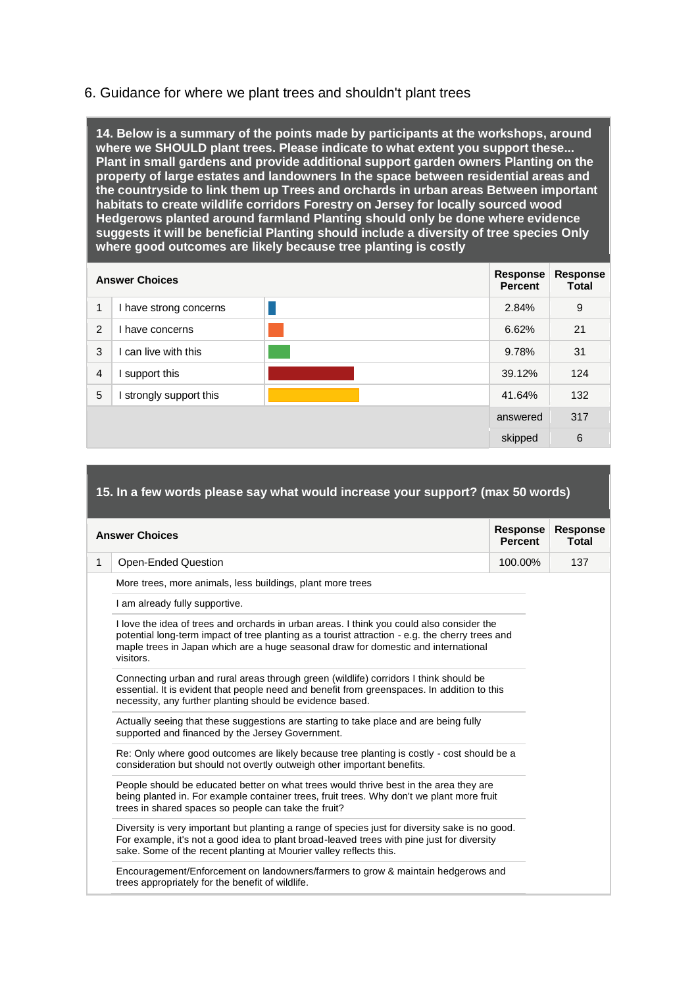# 6. Guidance for where we plant trees and shouldn't plant trees

**14. Below is a summary of the points made by participants at the workshops, around where we SHOULD plant trees. Please indicate to what extent you support these... Plant in small gardens and provide additional support garden owners Planting on the property of large estates and landowners In the space between residential areas and the countryside to link them up Trees and orchards in urban areas Between important habitats to create wildlife corridors Forestry on Jersey for locally sourced wood Hedgerows planted around farmland Planting should only be done where evidence suggests it will be beneficial Planting should include a diversity of tree species Only where good outcomes are likely because tree planting is costly** 

| <b>Answer Choices</b> |                        | Response<br><b>Percent</b> | Response<br><b>Total</b> |     |
|-----------------------|------------------------|----------------------------|--------------------------|-----|
| 1                     | I have strong concerns |                            | 2.84%                    | 9   |
| 2                     | have concerns          |                            | 6.62%                    | 21  |
| 3                     | can live with this     |                            | 9.78%                    | 31  |
| $\overline{4}$        | support this           |                            | 39.12%                   | 124 |
| 5                     | strongly support this  |                            | 41.64%                   | 132 |
|                       |                        |                            | answered                 | 317 |
|                       |                        |                            | skipped                  | 6   |

## **15. In a few words please say what would increase your support? (max 50 words)**

|              | <b>Answer Choices</b>                                                                                                                                                                                                                                                                           | <b>Response</b><br><b>Percent</b> | <b>Response</b><br><b>Total</b> |
|--------------|-------------------------------------------------------------------------------------------------------------------------------------------------------------------------------------------------------------------------------------------------------------------------------------------------|-----------------------------------|---------------------------------|
| $\mathbf{1}$ | Open-Ended Question                                                                                                                                                                                                                                                                             | 100.00%                           | 137                             |
|              | More trees, more animals, less buildings, plant more trees                                                                                                                                                                                                                                      |                                   |                                 |
|              | I am already fully supportive.                                                                                                                                                                                                                                                                  |                                   |                                 |
|              | I love the idea of trees and orchards in urban areas. I think you could also consider the<br>potential long-term impact of tree planting as a tourist attraction - e.g. the cherry trees and<br>maple trees in Japan which are a huge seasonal draw for domestic and international<br>visitors. |                                   |                                 |
|              | Connecting urban and rural areas through green (wildlife) corridors I think should be<br>essential. It is evident that people need and benefit from greenspaces. In addition to this<br>necessity, any further planting should be evidence based.                                               |                                   |                                 |
|              | Actually seeing that these suggestions are starting to take place and are being fully<br>supported and financed by the Jersey Government.                                                                                                                                                       |                                   |                                 |
|              | Re: Only where good outcomes are likely because tree planting is costly - cost should be a<br>consideration but should not overtly outweigh other important benefits.                                                                                                                           |                                   |                                 |
|              | People should be educated better on what trees would thrive best in the area they are<br>being planted in. For example container trees, fruit trees. Why don't we plant more fruit<br>trees in shared spaces so people can take the fruit?                                                      |                                   |                                 |
|              | Diversity is very important but planting a range of species just for diversity sake is no good.<br>For example, it's not a good idea to plant broad-leaved trees with pine just for diversity<br>sake. Some of the recent planting at Mourier valley reflects this.                             |                                   |                                 |
|              | Encouragement/Enforcement on landowners/farmers to grow & maintain hedgerows and<br>trees appropriately for the benefit of wildlife.                                                                                                                                                            |                                   |                                 |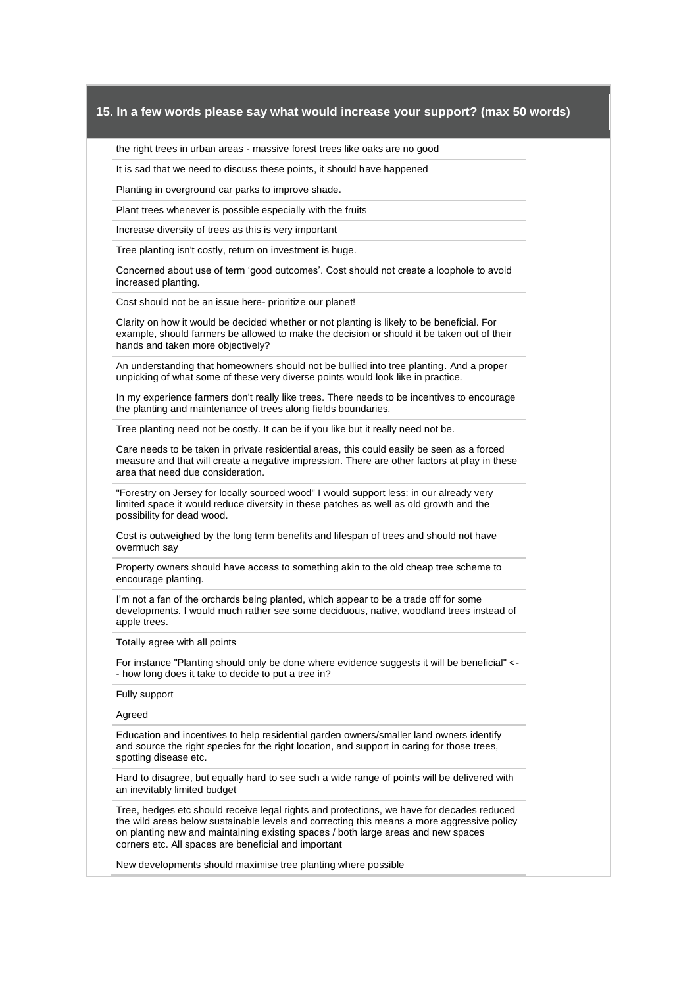the right trees in urban areas - massive forest trees like oaks are no good

It is sad that we need to discuss these points, it should have happened

Planting in overground car parks to improve shade.

Plant trees whenever is possible especially with the fruits

Increase diversity of trees as this is very important

Tree planting isn't costly, return on investment is huge.

Concerned about use of term 'good outcomes'. Cost should not create a loophole to avoid increased planting.

Cost should not be an issue here- prioritize our planet!

Clarity on how it would be decided whether or not planting is likely to be beneficial. For example, should farmers be allowed to make the decision or should it be taken out of their hands and taken more objectively?

An understanding that homeowners should not be bullied into tree planting. And a proper unpicking of what some of these very diverse points would look like in practice.

In my experience farmers don't really like trees. There needs to be incentives to encourage the planting and maintenance of trees along fields boundaries.

Tree planting need not be costly. It can be if you like but it really need not be.

Care needs to be taken in private residential areas, this could easily be seen as a forced measure and that will create a negative impression. There are other factors at play in these area that need due consideration.

"Forestry on Jersey for locally sourced wood" I would support less: in our already very limited space it would reduce diversity in these patches as well as old growth and the possibility for dead wood.

Cost is outweighed by the long term benefits and lifespan of trees and should not have overmuch say

Property owners should have access to something akin to the old cheap tree scheme to encourage planting.

I'm not a fan of the orchards being planted, which appear to be a trade off for some developments. I would much rather see some deciduous, native, woodland trees instead of apple trees.

Totally agree with all points

For instance "Planting should only be done where evidence suggests it will be beneficial" <- - how long does it take to decide to put a tree in?

Fully support

#### Agreed

Education and incentives to help residential garden owners/smaller land owners identify and source the right species for the right location, and support in caring for those trees, spotting disease etc.

Hard to disagree, but equally hard to see such a wide range of points will be delivered with an inevitably limited budget

Tree, hedges etc should receive legal rights and protections, we have for decades reduced the wild areas below sustainable levels and correcting this means a more aggressive policy on planting new and maintaining existing spaces / both large areas and new spaces corners etc. All spaces are beneficial and important

New developments should maximise tree planting where possible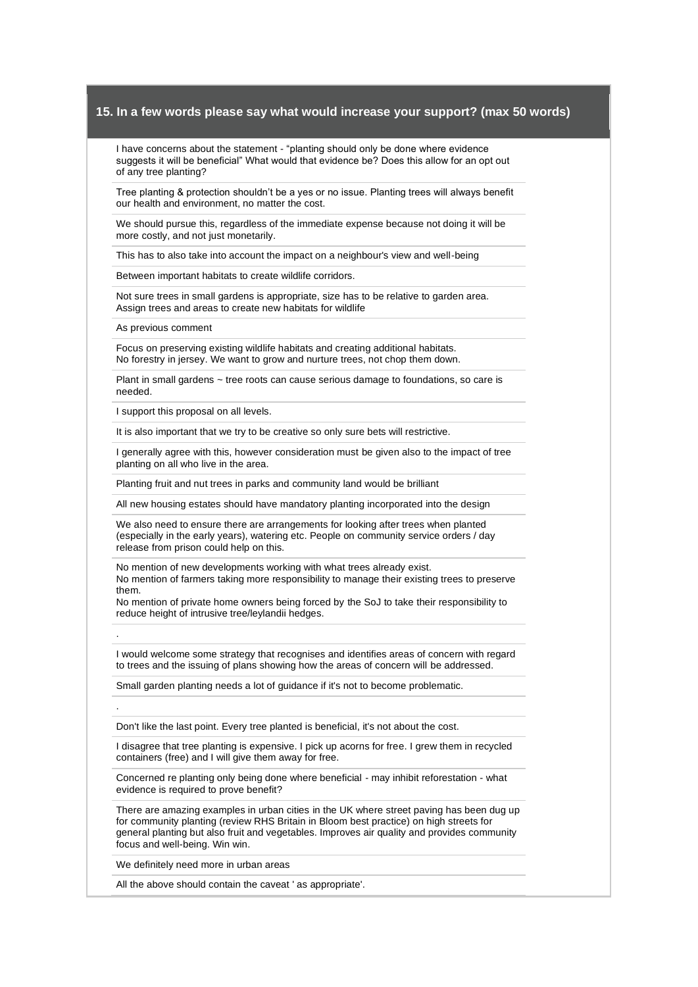I have concerns about the statement - "planting should only be done where evidence suggests it will be beneficial" What would that evidence be? Does this allow for an opt out of any tree planting?

Tree planting & protection shouldn't be a yes or no issue. Planting trees will always benefit our health and environment, no matter the cost.

We should pursue this, regardless of the immediate expense because not doing it will be more costly, and not just monetarily.

This has to also take into account the impact on a neighbour's view and well-being

Between important habitats to create wildlife corridors.

Not sure trees in small gardens is appropriate, size has to be relative to garden area. Assign trees and areas to create new habitats for wildlife

As previous comment

.

.

Focus on preserving existing wildlife habitats and creating additional habitats. No forestry in jersey. We want to grow and nurture trees, not chop them down.

Plant in small gardens  $\sim$  tree roots can cause serious damage to foundations, so care is needed.

I support this proposal on all levels.

It is also important that we try to be creative so only sure bets will restrictive.

I generally agree with this, however consideration must be given also to the impact of tree planting on all who live in the area.

Planting fruit and nut trees in parks and community land would be brilliant

All new housing estates should have mandatory planting incorporated into the design

We also need to ensure there are arrangements for looking after trees when planted (especially in the early years), watering etc. People on community service orders / day release from prison could help on this.

No mention of new developments working with what trees already exist. No mention of farmers taking more responsibility to manage their existing trees to preserve them.

No mention of private home owners being forced by the SoJ to take their responsibility to reduce height of intrusive tree/leylandii hedges.

I would welcome some strategy that recognises and identifies areas of concern with regard to trees and the issuing of plans showing how the areas of concern will be addressed.

Small garden planting needs a lot of guidance if it's not to become problematic.

Don't like the last point. Every tree planted is beneficial, it's not about the cost.

I disagree that tree planting is expensive. I pick up acorns for free. I grew them in recycled containers (free) and I will give them away for free.

Concerned re planting only being done where beneficial - may inhibit reforestation - what evidence is required to prove benefit?

There are amazing examples in urban cities in the UK where street paving has been dug up for community planting (review RHS Britain in Bloom best practice) on high streets for general planting but also fruit and vegetables. Improves air quality and provides community focus and well-being. Win win.

We definitely need more in urban areas

All the above should contain the caveat ' as appropriate'.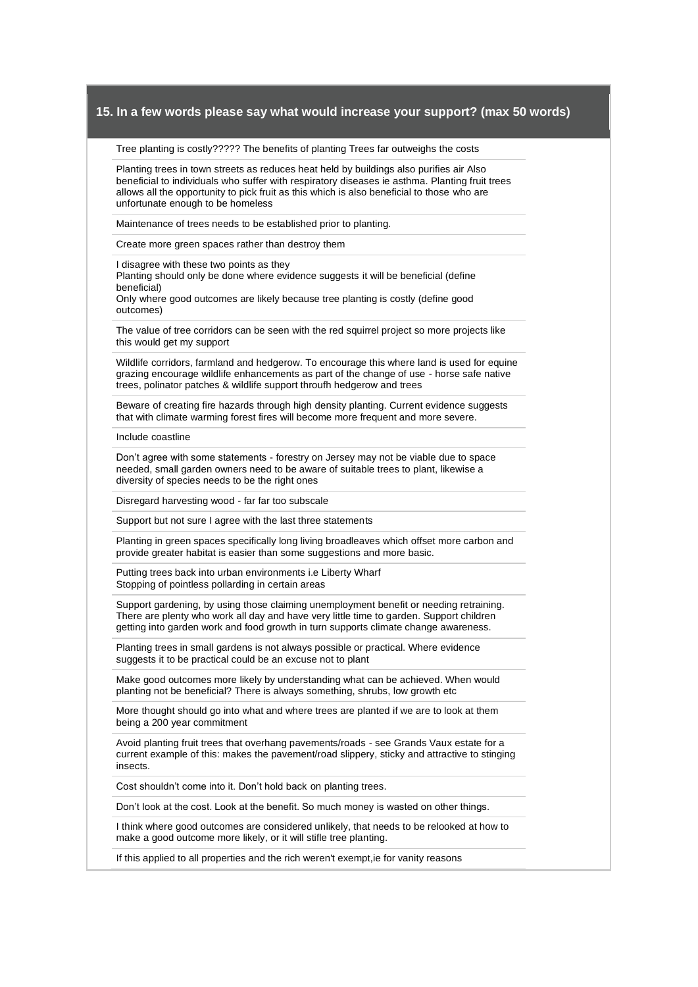Tree planting is costly????? The benefits of planting Trees far outweighs the costs

Planting trees in town streets as reduces heat held by buildings also purifies air Also beneficial to individuals who suffer with respiratory diseases ie asthma. Planting fruit trees allows all the opportunity to pick fruit as this which is also beneficial to those who are unfortunate enough to be homeless

Maintenance of trees needs to be established prior to planting.

Create more green spaces rather than destroy them

I disagree with these two points as they

Planting should only be done where evidence suggests it will be beneficial (define beneficial)

Only where good outcomes are likely because tree planting is costly (define good outcomes)

The value of tree corridors can be seen with the red squirrel project so more projects like this would get my support

Wildlife corridors, farmland and hedgerow. To encourage this where land is used for equine grazing encourage wildlife enhancements as part of the change of use - horse safe native trees, polinator patches & wildlife support throufh hedgerow and trees

Beware of creating fire hazards through high density planting. Current evidence suggests that with climate warming forest fires will become more frequent and more severe.

Include coastline

Don't agree with some statements - forestry on Jersey may not be viable due to space needed, small garden owners need to be aware of suitable trees to plant, likewise a diversity of species needs to be the right ones

Disregard harvesting wood - far far too subscale

Support but not sure I agree with the last three statements

Planting in green spaces specifically long living broadleaves which offset more carbon and provide greater habitat is easier than some suggestions and more basic.

Putting trees back into urban environments i.e Liberty Wharf Stopping of pointless pollarding in certain areas

Support gardening, by using those claiming unemployment benefit or needing retraining. There are plenty who work all day and have very little time to garden. Support children getting into garden work and food growth in turn supports climate change awareness.

Planting trees in small gardens is not always possible or practical. Where evidence suggests it to be practical could be an excuse not to plant

Make good outcomes more likely by understanding what can be achieved. When would planting not be beneficial? There is always something, shrubs, low growth etc

More thought should go into what and where trees are planted if we are to look at them being a 200 year commitment

Avoid planting fruit trees that overhang pavements/roads - see Grands Vaux estate for a current example of this: makes the pavement/road slippery, sticky and attractive to stinging insects.

Cost shouldn't come into it. Don't hold back on planting trees.

Don't look at the cost. Look at the benefit. So much money is wasted on other things.

I think where good outcomes are considered unlikely, that needs to be relooked at how to make a good outcome more likely, or it will stifle tree planting.

If this applied to all properties and the rich weren't exempt,ie for vanity reasons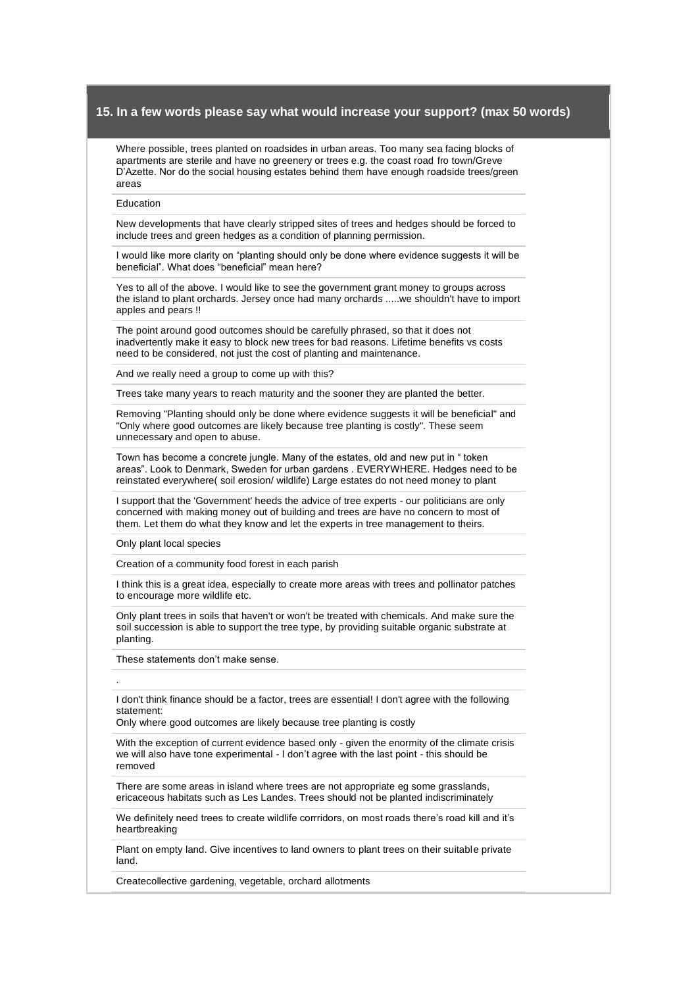Where possible, trees planted on roadsides in urban areas. Too many sea facing blocks of apartments are sterile and have no greenery or trees e.g. the coast road fro town/Greve D'Azette. Nor do the social housing estates behind them have enough roadside trees/green areas

#### Education

New developments that have clearly stripped sites of trees and hedges should be forced to include trees and green hedges as a condition of planning permission.

I would like more clarity on "planting should only be done where evidence suggests it will be beneficial". What does "beneficial" mean here?

Yes to all of the above. I would like to see the government grant money to groups across the island to plant orchards. Jersey once had many orchards .....we shouldn't have to import apples and pears !!

The point around good outcomes should be carefully phrased, so that it does not inadvertently make it easy to block new trees for bad reasons. Lifetime benefits vs costs need to be considered, not just the cost of planting and maintenance.

And we really need a group to come up with this?

Trees take many years to reach maturity and the sooner they are planted the better.

Removing "Planting should only be done where evidence suggests it will be beneficial" and "Only where good outcomes are likely because tree planting is costly". These seem unnecessary and open to abuse.

Town has become a concrete jungle. Many of the estates, old and new put in " token areas". Look to Denmark, Sweden for urban gardens . EVERYWHERE. Hedges need to be reinstated everywhere( soil erosion/ wildlife) Large estates do not need money to plant

I support that the 'Government' heeds the advice of tree experts - our politicians are only concerned with making money out of building and trees are have no concern to most of them. Let them do what they know and let the experts in tree management to theirs.

Only plant local species

.

Creation of a community food forest in each parish

I think this is a great idea, especially to create more areas with trees and pollinator patches to encourage more wildlife etc.

Only plant trees in soils that haven't or won't be treated with chemicals. And make sure the soil succession is able to support the tree type, by providing suitable organic substrate at planting.

These statements don't make sense.

I don't think finance should be a factor, trees are essential! I don't agree with the following statement:

Only where good outcomes are likely because tree planting is costly

With the exception of current evidence based only - given the enormity of the climate crisis we will also have tone experimental - I don't agree with the last point - this should be removed

There are some areas in island where trees are not appropriate eg some grasslands, ericaceous habitats such as Les Landes. Trees should not be planted indiscriminately

We definitely need trees to create wildlife corrridors, on most roads there's road kill and it's heartbreaking

Plant on empty land. Give incentives to land owners to plant trees on their suitable private land.

Createcollective gardening, vegetable, orchard allotments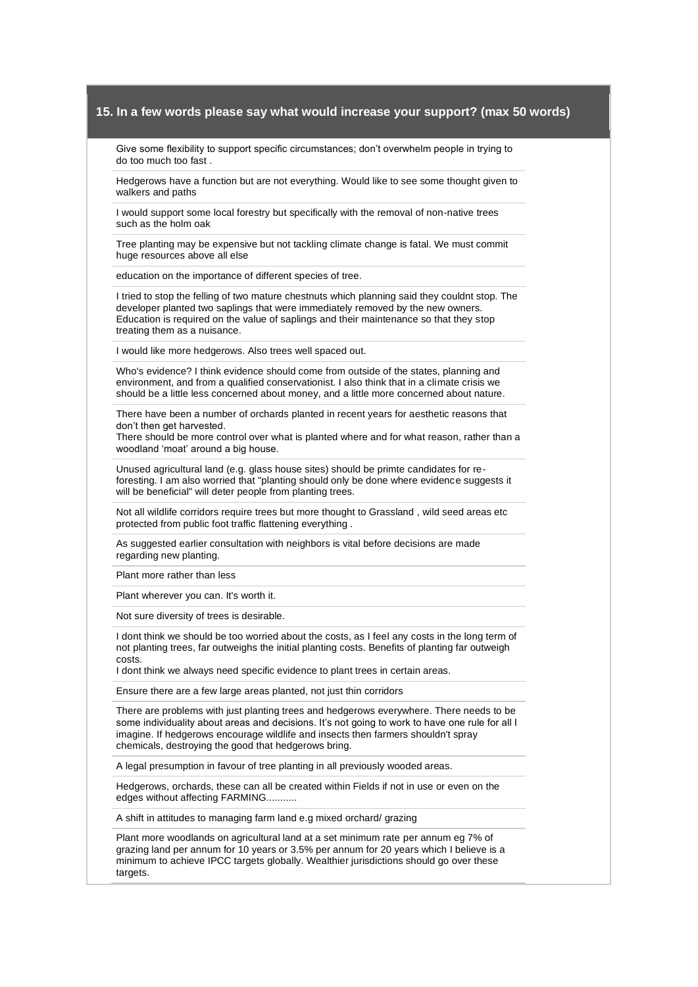Give some flexibility to support specific circumstances; don't overwhelm people in trying to do too much too fast .

Hedgerows have a function but are not everything. Would like to see some thought given to walkers and paths

I would support some local forestry but specifically with the removal of non-native trees such as the holm oak

Tree planting may be expensive but not tackling climate change is fatal. We must commit huge resources above all else

education on the importance of different species of tree.

I tried to stop the felling of two mature chestnuts which planning said they couldnt stop. The developer planted two saplings that were immediately removed by the new owners. Education is required on the value of saplings and their maintenance so that they stop treating them as a nuisance.

I would like more hedgerows. Also trees well spaced out.

Who's evidence? I think evidence should come from outside of the states, planning and environment, and from a qualified conservationist. I also think that in a climate crisis we should be a little less concerned about money, and a little more concerned about nature.

There have been a number of orchards planted in recent years for aesthetic reasons that don't then get harvested.

There should be more control over what is planted where and for what reason, rather than a woodland 'moat' around a big house.

Unused agricultural land (e.g. glass house sites) should be primte candidates for reforesting. I am also worried that "planting should only be done where evidence suggests it will be beneficial" will deter people from planting trees.

Not all wildlife corridors require trees but more thought to Grassland , wild seed areas etc protected from public foot traffic flattening everything .

As suggested earlier consultation with neighbors is vital before decisions are made regarding new planting.

Plant more rather than less

Plant wherever you can. It's worth it.

Not sure diversity of trees is desirable.

I dont think we should be too worried about the costs, as I feel any costs in the long term of not planting trees, far outweighs the initial planting costs. Benefits of planting far outweigh costs.

I dont think we always need specific evidence to plant trees in certain areas.

Ensure there are a few large areas planted, not just thin corridors

There are problems with just planting trees and hedgerows everywhere. There needs to be some individuality about areas and decisions. It's not going to work to have one rule for all I imagine. If hedgerows encourage wildlife and insects then farmers shouldn't spray chemicals, destroying the good that hedgerows bring.

A legal presumption in favour of tree planting in all previously wooded areas.

Hedgerows, orchards, these can all be created within Fields if not in use or even on the edges without affecting FARMING...........

A shift in attitudes to managing farm land e.g mixed orchard/ grazing

Plant more woodlands on agricultural land at a set minimum rate per annum eg 7% of grazing land per annum for 10 years or 3.5% per annum for 20 years which I believe is a minimum to achieve IPCC targets globally. Wealthier jurisdictions should go over these targets.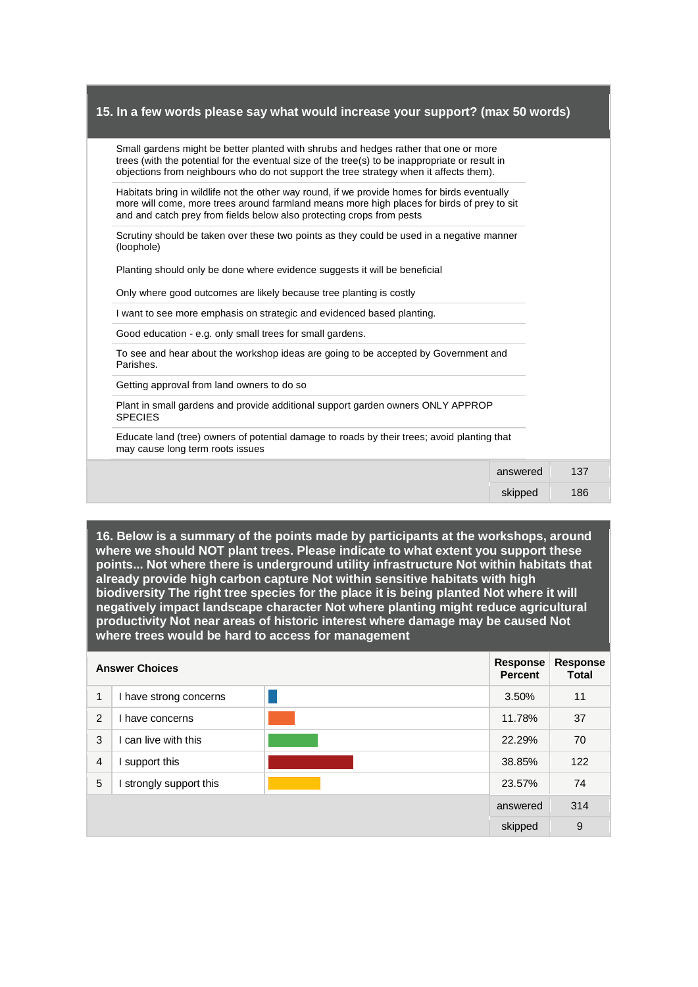| Small gardens might be better planted with shrubs and hedges rather that one or more<br>trees (with the potential for the eventual size of the tree(s) to be inappropriate or result in<br>objections from neighbours who do not support the tree strategy when it affects them). |          |     |
|-----------------------------------------------------------------------------------------------------------------------------------------------------------------------------------------------------------------------------------------------------------------------------------|----------|-----|
| Habitats bring in wildlife not the other way round, if we provide homes for birds eventually<br>more will come, more trees around farmland means more high places for birds of prey to sit<br>and and catch prey from fields below also protecting crops from pests               |          |     |
| Scrutiny should be taken over these two points as they could be used in a negative manner<br>(loophole)                                                                                                                                                                           |          |     |
| Planting should only be done where evidence suggests it will be beneficial                                                                                                                                                                                                        |          |     |
| Only where good outcomes are likely because tree planting is costly                                                                                                                                                                                                               |          |     |
| I want to see more emphasis on strategic and evidenced based planting.                                                                                                                                                                                                            |          |     |
| Good education - e.g. only small trees for small gardens.                                                                                                                                                                                                                         |          |     |
| To see and hear about the workshop ideas are going to be accepted by Government and<br>Parishes.                                                                                                                                                                                  |          |     |
| Getting approval from land owners to do so                                                                                                                                                                                                                                        |          |     |
| Plant in small gardens and provide additional support garden owners ONLY APPROP<br><b>SPECIES</b>                                                                                                                                                                                 |          |     |
| Educate land (tree) owners of potential damage to roads by their trees; avoid planting that<br>may cause long term roots issues                                                                                                                                                   |          |     |
|                                                                                                                                                                                                                                                                                   | answered | 137 |
|                                                                                                                                                                                                                                                                                   | skipped  | 186 |
|                                                                                                                                                                                                                                                                                   |          |     |

**16. Below is a summary of the points made by participants at the workshops, around where we should NOT plant trees. Please indicate to what extent you support these points... Not where there is underground utility infrastructure Not within habitats that already provide high carbon capture Not within sensitive habitats with high biodiversity The right tree species for the place it is being planted Not where it will negatively impact landscape character Not where planting might reduce agricultural productivity Not near areas of historic interest where damage may be caused Not where trees would be hard to access for management** 

|                | <b>Answer Choices</b>  | <b>Response</b><br><b>Percent</b> | <b>Response</b><br>Total |
|----------------|------------------------|-----------------------------------|--------------------------|
| 1              | I have strong concerns | 3.50%                             | 11                       |
| 2              | I have concerns        | 11.78%                            | 37                       |
| 3              | can live with this     | 22.29%                            | 70                       |
| $\overline{4}$ | support this           | 38.85%                            | 122                      |
| 5              | strongly support this  | 23.57%                            | 74                       |
|                |                        | answered                          | 314                      |
|                |                        | skipped                           | 9                        |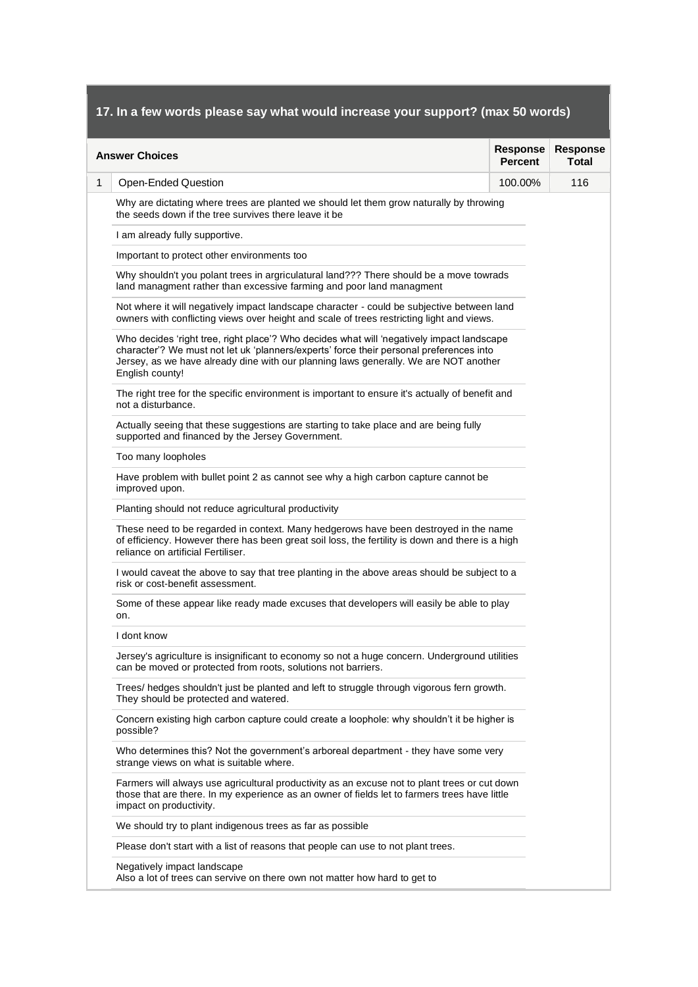|   | <b>Answer Choices</b>                                                                                                                                                                                                                                                                           | <b>Response</b><br><b>Percent</b> | <b>Response</b><br>Total |
|---|-------------------------------------------------------------------------------------------------------------------------------------------------------------------------------------------------------------------------------------------------------------------------------------------------|-----------------------------------|--------------------------|
| 1 | <b>Open-Ended Question</b>                                                                                                                                                                                                                                                                      | 100.00%                           | 116                      |
|   | Why are dictating where trees are planted we should let them grow naturally by throwing<br>the seeds down if the tree survives there leave it be                                                                                                                                                |                                   |                          |
|   | I am already fully supportive.                                                                                                                                                                                                                                                                  |                                   |                          |
|   | Important to protect other environments too                                                                                                                                                                                                                                                     |                                   |                          |
|   | Why shouldn't you polant trees in argriculatural land??? There should be a move towrads<br>land managment rather than excessive farming and poor land managment                                                                                                                                 |                                   |                          |
|   | Not where it will negatively impact landscape character - could be subjective between land<br>owners with conflicting views over height and scale of trees restricting light and views.                                                                                                         |                                   |                          |
|   | Who decides 'right tree, right place'? Who decides what will 'negatively impact landscape<br>character'? We must not let uk 'planners/experts' force their personal preferences into<br>Jersey, as we have already dine with our planning laws generally. We are NOT another<br>English county! |                                   |                          |
|   | The right tree for the specific environment is important to ensure it's actually of benefit and<br>not a disturbance.                                                                                                                                                                           |                                   |                          |
|   | Actually seeing that these suggestions are starting to take place and are being fully<br>supported and financed by the Jersey Government.                                                                                                                                                       |                                   |                          |
|   | Too many loopholes                                                                                                                                                                                                                                                                              |                                   |                          |
|   | Have problem with bullet point 2 as cannot see why a high carbon capture cannot be<br>improved upon.                                                                                                                                                                                            |                                   |                          |
|   | Planting should not reduce agricultural productivity                                                                                                                                                                                                                                            |                                   |                          |
|   | These need to be regarded in context. Many hedgerows have been destroyed in the name<br>of efficiency. However there has been great soil loss, the fertility is down and there is a high<br>reliance on artificial Fertiliser.                                                                  |                                   |                          |
|   | I would caveat the above to say that tree planting in the above areas should be subject to a<br>risk or cost-benefit assessment.                                                                                                                                                                |                                   |                          |
|   | Some of these appear like ready made excuses that developers will easily be able to play<br>on.                                                                                                                                                                                                 |                                   |                          |
|   | I dont know                                                                                                                                                                                                                                                                                     |                                   |                          |
|   | Jersey's agriculture is insignificant to economy so not a huge concern. Underground utilities<br>can be moved or protected from roots, solutions not barriers.                                                                                                                                  |                                   |                          |
|   | Trees/ hedges shouldn't just be planted and left to struggle through vigorous fern growth.<br>They should be protected and watered.                                                                                                                                                             |                                   |                          |
|   | Concern existing high carbon capture could create a loophole: why shouldn't it be higher is<br>possible?                                                                                                                                                                                        |                                   |                          |
|   | Who determines this? Not the government's arboreal department - they have some very<br>strange views on what is suitable where.                                                                                                                                                                 |                                   |                          |
|   | Farmers will always use agricultural productivity as an excuse not to plant trees or cut down<br>those that are there. In my experience as an owner of fields let to farmers trees have little<br>impact on productivity.                                                                       |                                   |                          |
|   | We should try to plant indigenous trees as far as possible                                                                                                                                                                                                                                      |                                   |                          |
|   | Please don't start with a list of reasons that people can use to not plant trees.                                                                                                                                                                                                               |                                   |                          |
|   | Negatively impact landscape<br>Also a lot of trees can servive on there own not matter how hard to get to                                                                                                                                                                                       |                                   |                          |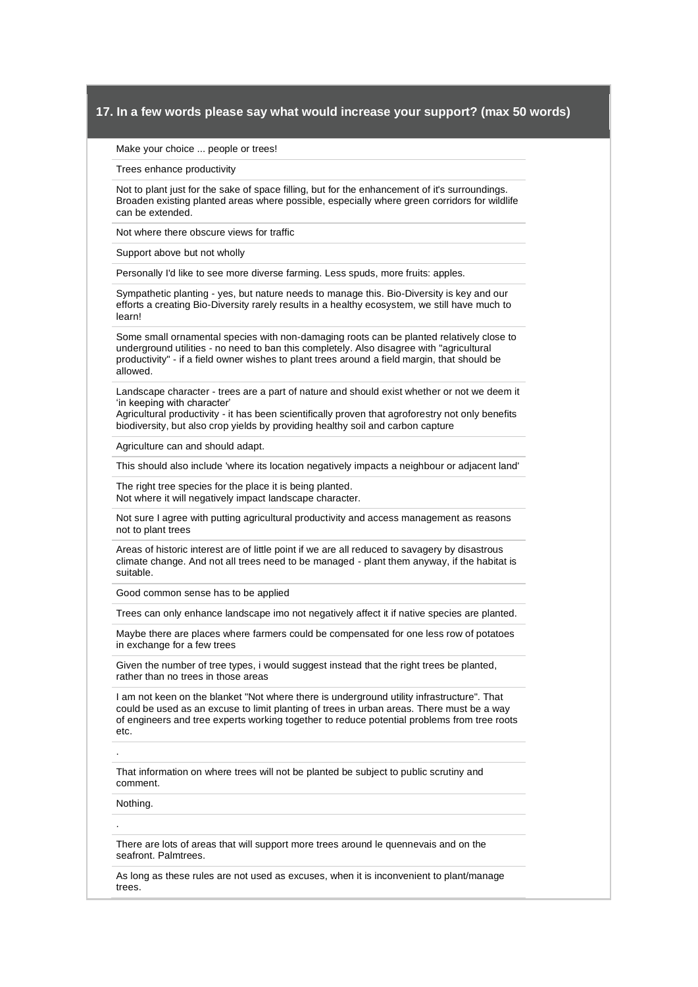Make your choice ... people or trees!

Trees enhance productivity

Not to plant just for the sake of space filling, but for the enhancement of it's surroundings. Broaden existing planted areas where possible, especially where green corridors for wildlife can be extended.

Not where there obscure views for traffic

Support above but not wholly

Personally I'd like to see more diverse farming. Less spuds, more fruits: apples.

Sympathetic planting - yes, but nature needs to manage this. Bio-Diversity is key and our efforts a creating Bio-Diversity rarely results in a healthy ecosystem, we still have much to learn!

Some small ornamental species with non-damaging roots can be planted relatively close to underground utilities - no need to ban this completely. Also disagree with "agricultural productivity" - if a field owner wishes to plant trees around a field margin, that should be allowed.

Landscape character - trees are a part of nature and should exist whether or not we deem it 'in keeping with character'

Agricultural productivity - it has been scientifically proven that agroforestry not only benefits biodiversity, but also crop yields by providing healthy soil and carbon capture

Agriculture can and should adapt.

This should also include 'where its location negatively impacts a neighbour or adjacent land'

The right tree species for the place it is being planted. Not where it will negatively impact landscape character.

Not sure I agree with putting agricultural productivity and access management as reasons not to plant trees

Areas of historic interest are of little point if we are all reduced to savagery by disastrous climate change. And not all trees need to be managed - plant them anyway, if the habitat is suitable.

Good common sense has to be applied

Trees can only enhance landscape imo not negatively affect it if native species are planted.

Maybe there are places where farmers could be compensated for one less row of potatoes in exchange for a few trees

Given the number of tree types, i would suggest instead that the right trees be planted, rather than no trees in those areas

I am not keen on the blanket "Not where there is underground utility infrastructure". That could be used as an excuse to limit planting of trees in urban areas. There must be a way of engineers and tree experts working together to reduce potential problems from tree roots etc.

.

.

That information on where trees will not be planted be subject to public scrutiny and comment.

Nothing.

There are lots of areas that will support more trees around le quennevais and on the seafront. Palmtrees.

As long as these rules are not used as excuses, when it is inconvenient to plant/manage trees.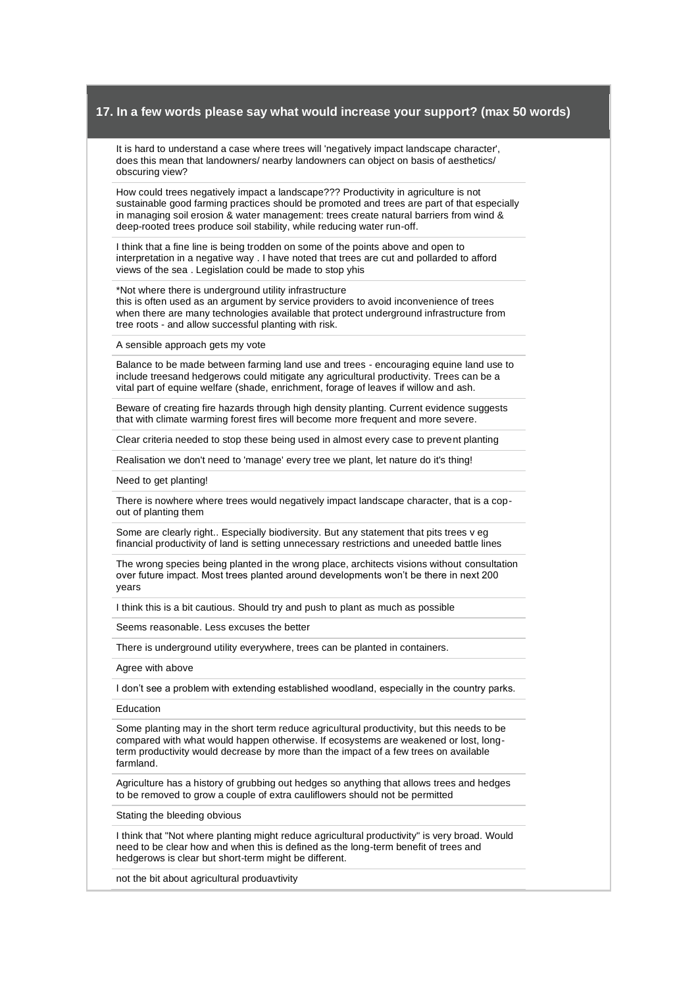It is hard to understand a case where trees will 'negatively impact landscape character', does this mean that landowners/ nearby landowners can object on basis of aesthetics/ obscuring view?

How could trees negatively impact a landscape??? Productivity in agriculture is not sustainable good farming practices should be promoted and trees are part of that especially in managing soil erosion & water management: trees create natural barriers from wind & deep-rooted trees produce soil stability, while reducing water run-off.

I think that a fine line is being trodden on some of the points above and open to interpretation in a negative way . I have noted that trees are cut and pollarded to afford views of the sea . Legislation could be made to stop yhis

\*Not where there is underground utility infrastructure this is often used as an argument by service providers to avoid inconvenience of trees when there are many technologies available that protect underground infrastructure from tree roots - and allow successful planting with risk.

A sensible approach gets my vote

Balance to be made between farming land use and trees - encouraging equine land use to include treesand hedgerows could mitigate any agricultural productivity. Trees can be a vital part of equine welfare (shade, enrichment, forage of leaves if willow and ash.

Beware of creating fire hazards through high density planting. Current evidence suggests that with climate warming forest fires will become more frequent and more severe.

Clear criteria needed to stop these being used in almost every case to prevent planting

Realisation we don't need to 'manage' every tree we plant, let nature do it's thing!

Need to get planting!

There is nowhere where trees would negatively impact landscape character, that is a copout of planting them

Some are clearly right.. Especially biodiversity. But any statement that pits trees v eg financial productivity of land is setting unnecessary restrictions and uneeded battle lines

The wrong species being planted in the wrong place, architects visions without consultation over future impact. Most trees planted around developments won't be there in next 200 years

I think this is a bit cautious. Should try and push to plant as much as possible

Seems reasonable. Less excuses the better

There is underground utility everywhere, trees can be planted in containers.

Agree with above

I don't see a problem with extending established woodland, especially in the country parks.

Education

Some planting may in the short term reduce agricultural productivity, but this needs to be compared with what would happen otherwise. If ecosystems are weakened or lost, longterm productivity would decrease by more than the impact of a few trees on available farmland.

Agriculture has a history of grubbing out hedges so anything that allows trees and hedges to be removed to grow a couple of extra cauliflowers should not be permitted

Stating the bleeding obvious

I think that "Not where planting might reduce agricultural productivity" is very broad. Would need to be clear how and when this is defined as the long-term benefit of trees and hedgerows is clear but short-term might be different.

not the bit about agricultural produavtivity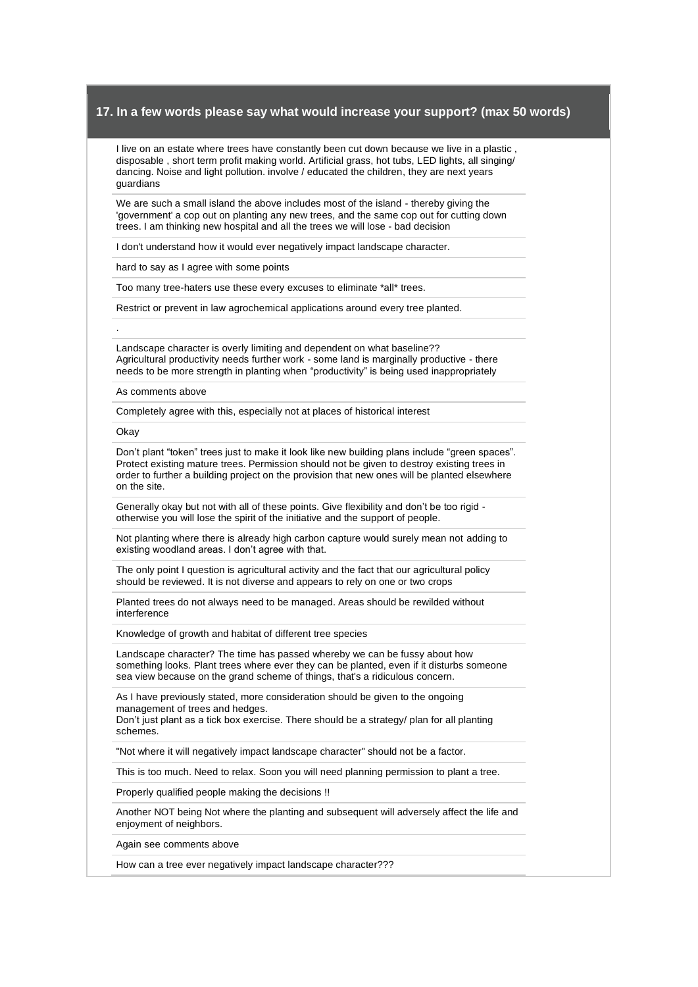I live on an estate where trees have constantly been cut down because we live in a plastic , disposable , short term profit making world. Artificial grass, hot tubs, LED lights, all singing/ dancing. Noise and light pollution. involve / educated the children, they are next years guardians

We are such a small island the above includes most of the island - thereby giving the 'government' a cop out on planting any new trees, and the same cop out for cutting down trees. I am thinking new hospital and all the trees we will lose - bad decision

I don't understand how it would ever negatively impact landscape character.

hard to say as I agree with some points

Too many tree-haters use these every excuses to eliminate \*all\* trees.

Restrict or prevent in law agrochemical applications around every tree planted.

Landscape character is overly limiting and dependent on what baseline?? Agricultural productivity needs further work - some land is marginally productive - there needs to be more strength in planting when "productivity" is being used inappropriately

As comments above

Completely agree with this, especially not at places of historical interest

**Okay** 

.

Don't plant "token" trees just to make it look like new building plans include "green spaces". Protect existing mature trees. Permission should not be given to destroy existing trees in order to further a building project on the provision that new ones will be planted elsewhere on the site.

Generally okay but not with all of these points. Give flexibility and don't be too rigid otherwise you will lose the spirit of the initiative and the support of people.

Not planting where there is already high carbon capture would surely mean not adding to existing woodland areas. I don't agree with that.

The only point I question is agricultural activity and the fact that our agricultural policy should be reviewed. It is not diverse and appears to rely on one or two crops

Planted trees do not always need to be managed. Areas should be rewilded without interference

Knowledge of growth and habitat of different tree species

Landscape character? The time has passed whereby we can be fussy about how something looks. Plant trees where ever they can be planted, even if it disturbs someone sea view because on the grand scheme of things, that's a ridiculous concern.

As I have previously stated, more consideration should be given to the ongoing management of trees and hedges. Don't just plant as a tick box exercise. There should be a strategy/ plan for all planting

schemes.

"Not where it will negatively impact landscape character" should not be a factor.

This is too much. Need to relax. Soon you will need planning permission to plant a tree.

Properly qualified people making the decisions !!

Another NOT being Not where the planting and subsequent will adversely affect the life and enjoyment of neighbors.

Again see comments above

How can a tree ever negatively impact landscape character???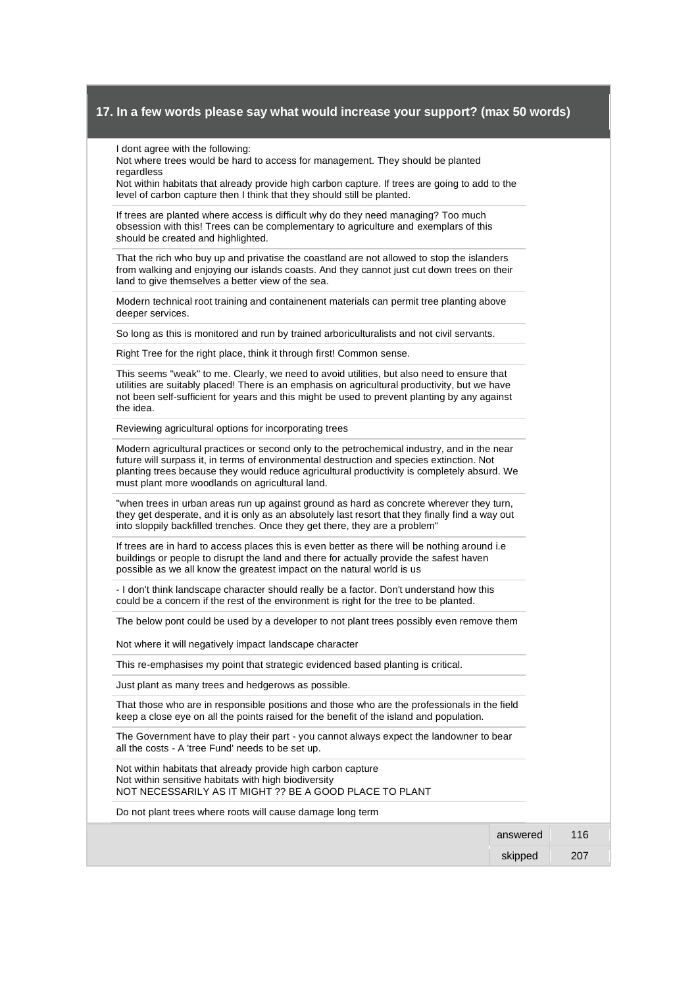I dont agree with the following:

Not where trees would be hard to access for management. They should be planted regardless

Not within habitats that already provide high carbon capture. If trees are going to add to the level of carbon capture then I think that they should still be planted.

If trees are planted where access is difficult why do they need managing? Too much obsession with this! Trees can be complementary to agriculture and exemplars of this should be created and highlighted.

That the rich who buy up and privatise the coastland are not allowed to stop the islanders from walking and enjoying our islands coasts. And they cannot just cut down trees on their land to give themselves a better view of the sea.

Modern technical root training and containenent materials can permit tree planting above deeper services.

So long as this is monitored and run by trained arboriculturalists and not civil servants.

Right Tree for the right place, think it through first! Common sense.

This seems "weak" to me. Clearly, we need to avoid utilities, but also need to ensure that utilities are suitably placed! There is an emphasis on agricultural productivity, but we have not been self-sufficient for years and this might be used to prevent planting by any against the idea.

Reviewing agricultural options for incorporating trees

Modern agricultural practices or second only to the petrochemical industry, and in the near future will surpass it, in terms of environmental destruction and species extinction. Not planting trees because they would reduce agricultural productivity is completely absurd. We must plant more woodlands on agricultural land.

"when trees in urban areas run up against ground as hard as concrete wherever they turn, they get desperate, and it is only as an absolutely last resort that they finally find a way out into sloppily backfilled trenches. Once they get there, they are a problem"

If trees are in hard to access places this is even better as there will be nothing around i.e buildings or people to disrupt the land and there for actually provide the safest haven possible as we all know the greatest impact on the natural world is us

- I don't think landscape character should really be a factor. Don't understand how this could be a concern if the rest of the environment is right for the tree to be planted.

The below pont could be used by a developer to not plant trees possibly even remove them

Not where it will negatively impact landscape character

This re-emphasises my point that strategic evidenced based planting is critical.

Just plant as many trees and hedgerows as possible.

That those who are in responsible positions and those who are the professionals in the field keep a close eye on all the points raised for the benefit of the island and population.

The Government have to play their part - you cannot always expect the landowner to bear all the costs - A 'tree Fund' needs to be set up.

Not within habitats that already provide high carbon capture Not within sensitive habitats with high biodiversity NOT NECESSARILY AS IT MIGHT ?? BE A GOOD PLACE TO PLANT

Do not plant trees where roots will cause damage long term

| answered | 16  |
|----------|-----|
| skipped  | ∠∪≀ |
|          |     |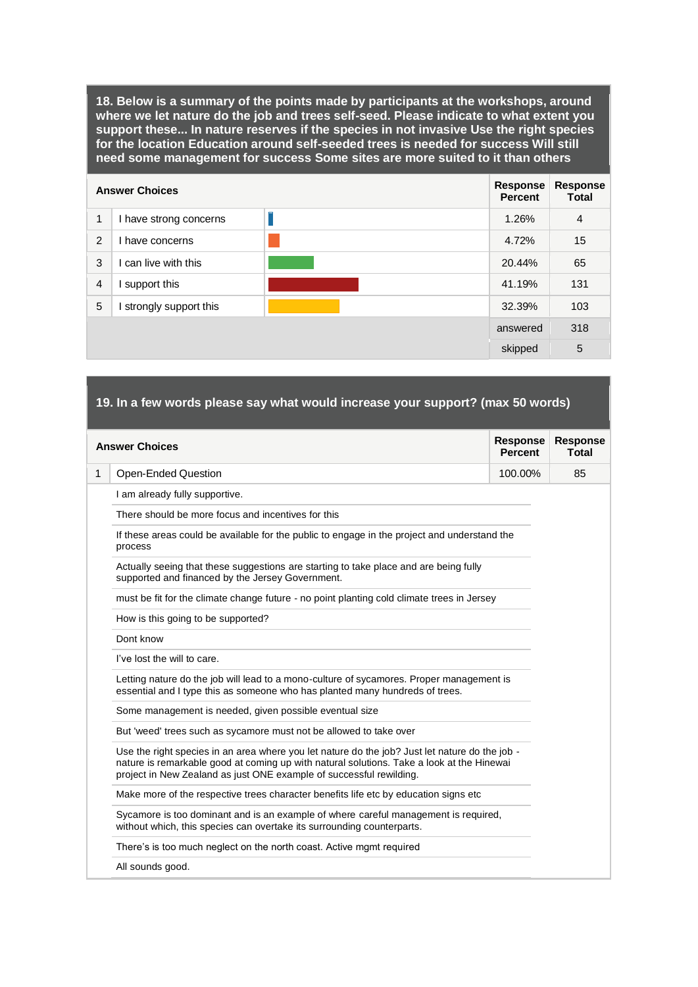**18. Below is a summary of the points made by participants at the workshops, around where we let nature do the job and trees self-seed. Please indicate to what extent you support these... In nature reserves if the species in not invasive Use the right species for the location Education around self-seeded trees is needed for success Will still need some management for success Some sites are more suited to it than others** 

|                | <b>Answer Choices</b>  | <b>Response</b><br><b>Percent</b> | <b>Response</b><br><b>Total</b> |
|----------------|------------------------|-----------------------------------|---------------------------------|
| 1              | I have strong concerns | 1.26%                             | $\overline{4}$                  |
| 2              | have concerns          | 4.72%                             | 15                              |
| 3              | can live with this     | 20.44%                            | 65                              |
| $\overline{4}$ | support this           | 41.19%                            | 131                             |
| 5              | strongly support this  | 32.39%                            | 103                             |
|                |                        | answered                          | 318                             |
|                |                        | skipped                           | 5                               |

# **19. In a few words please say what would increase your support? (max 50 words)**

|              | <b>Answer Choices</b>                                                                                                                                                                                                                                              | <b>Response</b><br><b>Percent</b> | <b>Response</b><br><b>Total</b> |
|--------------|--------------------------------------------------------------------------------------------------------------------------------------------------------------------------------------------------------------------------------------------------------------------|-----------------------------------|---------------------------------|
| $\mathbf{1}$ | Open-Ended Question                                                                                                                                                                                                                                                | 100.00%                           | 85                              |
|              | I am already fully supportive.                                                                                                                                                                                                                                     |                                   |                                 |
|              | There should be more focus and incentives for this                                                                                                                                                                                                                 |                                   |                                 |
|              | If these areas could be available for the public to engage in the project and understand the<br>process                                                                                                                                                            |                                   |                                 |
|              | Actually seeing that these suggestions are starting to take place and are being fully<br>supported and financed by the Jersey Government.                                                                                                                          |                                   |                                 |
|              | must be fit for the climate change future - no point planting cold climate trees in Jersey                                                                                                                                                                         |                                   |                                 |
|              | How is this going to be supported?                                                                                                                                                                                                                                 |                                   |                                 |
|              | Dont know                                                                                                                                                                                                                                                          |                                   |                                 |
|              | I've lost the will to care.                                                                                                                                                                                                                                        |                                   |                                 |
|              | Letting nature do the job will lead to a mono-culture of sycamores. Proper management is<br>essential and I type this as someone who has planted many hundreds of trees.                                                                                           |                                   |                                 |
|              | Some management is needed, given possible eventual size                                                                                                                                                                                                            |                                   |                                 |
|              | But 'weed' trees such as sycamore must not be allowed to take over                                                                                                                                                                                                 |                                   |                                 |
|              | Use the right species in an area where you let nature do the job? Just let nature do the job -<br>nature is remarkable good at coming up with natural solutions. Take a look at the Hinewai<br>project in New Zealand as just ONE example of successful rewilding. |                                   |                                 |
|              | Make more of the respective trees character benefits life etc by education signs etc                                                                                                                                                                               |                                   |                                 |
|              | Sycamore is too dominant and is an example of where careful management is required,<br>without which, this species can overtake its surrounding counterparts.                                                                                                      |                                   |                                 |
|              | There's is too much neglect on the north coast. Active mgmt required                                                                                                                                                                                               |                                   |                                 |
|              | All sounds good.                                                                                                                                                                                                                                                   |                                   |                                 |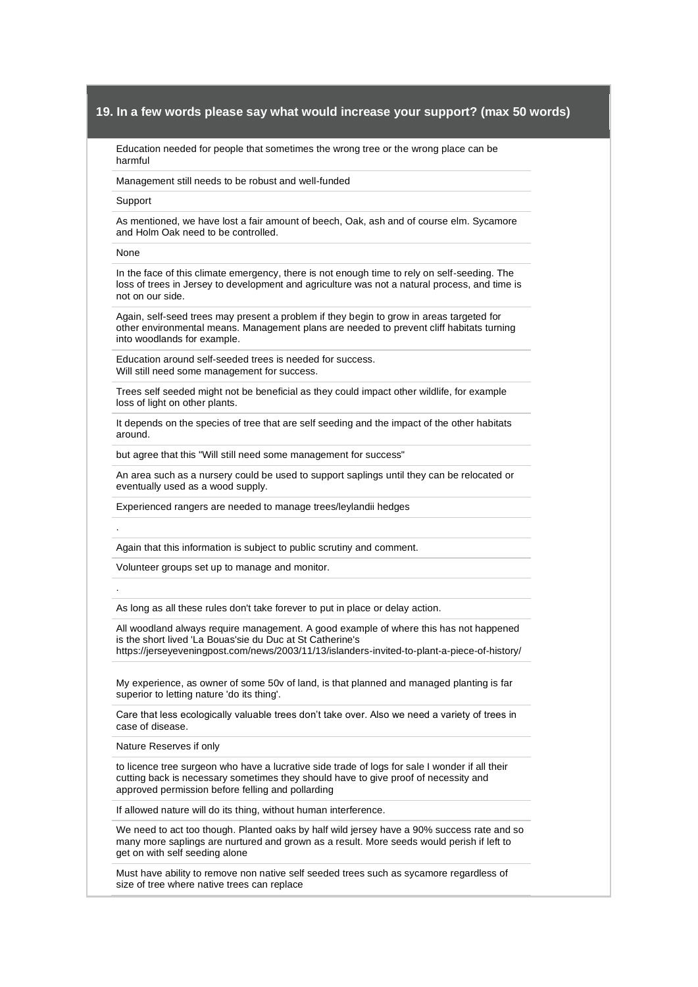Education needed for people that sometimes the wrong tree or the wrong place can be harmful

Management still needs to be robust and well-funded

#### Support

As mentioned, we have lost a fair amount of beech, Oak, ash and of course elm. Sycamore and Holm Oak need to be controlled.

#### None

.

.

In the face of this climate emergency, there is not enough time to rely on self-seeding. The loss of trees in Jersey to development and agriculture was not a natural process, and time is not on our side.

Again, self-seed trees may present a problem if they begin to grow in areas targeted for other environmental means. Management plans are needed to prevent cliff habitats turning into woodlands for example.

Education around self-seeded trees is needed for success. Will still need some management for success.

Trees self seeded might not be beneficial as they could impact other wildlife, for example loss of light on other plants.

It depends on the species of tree that are self seeding and the impact of the other habitats around.

but agree that this "Will still need some management for success"

An area such as a nursery could be used to support saplings until they can be relocated or eventually used as a wood supply.

Experienced rangers are needed to manage trees/leylandii hedges

Again that this information is subject to public scrutiny and comment.

Volunteer groups set up to manage and monitor.

As long as all these rules don't take forever to put in place or delay action.

All woodland always require management. A good example of where this has not happened is the short lived 'La Bouas'sie du Duc at St Catherine's https://jerseyeveningpost.com/news/2003/11/13/islanders-invited-to-plant-a-piece-of-history/

My experience, as owner of some 50v of land, is that planned and managed planting is far superior to letting nature 'do its thing'.

Care that less ecologically valuable trees don't take over. Also we need a variety of trees in case of disease.

Nature Reserves if only

to licence tree surgeon who have a lucrative side trade of logs for sale I wonder if all their cutting back is necessary sometimes they should have to give proof of necessity and approved permission before felling and pollarding

If allowed nature will do its thing, without human interference.

We need to act too though. Planted oaks by half wild jersey have a 90% success rate and so many more saplings are nurtured and grown as a result. More seeds would perish if left to get on with self seeding alone

Must have ability to remove non native self seeded trees such as sycamore regardless of size of tree where native trees can replace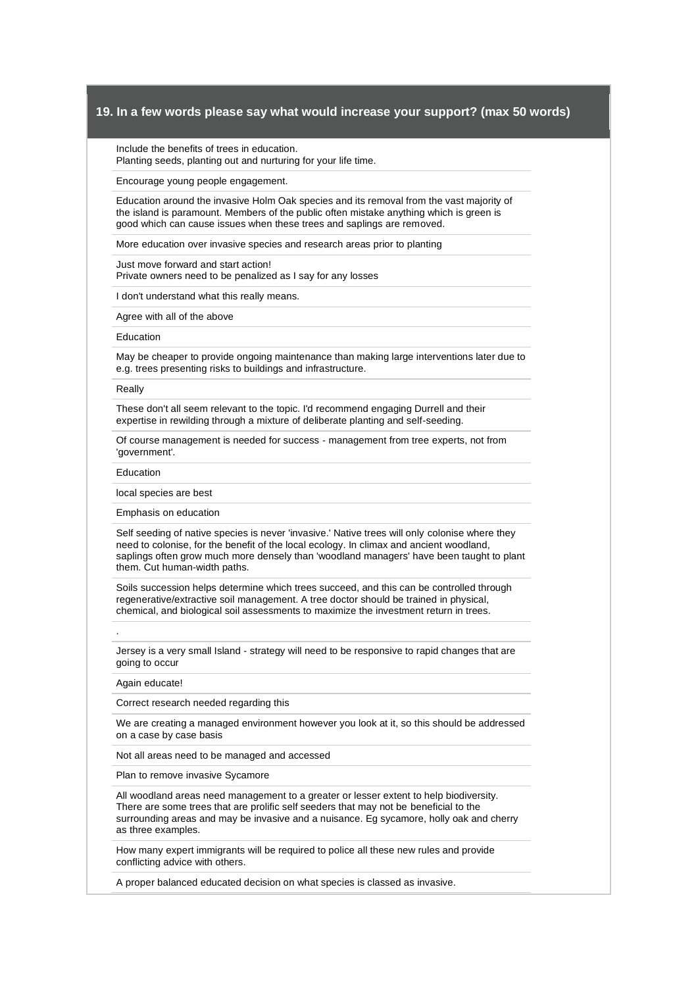Include the benefits of trees in education.

Planting seeds, planting out and nurturing for your life time.

Encourage young people engagement.

Education around the invasive Holm Oak species and its removal from the vast majority of the island is paramount. Members of the public often mistake anything which is green is good which can cause issues when these trees and saplings are removed.

More education over invasive species and research areas prior to planting

Just move forward and start action! Private owners need to be penalized as I say for any losses

I don't understand what this really means.

Agree with all of the above

#### Education

May be cheaper to provide ongoing maintenance than making large interventions later due to e.g. trees presenting risks to buildings and infrastructure.

#### Really

These don't all seem relevant to the topic. I'd recommend engaging Durrell and their expertise in rewilding through a mixture of deliberate planting and self-seeding.

Of course management is needed for success - management from tree experts, not from 'government'.

#### Education

local species are best

Emphasis on education

Self seeding of native species is never 'invasive.' Native trees will only colonise where they need to colonise, for the benefit of the local ecology. In climax and ancient woodland, saplings often grow much more densely than 'woodland managers' have been taught to plant them. Cut human-width paths.

Soils succession helps determine which trees succeed, and this can be controlled through regenerative/extractive soil management. A tree doctor should be trained in physical, chemical, and biological soil assessments to maximize the investment return in trees.

Jersey is a very small Island - strategy will need to be responsive to rapid changes that are going to occur

#### Again educate!

.

Correct research needed regarding this

We are creating a managed environment however you look at it, so this should be addressed on a case by case basis

Not all areas need to be managed and accessed

Plan to remove invasive Sycamore

All woodland areas need management to a greater or lesser extent to help biodiversity. There are some trees that are prolific self seeders that may not be beneficial to the surrounding areas and may be invasive and a nuisance. Eg sycamore, holly oak and cherry as three examples.

How many expert immigrants will be required to police all these new rules and provide conflicting advice with others.

A proper balanced educated decision on what species is classed as invasive.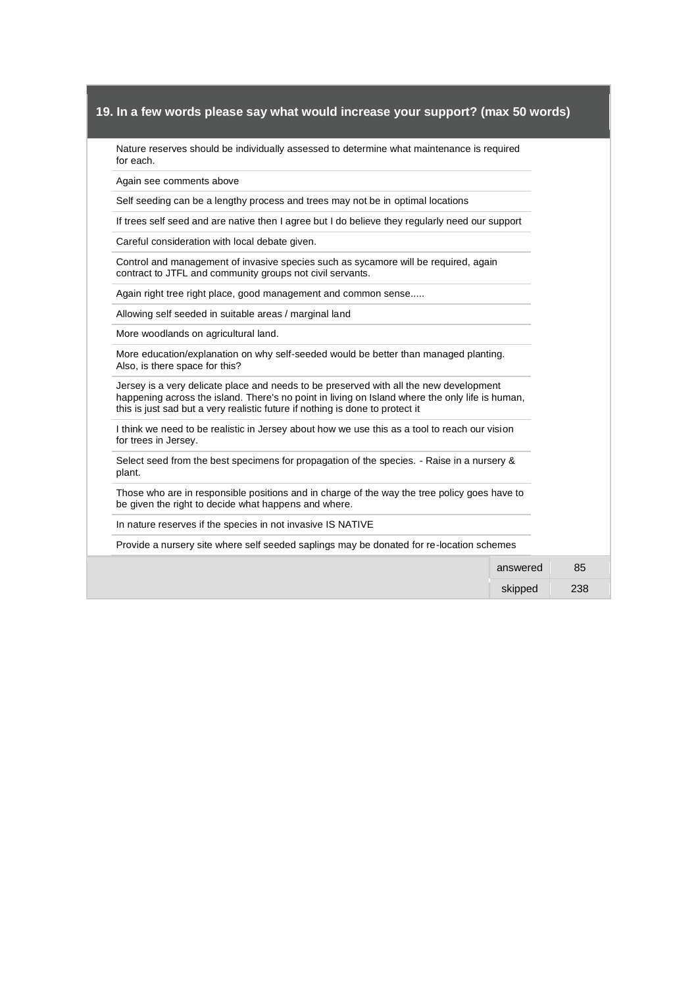Nature reserves should be individually assessed to determine what maintenance is required for each.

Again see comments above

Self seeding can be a lengthy process and trees may not be in optimal locations

If trees self seed and are native then I agree but I do believe they regularly need our support

Careful consideration with local debate given.

Control and management of invasive species such as sycamore will be required, again contract to JTFL and community groups not civil servants.

Again right tree right place, good management and common sense.....

Allowing self seeded in suitable areas / marginal land

More woodlands on agricultural land.

More education/explanation on why self-seeded would be better than managed planting. Also, is there space for this?

Jersey is a very delicate place and needs to be preserved with all the new development happening across the island. There's no point in living on Island where the only life is human, this is just sad but a very realistic future if nothing is done to protect it

I think we need to be realistic in Jersey about how we use this as a tool to reach our vision for trees in Jersey.

Select seed from the best specimens for propagation of the species. - Raise in a nursery & plant.

Those who are in responsible positions and in charge of the way the tree policy goes have to be given the right to decide what happens and where.

In nature reserves if the species in not invasive IS NATIVE

Provide a nursery site where self seeded saplings may be donated for re-location schemes

| 85<br>answered |
|----------------|
| 238<br>skipped |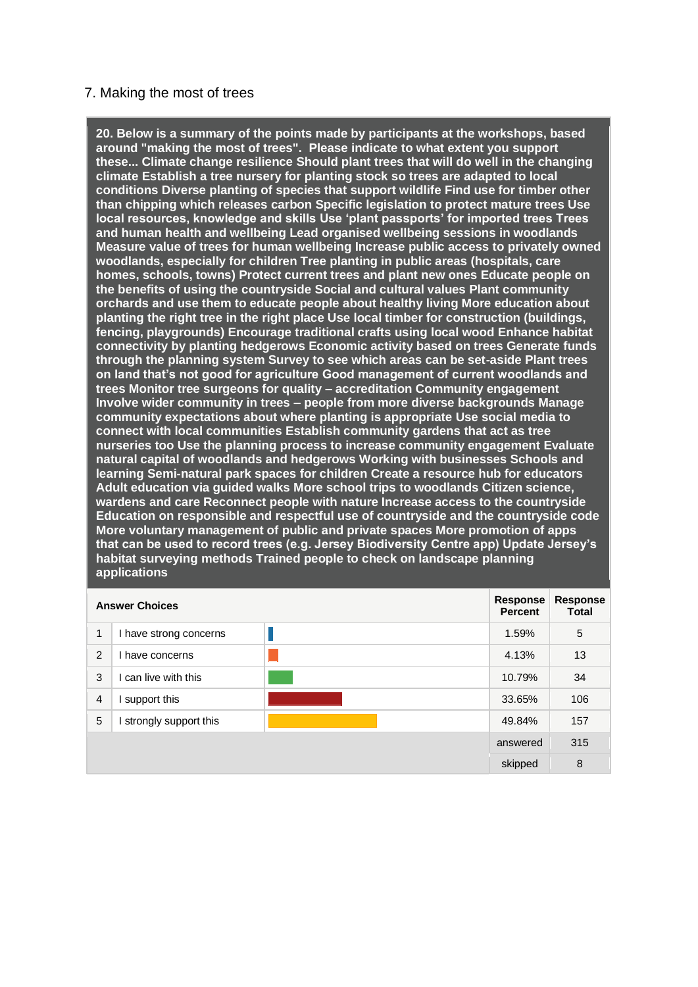# 7. Making the most of trees

**20. Below is a summary of the points made by participants at the workshops, based around "making the most of trees". Please indicate to what extent you support these... Climate change resilience Should plant trees that will do well in the changing climate Establish a tree nursery for planting stock so trees are adapted to local conditions Diverse planting of species that support wildlife Find use for timber other than chipping which releases carbon Specific legislation to protect mature trees Use local resources, knowledge and skills Use 'plant passports' for imported trees Trees and human health and wellbeing Lead organised wellbeing sessions in woodlands Measure value of trees for human wellbeing Increase public access to privately owned woodlands, especially for children Tree planting in public areas (hospitals, care homes, schools, towns) Protect current trees and plant new ones Educate people on the benefits of using the countryside Social and cultural values Plant community orchards and use them to educate people about healthy living More education about planting the right tree in the right place Use local timber for construction (buildings, fencing, playgrounds) Encourage traditional crafts using local wood Enhance habitat connectivity by planting hedgerows Economic activity based on trees Generate funds through the planning system Survey to see which areas can be set-aside Plant trees on land that's not good for agriculture Good management of current woodlands and trees Monitor tree surgeons for quality – accreditation Community engagement Involve wider community in trees – people from more diverse backgrounds Manage community expectations about where planting is appropriate Use social media to connect with local communities Establish community gardens that act as tree nurseries too Use the planning process to increase community engagement Evaluate natural capital of woodlands and hedgerows Working with businesses Schools and learning Semi-natural park spaces for children Create a resource hub for educators Adult education via guided walks More school trips to woodlands Citizen science, wardens and care Reconnect people with nature Increase access to the countryside Education on responsible and respectful use of countryside and the countryside code More voluntary management of public and private spaces More promotion of apps that can be used to record trees (e.g. Jersey Biodiversity Centre app) Update Jersey's habitat surveying methods Trained people to check on landscape planning applications** 

|                | <b>Answer Choices</b>  | Response<br><b>Percent</b> | Response<br><b>Total</b> |
|----------------|------------------------|----------------------------|--------------------------|
| 1              | I have strong concerns | 1.59%                      | 5                        |
| 2              | have concerns          | 4.13%                      | 13                       |
| 3              | can live with this     | 10.79%                     | 34                       |
| $\overline{4}$ | support this           | 33.65%                     | 106                      |
| 5              | strongly support this  | 49.84%                     | 157                      |
|                |                        | answered                   | 315                      |
|                |                        | skipped                    | 8                        |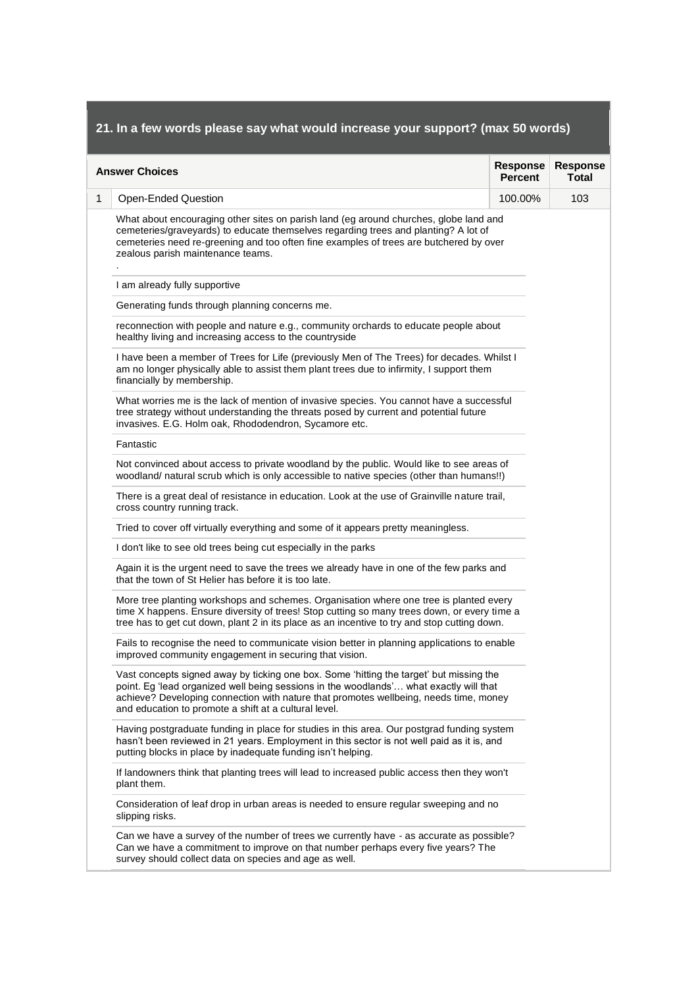| <b>Answer Choices</b>                                                                                                                                                                                                                                                                                                               | <b>Response</b><br><b>Percent</b> | <b>Response</b><br><b>Total</b> |
|-------------------------------------------------------------------------------------------------------------------------------------------------------------------------------------------------------------------------------------------------------------------------------------------------------------------------------------|-----------------------------------|---------------------------------|
| Open-Ended Question                                                                                                                                                                                                                                                                                                                 | 100.00%                           | 103                             |
| What about encouraging other sites on parish land (eg around churches, globe land and<br>cemeteries/graveyards) to educate themselves regarding trees and planting? A lot of<br>cemeteries need re-greening and too often fine examples of trees are butchered by over<br>zealous parish maintenance teams.                         |                                   |                                 |
| I am already fully supportive                                                                                                                                                                                                                                                                                                       |                                   |                                 |
| Generating funds through planning concerns me.                                                                                                                                                                                                                                                                                      |                                   |                                 |
| reconnection with people and nature e.g., community orchards to educate people about<br>healthy living and increasing access to the countryside                                                                                                                                                                                     |                                   |                                 |
| I have been a member of Trees for Life (previously Men of The Trees) for decades. Whilst I<br>am no longer physically able to assist them plant trees due to infirmity, I support them<br>financially by membership.                                                                                                                |                                   |                                 |
| What worries me is the lack of mention of invasive species. You cannot have a successful<br>tree strategy without understanding the threats posed by current and potential future<br>invasives. E.G. Holm oak, Rhododendron, Sycamore etc.                                                                                          |                                   |                                 |
| Fantastic                                                                                                                                                                                                                                                                                                                           |                                   |                                 |
| Not convinced about access to private woodland by the public. Would like to see areas of<br>woodland/ natural scrub which is only accessible to native species (other than humans!!)                                                                                                                                                |                                   |                                 |
| There is a great deal of resistance in education. Look at the use of Grainville nature trail,<br>cross country running track.                                                                                                                                                                                                       |                                   |                                 |
| Tried to cover off virtually everything and some of it appears pretty meaningless.                                                                                                                                                                                                                                                  |                                   |                                 |
| I don't like to see old trees being cut especially in the parks                                                                                                                                                                                                                                                                     |                                   |                                 |
| Again it is the urgent need to save the trees we already have in one of the few parks and<br>that the town of St Helier has before it is too late.                                                                                                                                                                                  |                                   |                                 |
| More tree planting workshops and schemes. Organisation where one tree is planted every<br>time X happens. Ensure diversity of trees! Stop cutting so many trees down, or every time a<br>tree has to get cut down, plant 2 in its place as an incentive to try and stop cutting down.                                               |                                   |                                 |
| Fails to recognise the need to communicate vision better in planning applications to enable<br>improved community engagement in securing that vision.                                                                                                                                                                               |                                   |                                 |
| Vast concepts signed away by ticking one box. Some 'hitting the target' but missing the<br>point. Eg 'lead organized well being sessions in the woodlands' what exactly will that<br>achieve? Developing connection with nature that promotes wellbeing, needs time, money<br>and education to promote a shift at a cultural level. |                                   |                                 |
| Having postgraduate funding in place for studies in this area. Our postgrad funding system<br>hasn't been reviewed in 21 years. Employment in this sector is not well paid as it is, and<br>putting blocks in place by inadequate funding isn't helping.                                                                            |                                   |                                 |
| If landowners think that planting trees will lead to increased public access then they won't<br>plant them.                                                                                                                                                                                                                         |                                   |                                 |
| Consideration of leaf drop in urban areas is needed to ensure regular sweeping and no<br>slipping risks.                                                                                                                                                                                                                            |                                   |                                 |
| Can we have a survey of the number of trees we currently have - as accurate as possible?<br>Can we have a commitment to improve on that number perhaps every five years? The                                                                                                                                                        |                                   |                                 |

<u> 1989 - Andrea Santa Andrea Andrea Andrea Andrea Andrea Andrea Andrea Andrea Andrea Andrea Andrea Andrea Andr</u>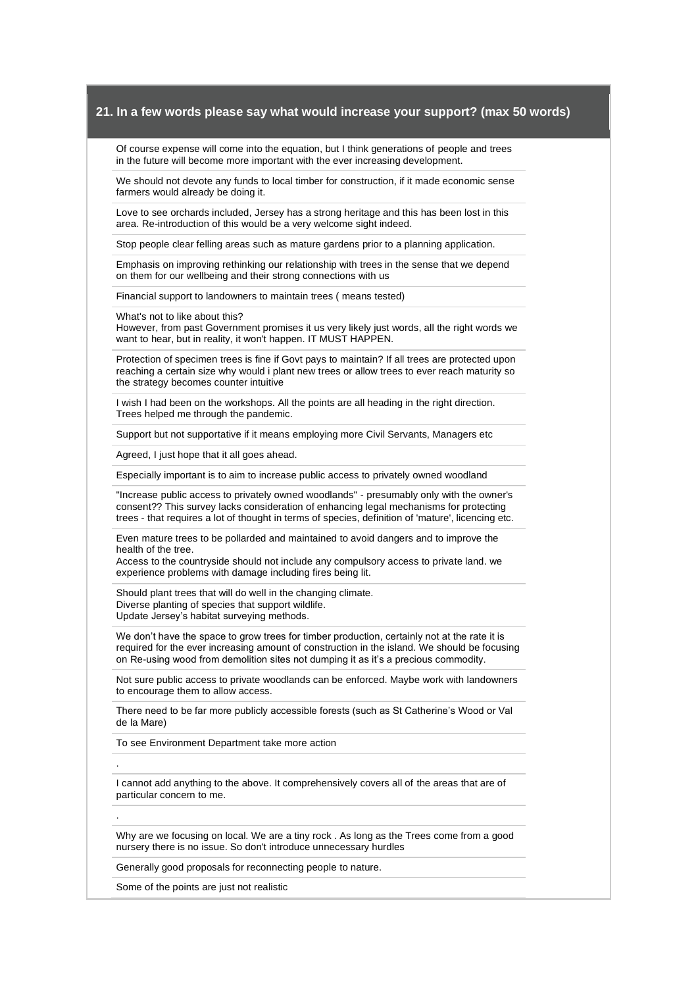Of course expense will come into the equation, but I think generations of people and trees in the future will become more important with the ever increasing development.

We should not devote any funds to local timber for construction, if it made economic sense farmers would already be doing it.

Love to see orchards included, Jersey has a strong heritage and this has been lost in this area. Re-introduction of this would be a very welcome sight indeed.

Stop people clear felling areas such as mature gardens prior to a planning application.

Emphasis on improving rethinking our relationship with trees in the sense that we depend on them for our wellbeing and their strong connections with us

Financial support to landowners to maintain trees ( means tested)

What's not to like about this?

However, from past Government promises it us very likely just words, all the right words we want to hear, but in reality, it won't happen. IT MUST HAPPEN.

Protection of specimen trees is fine if Govt pays to maintain? If all trees are protected upon reaching a certain size why would i plant new trees or allow trees to ever reach maturity so the strategy becomes counter intuitive

I wish I had been on the workshops. All the points are all heading in the right direction. Trees helped me through the pandemic.

Support but not supportative if it means employing more Civil Servants, Managers etc

Agreed, I just hope that it all goes ahead.

Especially important is to aim to increase public access to privately owned woodland

"Increase public access to privately owned woodlands" - presumably only with the owner's consent?? This survey lacks consideration of enhancing legal mechanisms for protecting trees - that requires a lot of thought in terms of species, definition of 'mature', licencing etc.

Even mature trees to be pollarded and maintained to avoid dangers and to improve the health of the tree.

Access to the countryside should not include any compulsory access to private land. we experience problems with damage including fires being lit.

Should plant trees that will do well in the changing climate. Diverse planting of species that support wildlife. Update Jersey's habitat surveying methods.

We don't have the space to grow trees for timber production, certainly not at the rate it is required for the ever increasing amount of construction in the island. We should be focusing on Re-using wood from demolition sites not dumping it as it's a precious commodity.

Not sure public access to private woodlands can be enforced. Maybe work with landowners to encourage them to allow access.

There need to be far more publicly accessible forests (such as St Catherine's Wood or Val de la Mare)

To see Environment Department take more action

I cannot add anything to the above. It comprehensively covers all of the areas that are of particular concern to me.

Why are we focusing on local. We are a tiny rock . As long as the Trees come from a good nursery there is no issue. So don't introduce unnecessary hurdles

Generally good proposals for reconnecting people to nature.

Some of the points are just not realistic

.

.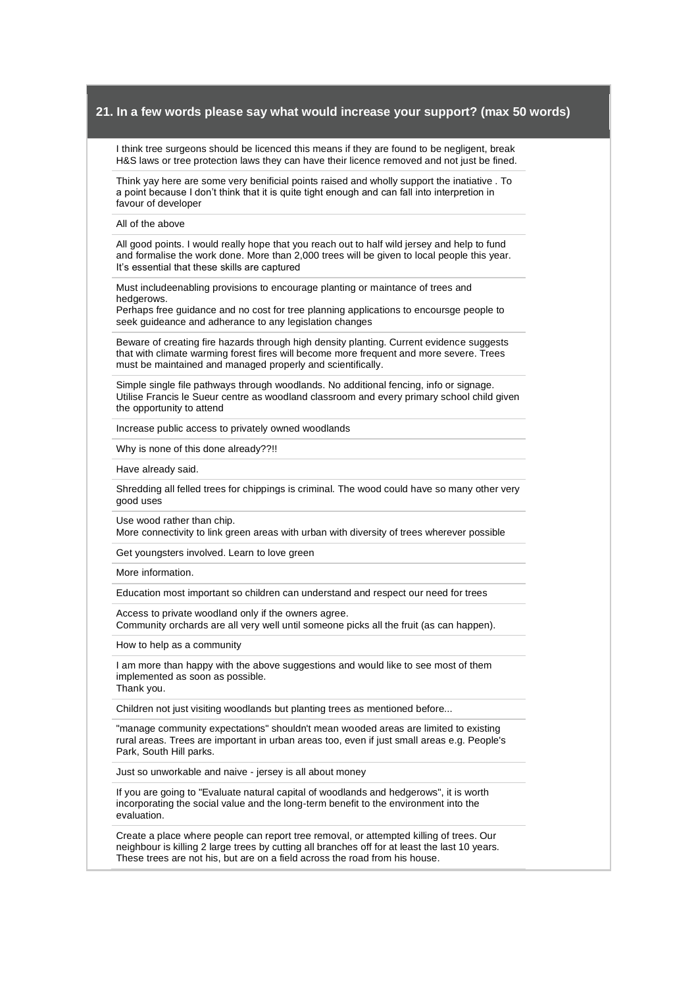I think tree surgeons should be licenced this means if they are found to be negligent, break H&S laws or tree protection laws they can have their licence removed and not just be fined.

Think yay here are some very benificial points raised and wholly support the inatiative . To a point because I don't think that it is quite tight enough and can fall into interpretion in favour of developer

All of the above

All good points. I would really hope that you reach out to half wild jersey and help to fund and formalise the work done. More than 2,000 trees will be given to local people this year. It's essential that these skills are captured

Must includeenabling provisions to encourage planting or maintance of trees and hedgerows.

Perhaps free guidance and no cost for tree planning applications to encoursge people to seek guideance and adherance to any legislation changes

Beware of creating fire hazards through high density planting. Current evidence suggests that with climate warming forest fires will become more frequent and more severe. Trees must be maintained and managed properly and scientifically.

Simple single file pathways through woodlands. No additional fencing, info or signage. Utilise Francis le Sueur centre as woodland classroom and every primary school child given the opportunity to attend

Increase public access to privately owned woodlands

Why is none of this done already??!!

Have already said.

Shredding all felled trees for chippings is criminal. The wood could have so many other very good uses

Use wood rather than chip.

More connectivity to link green areas with urban with diversity of trees wherever possible

Get youngsters involved. Learn to love green

More information.

Education most important so children can understand and respect our need for trees

Access to private woodland only if the owners agree.

Community orchards are all very well until someone picks all the fruit (as can happen).

How to help as a community

I am more than happy with the above suggestions and would like to see most of them implemented as soon as possible. Thank you.

Children not just visiting woodlands but planting trees as mentioned before...

"manage community expectations" shouldn't mean wooded areas are limited to existing rural areas. Trees are important in urban areas too, even if just small areas e.g. People's Park, South Hill parks.

Just so unworkable and naive - jersey is all about money

If you are going to "Evaluate natural capital of woodlands and hedgerows", it is worth incorporating the social value and the long-term benefit to the environment into the evaluation.

Create a place where people can report tree removal, or attempted killing of trees. Our neighbour is killing 2 large trees by cutting all branches off for at least the last 10 years. These trees are not his, but are on a field across the road from his house.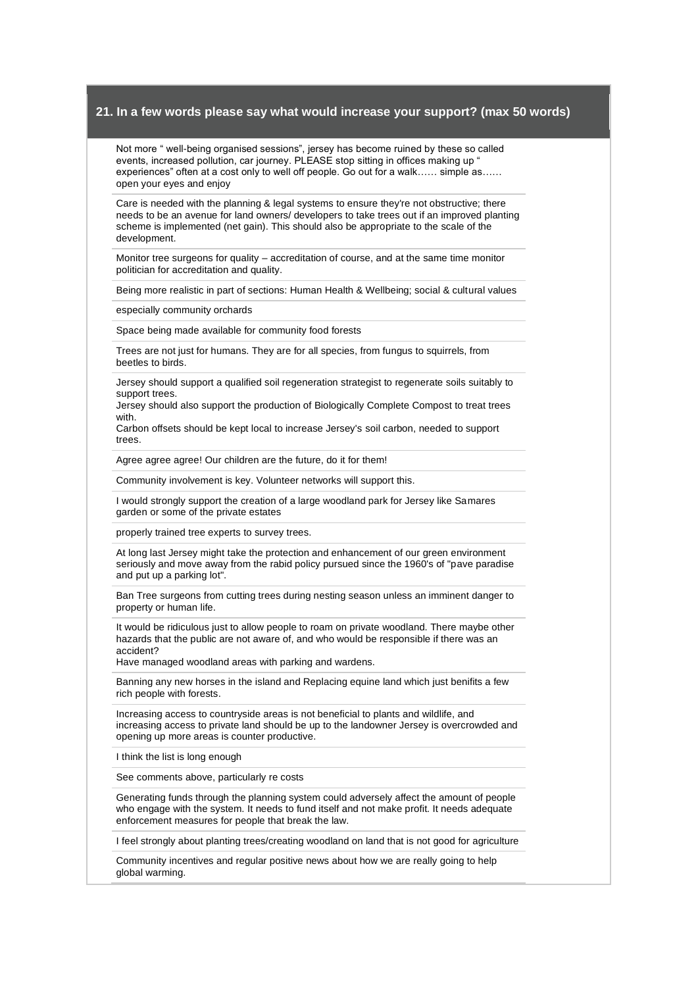Not more " well-being organised sessions", jersey has become ruined by these so called events, increased pollution, car journey. PLEASE stop sitting in offices making up " experiences" often at a cost only to well off people. Go out for a walk…… simple as…… open your eyes and enjoy

Care is needed with the planning & legal systems to ensure they're not obstructive; there needs to be an avenue for land owners/ developers to take trees out if an improved planting scheme is implemented (net gain). This should also be appropriate to the scale of the development.

Monitor tree surgeons for quality – accreditation of course, and at the same time monitor politician for accreditation and quality.

Being more realistic in part of sections: Human Health & Wellbeing; social & cultural values

especially community orchards

Space being made available for community food forests

Trees are not just for humans. They are for all species, from fungus to squirrels, from beetles to birds.

Jersey should support a qualified soil regeneration strategist to regenerate soils suitably to support trees.

Jersey should also support the production of Biologically Complete Compost to treat trees with.

Carbon offsets should be kept local to increase Jersey's soil carbon, needed to support trees.

Agree agree agree! Our children are the future, do it for them!

Community involvement is key. Volunteer networks will support this.

I would strongly support the creation of a large woodland park for Jersey like Samares garden or some of the private estates

properly trained tree experts to survey trees.

At long last Jersey might take the protection and enhancement of our green environment seriously and move away from the rabid policy pursued since the 1960's of "pave paradise and put up a parking lot".

Ban Tree surgeons from cutting trees during nesting season unless an imminent danger to property or human life.

It would be ridiculous just to allow people to roam on private woodland. There maybe other hazards that the public are not aware of, and who would be responsible if there was an accident?

Have managed woodland areas with parking and wardens.

Banning any new horses in the island and Replacing equine land which just benifits a few rich people with forests.

Increasing access to countryside areas is not beneficial to plants and wildlife, and increasing access to private land should be up to the landowner Jersey is overcrowded and opening up more areas is counter productive.

I think the list is long enough

See comments above, particularly re costs

Generating funds through the planning system could adversely affect the amount of people who engage with the system. It needs to fund itself and not make profit. It needs adequate enforcement measures for people that break the law.

I feel strongly about planting trees/creating woodland on land that is not good for agriculture

Community incentives and regular positive news about how we are really going to help global warming.